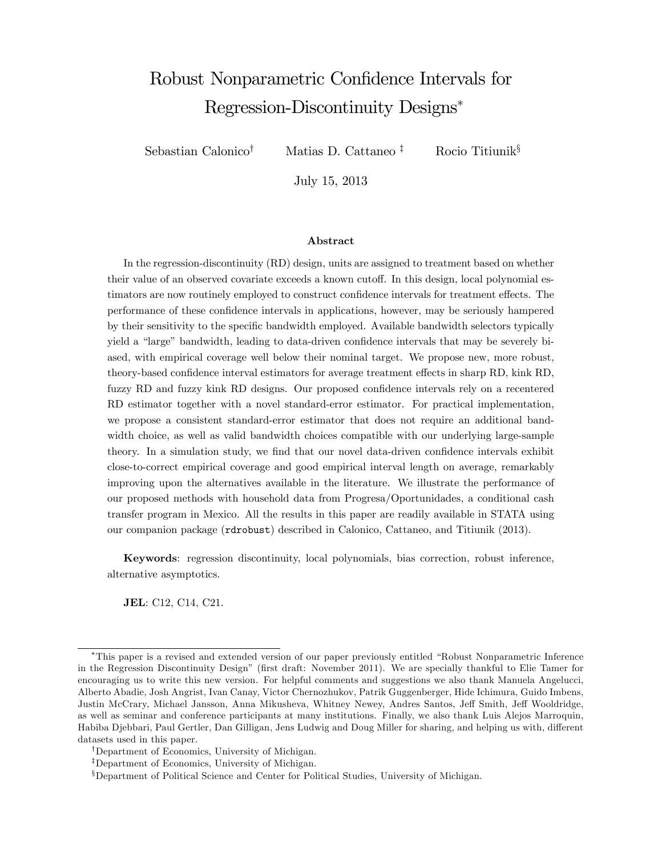# Robust Nonparametric Confidence Intervals for Regression-Discontinuity Designs

Sebastian Calonico<sup>†</sup> Matias D. Cattaneo <sup>‡</sup> Rocio Titiunik<sup>§</sup>

July 15, 2013

#### Abstract

In the regression-discontinuity (RD) design, units are assigned to treatment based on whether their value of an observed covariate exceeds a known cutoff. In this design, local polynomial estimators are now routinely employed to construct confidence intervals for treatment effects. The performance of these conÖdence intervals in applications, however, may be seriously hampered by their sensitivity to the specific bandwidth employed. Available bandwidth selectors typically yield a "large" bandwidth, leading to data-driven confidence intervals that may be severely biased, with empirical coverage well below their nominal target. We propose new, more robust, theory-based confidence interval estimators for average treatment effects in sharp RD, kink RD, fuzzy RD and fuzzy kink RD designs. Our proposed confidence intervals rely on a recentered RD estimator together with a novel standard-error estimator. For practical implementation, we propose a consistent standard-error estimator that does not require an additional bandwidth choice, as well as valid bandwidth choices compatible with our underlying large-sample theory. In a simulation study, we find that our novel data-driven confidence intervals exhibit close-to-correct empirical coverage and good empirical interval length on average, remarkably improving upon the alternatives available in the literature. We illustrate the performance of our proposed methods with household data from Progresa/Oportunidades, a conditional cash transfer program in Mexico. All the results in this paper are readily available in STATA using our companion package (rdrobust) described in Calonico, Cattaneo, and Titiunik (2013).

Keywords: regression discontinuity, local polynomials, bias correction, robust inference, alternative asymptotics.

JEL: C12, C14, C21.

<sup>&</sup>lt;sup>\*</sup>This paper is a revised and extended version of our paper previously entitled "Robust Nonparametric Inference" in the Regression Discontinuity Design" (first draft: November 2011). We are specially thankful to Elie Tamer for encouraging us to write this new version. For helpful comments and suggestions we also thank Manuela Angelucci, Alberto Abadie, Josh Angrist, Ivan Canay, Victor Chernozhukov, Patrik Guggenberger, Hide Ichimura, Guido Imbens, Justin McCrary, Michael Jansson, Anna Mikusheva, Whitney Newey, Andres Santos, Jeff Smith, Jeff Wooldridge, as well as seminar and conference participants at many institutions. Finally, we also thank Luis Alejos Marroquin, Habiba Djebbari, Paul Gertler, Dan Gilligan, Jens Ludwig and Doug Miller for sharing, and helping us with, different datasets used in this paper.

<sup>&</sup>lt;sup>†</sup>Department of Economics, University of Michigan.

<sup>&</sup>lt;sup>‡</sup>Department of Economics, University of Michigan.

<sup>&</sup>lt;sup>§</sup>Department of Political Science and Center for Political Studies, University of Michigan.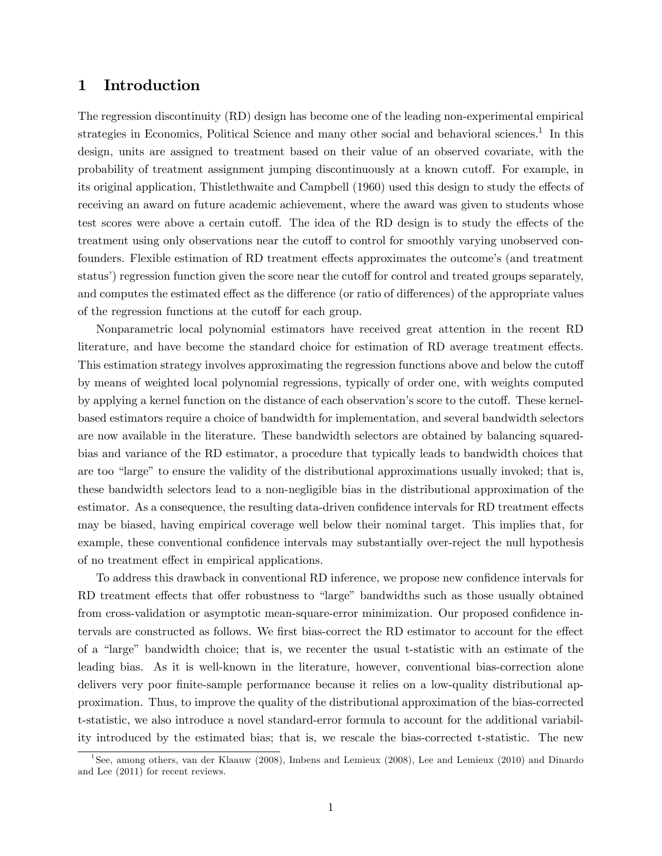### 1 Introduction

The regression discontinuity (RD) design has become one of the leading non-experimental empirical strategies in Economics, Political Science and many other social and behavioral sciences.<sup>[1](#page-1-0)</sup> In this design, units are assigned to treatment based on their value of an observed covariate, with the probability of treatment assignment jumping discontinuously at a known cutoff. For example, in its original application, Thistlethwaite and Campbell (1960) used this design to study the effects of receiving an award on future academic achievement, where the award was given to students whose test scores were above a certain cutoff. The idea of the RD design is to study the effects of the treatment using only observations near the cutoff to control for smoothly varying unobserved confounders. Flexible estimation of RD treatment effects approximates the outcome's (and treatment status') regression function given the score near the cutoff for control and treated groups separately, and computes the estimated effect as the difference (or ratio of differences) of the appropriate values of the regression functions at the cutoff for each group.

Nonparametric local polynomial estimators have received great attention in the recent RD literature, and have become the standard choice for estimation of RD average treatment effects. This estimation strategy involves approximating the regression functions above and below the cutoff by means of weighted local polynomial regressions, typically of order one, with weights computed by applying a kernel function on the distance of each observation's score to the cutoff. These kernelbased estimators require a choice of bandwidth for implementation, and several bandwidth selectors are now available in the literature. These bandwidth selectors are obtained by balancing squaredbias and variance of the RD estimator, a procedure that typically leads to bandwidth choices that are too "large" to ensure the validity of the distributional approximations usually invoked; that is, these bandwidth selectors lead to a non-negligible bias in the distributional approximation of the estimator. As a consequence, the resulting data-driven confidence intervals for RD treatment effects may be biased, having empirical coverage well below their nominal target. This implies that, for example, these conventional confidence intervals may substantially over-reject the null hypothesis of no treatment effect in empirical applications.

To address this drawback in conventional RD inference, we propose new confidence intervals for RD treatment effects that offer robustness to "large" bandwidths such as those usually obtained from cross-validation or asymptotic mean-square-error minimization. Our proposed confidence intervals are constructed as follows. We first bias-correct the RD estimator to account for the effect of a "large" bandwidth choice; that is, we recenter the usual t-statistic with an estimate of the leading bias. As it is well-known in the literature, however, conventional bias-correction alone delivers very poor finite-sample performance because it relies on a low-quality distributional approximation. Thus, to improve the quality of the distributional approximation of the bias-corrected t-statistic, we also introduce a novel standard-error formula to account for the additional variability introduced by the estimated bias; that is, we rescale the bias-corrected t-statistic. The new

<span id="page-1-0"></span><sup>&</sup>lt;sup>1</sup>See, among others, van der Klaauw (2008), Imbens and Lemieux (2008), Lee and Lemieux (2010) and Dinardo and Lee (2011) for recent reviews.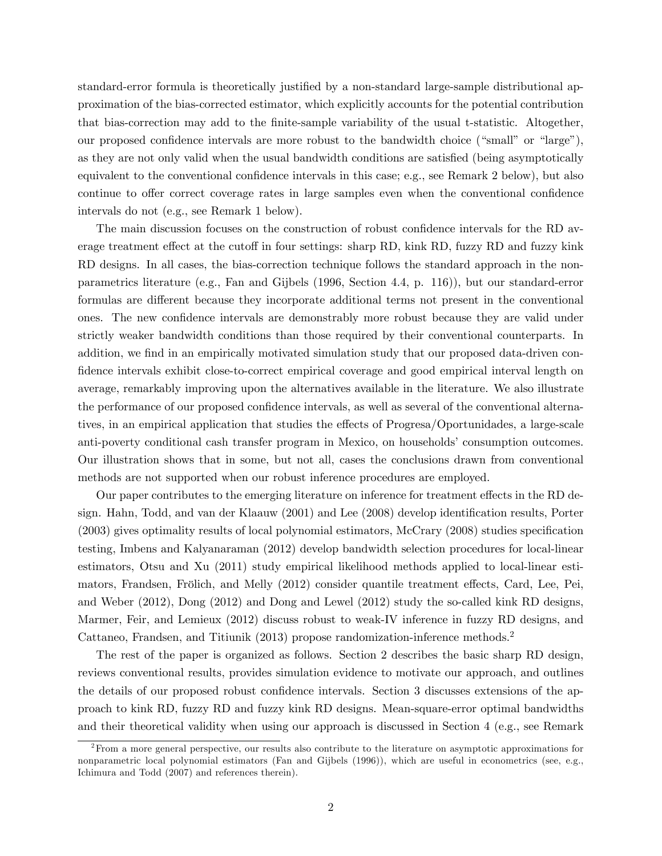standard-error formula is theoretically justified by a non-standard large-sample distributional approximation of the bias-corrected estimator, which explicitly accounts for the potential contribution that bias-correction may add to the finite-sample variability of the usual t-statistic. Altogether, our proposed confidence intervals are more robust to the bandwidth choice ("small" or "large"), as they are not only valid when the usual bandwidth conditions are satisfied (being asymptotically equivalent to the conventional confidence intervals in this case; e.g., see Remark  $2$  below), but also continue to offer correct coverage rates in large samples even when the conventional confidence intervals do not (e.g., see Remark 1 below).

The main discussion focuses on the construction of robust confidence intervals for the RD average treatment effect at the cutoff in four settings: sharp RD, kink RD, fuzzy RD and fuzzy kink RD designs. In all cases, the bias-correction technique follows the standard approach in the nonparametrics literature (e.g., Fan and Gijbels (1996, Section 4.4, p. 116)), but our standard-error formulas are different because they incorporate additional terms not present in the conventional ones. The new confidence intervals are demonstrably more robust because they are valid under strictly weaker bandwidth conditions than those required by their conventional counterparts. In addition, we find in an empirically motivated simulation study that our proposed data-driven confidence intervals exhibit close-to-correct empirical coverage and good empirical interval length on average, remarkably improving upon the alternatives available in the literature. We also illustrate the performance of our proposed confidence intervals, as well as several of the conventional alternatives, in an empirical application that studies the effects of Progresa/Oportunidades, a large-scale anti-poverty conditional cash transfer program in Mexico, on households' consumption outcomes. Our illustration shows that in some, but not all, cases the conclusions drawn from conventional methods are not supported when our robust inference procedures are employed.

Our paper contributes to the emerging literature on inference for treatment effects in the RD design. Hahn, Todd, and van der Klaauw (2001) and Lee (2008) develop identification results, Porter  $(2003)$  gives optimality results of local polynomial estimators, McCrary  $(2008)$  studies specification testing, Imbens and Kalyanaraman (2012) develop bandwidth selection procedures for local-linear estimators, Otsu and Xu (2011) study empirical likelihood methods applied to local-linear estimators, Frandsen, Frölich, and Melly (2012) consider quantile treatment effects, Card, Lee, Pei, and Weber (2012), Dong (2012) and Dong and Lewel (2012) study the so-called kink RD designs, Marmer, Feir, and Lemieux (2012) discuss robust to weak-IV inference in fuzzy RD designs, and Cattaneo, Frandsen, and Titiunik (2013) propose randomization-inference methods.[2](#page-2-0)

The rest of the paper is organized as follows. Section 2 describes the basic sharp RD design, reviews conventional results, provides simulation evidence to motivate our approach, and outlines the details of our proposed robust confidence intervals. Section 3 discusses extensions of the approach to kink RD, fuzzy RD and fuzzy kink RD designs. Mean-square-error optimal bandwidths and their theoretical validity when using our approach is discussed in Section 4 (e.g., see Remark

<span id="page-2-0"></span><sup>&</sup>lt;sup>2</sup>From a more general perspective, our results also contribute to the literature on asymptotic approximations for nonparametric local polynomial estimators (Fan and Gijbels (1996)), which are useful in econometrics (see, e.g., Ichimura and Todd (2007) and references therein).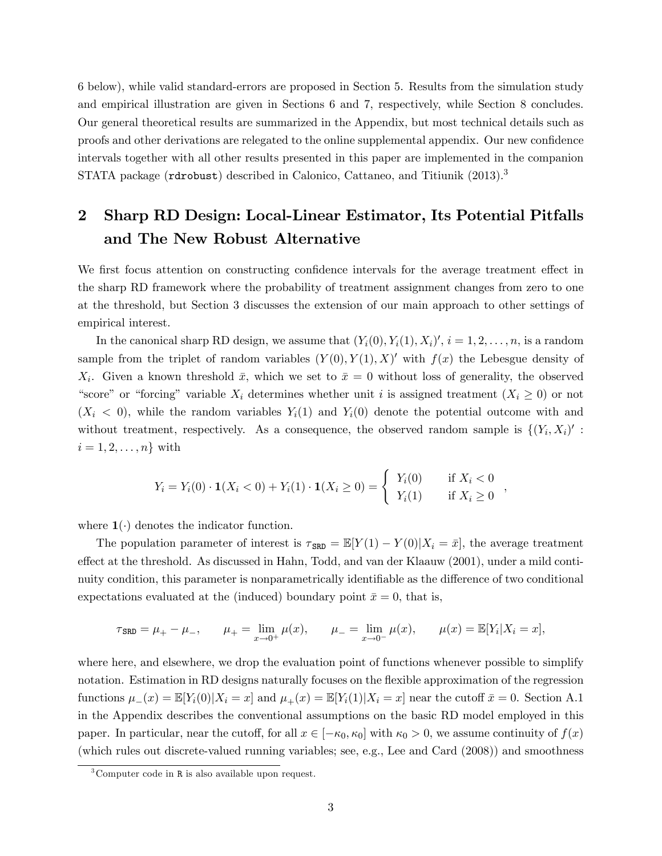6 below), while valid standard-errors are proposed in Section 5. Results from the simulation study and empirical illustration are given in Sections 6 and 7, respectively, while Section 8 concludes. Our general theoretical results are summarized in the Appendix, but most technical details such as proofs and other derivations are relegated to the online supplemental appendix. Our new confidence intervals together with all other results presented in this paper are implemented in the companion STATA package (rdrobust) described in Calonico, Cattaneo, and Titiunik (201[3](#page-3-0)).<sup>3</sup>

## 2 Sharp RD Design: Local-Linear Estimator, Its Potential Pitfalls and The New Robust Alternative

We first focus attention on constructing confidence intervals for the average treatment effect in the sharp RD framework where the probability of treatment assignment changes from zero to one at the threshold, but Section 3 discusses the extension of our main approach to other settings of empirical interest.

In the canonical sharp RD design, we assume that  $(Y_i(0), Y_i(1), X_i)'$ ,  $i = 1, 2, \ldots, n$ , is a random sample from the triplet of random variables  $(Y(0), Y(1), X)'$  with  $f(x)$  the Lebesgue density of  $X_i$ . Given a known threshold  $\bar{x}$ , which we set to  $\bar{x} = 0$  without loss of generality, the observed "score" or "forcing" variable  $X_i$  determines whether unit i is assigned treatment  $(X_i \geq 0)$  or not  $(X_i < 0)$ , while the random variables  $Y_i(1)$  and  $Y_i(0)$  denote the potential outcome with and without treatment, respectively. As a consequence, the observed random sample is  $\{(Y_i, X_i)'\}$ :  $i = 1, 2, \ldots, n$  with

$$
Y_i = Y_i(0) \cdot \mathbf{1}(X_i < 0) + Y_i(1) \cdot \mathbf{1}(X_i \ge 0) = \begin{cases} Y_i(0) & \text{if } X_i < 0 \\ Y_i(1) & \text{if } X_i \ge 0 \end{cases}
$$

,

where  $\mathbf{1}(\cdot)$  denotes the indicator function.

The population parameter of interest is  $\tau_{SRD} = \mathbb{E}[Y(1) - Y(0)|X_i = \bar{x}]$ , the average treatment effect at the threshold. As discussed in Hahn, Todd, and van der Klaauw (2001), under a mild continuity condition, this parameter is nonparametrically identifiable as the difference of two conditional expectations evaluated at the (induced) boundary point  $\bar{x} = 0$ , that is,

$$
\tau_{\text{SRD}} = \mu_{+} - \mu_{-}, \qquad \mu_{+} = \lim_{x \to 0^{+}} \mu(x), \qquad \mu_{-} = \lim_{x \to 0^{-}} \mu(x), \qquad \mu(x) = \mathbb{E}[Y_i | X_i = x],
$$

where here, and elsewhere, we drop the evaluation point of functions whenever possible to simplify notation. Estimation in RD designs naturally focuses on the flexible approximation of the regression functions  $\mu_-(x) = \mathbb{E}[Y_i(0)|X_i = x]$  and  $\mu_+(x) = \mathbb{E}[Y_i(1)|X_i = x]$  near the cutoff  $\bar{x} = 0$ . Section A.1 in the Appendix describes the conventional assumptions on the basic RD model employed in this paper. In particular, near the cutoff, for all  $x \in [-\kappa_0, \kappa_0]$  with  $\kappa_0 > 0$ , we assume continuity of  $f(x)$ (which rules out discrete-valued running variables; see, e.g., Lee and Card (2008)) and smoothness

<span id="page-3-0"></span> $3^3$ Computer code in R is also available upon request.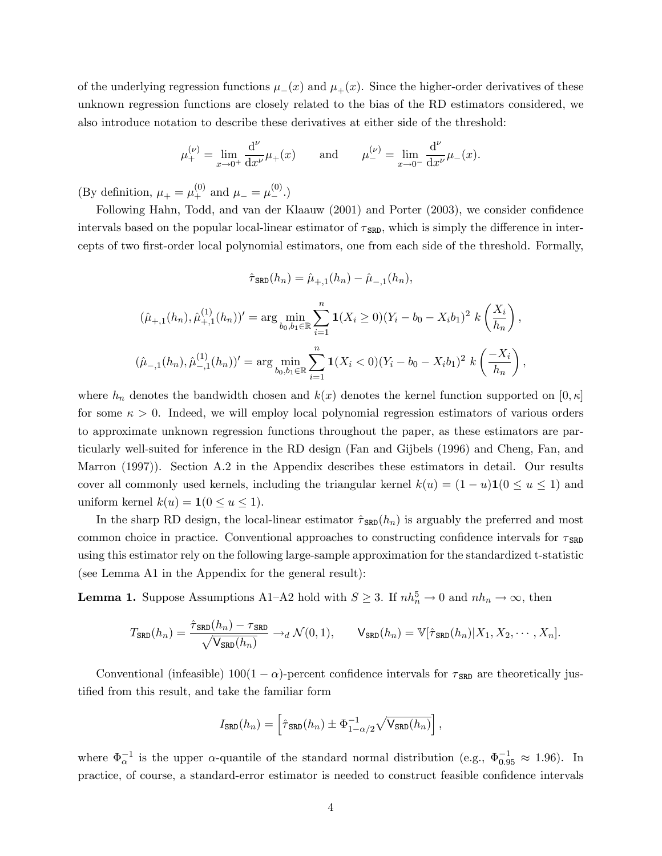of the underlying regression functions  $\mu_-(x)$  and  $\mu_+(x)$ . Since the higher-order derivatives of these unknown regression functions are closely related to the bias of the RD estimators considered, we also introduce notation to describe these derivatives at either side of the threshold:

$$
\mu_{+}^{(\nu)} = \lim_{x \to 0^{+}} \frac{d^{\nu}}{dx^{\nu}} \mu_{+}(x)
$$
 and  $\mu_{-}^{(\nu)} = \lim_{x \to 0^{-}} \frac{d^{\nu}}{dx^{\nu}} \mu_{-}(x).$ 

(By definition,  $\mu_+ = \mu_+^{(0)}$  and  $\mu_- = \mu_-^{(0)}$ .)

Following Hahn, Todd, and van der Klaauw (2001) and Porter (2003), we consider confidence intervals based on the popular local-linear estimator of  $\tau_{SRD}$ , which is simply the difference in intercepts of two first-order local polynomial estimators, one from each side of the threshold. Formally,

$$
\hat{\tau}_{\text{SRD}}(h_n) = \hat{\mu}_{+,1}(h_n) - \hat{\mu}_{-,1}(h_n),
$$

$$
(\hat{\mu}_{+,1}(h_n), \hat{\mu}_{+,1}^{(1)}(h_n))' = \arg \min_{b_0, b_1 \in \mathbb{R}} \sum_{i=1}^n \mathbf{1}(X_i \ge 0)(Y_i - b_0 - X_i b_1)^2 \ k \left(\frac{X_i}{h_n}\right),
$$
  

$$
(\hat{\mu}_{-,1}(h_n), \hat{\mu}_{-,1}^{(1)}(h_n))' = \arg \min_{b_0, b_1 \in \mathbb{R}} \sum_{i=1}^n \mathbf{1}(X_i < 0)(Y_i - b_0 - X_i b_1)^2 \ k \left(\frac{-X_i}{h_n}\right),
$$

where  $h_n$  denotes the bandwidth chosen and  $k(x)$  denotes the kernel function supported on  $[0, \kappa]$ for some  $\kappa > 0$ . Indeed, we will employ local polynomial regression estimators of various orders to approximate unknown regression functions throughout the paper, as these estimators are particularly well-suited for inference in the RD design (Fan and Gijbels (1996) and Cheng, Fan, and Marron (1997)). Section A.2 in the Appendix describes these estimators in detail. Our results cover all commonly used kernels, including the triangular kernel  $k(u) = (1 - u)\mathbf{1}(0 \le u \le 1)$  and uniform kernel  $k(u) = \mathbf{1}(0 \le u \le 1)$ .

In the sharp RD design, the local-linear estimator  $\hat{\tau}_{SRD}(h_n)$  is arguably the preferred and most common choice in practice. Conventional approaches to constructing confidence intervals for  $\tau_{\text{SRD}}$ using this estimator rely on the following large-sample approximation for the standardized t-statistic (see Lemma A1 in the Appendix for the general result):

**Lemma 1.** Suppose Assumptions A1-A2 hold with  $S \geq 3$ . If  $nh_n^5 \to 0$  and  $nh_n \to \infty$ , then

$$
T_{\text{SRD}}(h_n) = \frac{\hat{\tau}_{\text{SRD}}(h_n) - \tau_{\text{SRD}}}{\sqrt{\mathsf{V}_{\text{SRD}}(h_n)}} \to_d \mathcal{N}(0, 1), \qquad \mathsf{V}_{\text{SRD}}(h_n) = \mathbb{V}[\hat{\tau}_{\text{SRD}}(h_n) | X_1, X_2, \cdots, X_n].
$$

Conventional (infeasible)  $100(1 - \alpha)$ -percent confidence intervals for  $\tau_{SRD}$  are theoretically justified from this result, and take the familiar form

$$
I_{\text{SRD}}(h_n) = \left[\hat{\tau}_{\text{SRD}}(h_n) \pm \Phi_{1-\alpha/2}^{-1} \sqrt{\mathsf{V}_{\text{SRD}}(h_n)}\right],
$$

where  $\Phi_{\alpha}^{-1}$  is the upper  $\alpha$ -quantile of the standard normal distribution (e.g.,  $\Phi_{0.95}^{-1} \approx 1.96$ ). In practice, of course, a standard-error estimator is needed to construct feasible confidence intervals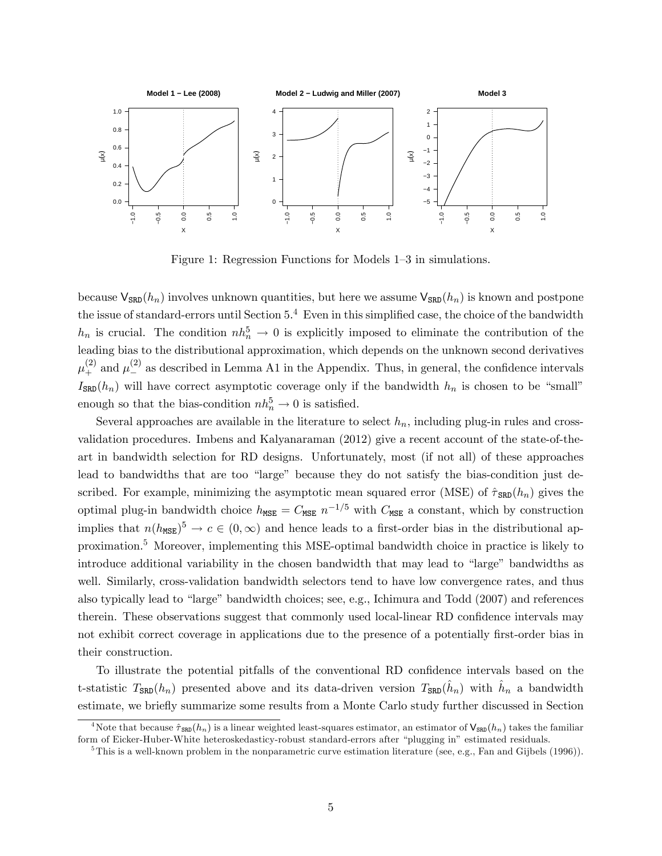

Figure 1: Regression Functions for Models  $1-3$  in simulations.

because  $\mathsf{V}_{\text{SRD}}(h_n)$  involves unknown quantities, but here we assume  $\mathsf{V}_{\text{SRD}}(h_n)$  is known and postpone the issue of standard-errors until Section  $5<sup>4</sup>$  $5<sup>4</sup>$  $5<sup>4</sup>$  Even in this simplified case, the choice of the bandwidth  $h_n$  is crucial. The condition  $nh_n^5 \to 0$  is explicitly imposed to eliminate the contribution of the leading bias to the distributional approximation, which depends on the unknown second derivatives  $\mu_+^{(2)}$  and  $\mu_-^{(2)}$  as described in Lemma A1 in the Appendix. Thus, in general, the confidence intervals  $I_{SRD}(h_n)$  will have correct asymptotic coverage only if the bandwidth  $h_n$  is chosen to be "small" enough so that the bias-condition  $nh_n^5 \to 0$  is satisfied.

Several approaches are available in the literature to select  $h_n$ , including plug-in rules and crossvalidation procedures. Imbens and Kalyanaraman (2012) give a recent account of the state-of-theart in bandwidth selection for RD designs. Unfortunately, most (if not all) of these approaches lead to bandwidths that are too "large" because they do not satisfy the bias-condition just described. For example, minimizing the asymptotic mean squared error (MSE) of  $\hat{\tau}_{SRD}(h_n)$  gives the optimal plug-in bandwidth choice  $h_{\text{MSE}} = C_{\text{MSE}} n^{-1/5}$  with  $C_{\text{MSE}}$  a constant, which by construction implies that  $n(h_{\text{MSE}})^5 \to c \in (0,\infty)$  and hence leads to a first-order bias in the distributional approximation.[5](#page-5-1) Moreover, implementing this MSE-optimal bandwidth choice in practice is likely to introduce additional variability in the chosen bandwidth that may lead to "large" bandwidths as well. Similarly, cross-validation bandwidth selectors tend to have low convergence rates, and thus also typically lead to "large" bandwidth choices; see, e.g., Ichimura and Todd (2007) and references therein. These observations suggest that commonly used local-linear RD confidence intervals may not exhibit correct coverage in applications due to the presence of a potentially first-order bias in their construction.

To illustrate the potential pitfalls of the conventional RD confidence intervals based on the t-statistic  $T_{\text{SRD}}(h_n)$  presented above and its data-driven version  $T_{\text{SRD}}(\hat{h}_n)$  with  $\hat{h}_n$  a bandwidth estimate, we brieáy summarize some results from a Monte Carlo study further discussed in Section

<span id="page-5-0"></span><sup>&</sup>lt;sup>4</sup>Note that because  $\hat{\tau}_{SRD}(h_n)$  is a linear weighted least-squares estimator, an estimator of  $V_{SRD}(h_n)$  takes the familiar form of Eicker-Huber-White heteroskedasticy-robust standard-errors after "plugging in" estimated residuals.

<span id="page-5-1"></span><sup>&</sup>lt;sup>5</sup>This is a well-known problem in the nonparametric curve estimation literature (see, e.g., Fan and Gijbels (1996)).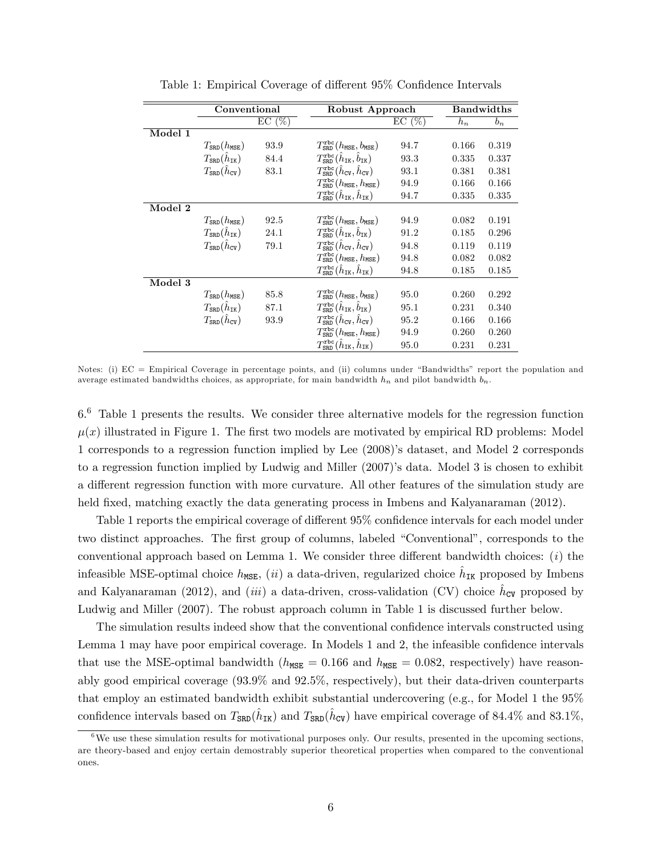|         | Conventional                              |       | Robust Approach                                                         |          | <b>Bandwidths</b> |       |
|---------|-------------------------------------------|-------|-------------------------------------------------------------------------|----------|-------------------|-------|
|         |                                           | EC(%) |                                                                         | $EC(\%)$ | $h_n$             | $b_n$ |
| Model 1 |                                           |       |                                                                         |          |                   |       |
|         | $T_{\tt SRD}(h_{\tt MSE})$                | 93.9  | $T_{\text{SRD}}^{\text{rbc}}(h_{\text{MSE}},b_{\text{MSE}})$            | 94.7     | 0.166             | 0.319 |
|         | $T_{\text{SRD}}(h_{\text{IK}})$           | 84.4  | $T_{\text{SRD}}^{\text{rbc}}(\hat{h}_{\text{IK}}, \hat{b}_{\text{IK}})$ | 93.3     | 0.335             | 0.337 |
|         | $T_{\tt SRD}(\hat{h}_{\tt CV})$           | 83.1  | $T_{\rm SRD}^{\rm rbc}(\hat{h}_{\rm CV}, \hat{h}_{\rm CV})$             | 93.1     | 0.381             | 0.381 |
|         |                                           |       | $T_{\texttt{SRD}}^{\texttt{rbc}}(h_{\texttt{MSE}},h_{\texttt{MSE}})$    | 94.9     | 0.166             | 0.166 |
|         |                                           |       | $T_{\tt SRD}^{\tt rbc}(\hat{h}_{\tt IK}, \hat{h}_{\tt IK})$             | 94.7     | 0.335             | 0.335 |
| Model 2 |                                           |       |                                                                         |          |                   |       |
|         | $T_{\tt SRD}(h_{\tt MSE})$                | 92.5  | $T_{\text{SRD}}^{\text{rbc}}(h_{\text{MSE}},b_{\text{MSE}})$            | 94.9     | 0.082             | 0.191 |
|         | $T_{\text{SRD}}(h_{\text{IK}})$           | 24.1  | $T^{\tt rbc}_{\tt SRD}(\hat{h}_{\tt IK}, \hat{b}_{\tt IK})$             | 91.2     | 0.185             | 0.296 |
|         | $T_{\tt SRD}(\hat{h}_{\tt CV})$           | 79.1  | $T_{\rm SRD}^{\rm rbc}(\hat{h}_{\rm CV}, \hat{h}_{\rm CV})$             | 94.8     | 0.119             | 0.119 |
|         |                                           |       | $T_{SRD}^{rbc}(h_{MSE}, h_{MSE})$                                       | 94.8     | 0.082             | 0.082 |
|         |                                           |       | $T_{\text{SRD}}^{\text{rbc}}(\hat{h}_{\text{IK}}, \hat{h}_{\text{IK}})$ | 94.8     | 0.185             | 0.185 |
| Model 3 |                                           |       |                                                                         |          |                   |       |
|         | $T_{\tt SRD}(h_{\tt MSE})$                | 85.8  | $T_{SRD}^{\rm rbc}(h_{\rm MSE},b_{\rm MSE})$                            | 95.0     | 0.260             | 0.292 |
|         | $T_{\mathtt{SRD}}(\hat{h}_{\mathtt{IK}})$ | 87.1  | $T^{\rm rbc}_{\rm SRD}(\hat{h}_{\rm IK},\hat{b}_{\rm IK})$              | 95.1     | 0.231             | 0.340 |
|         | $T_{\text{SRD}}(\tilde{h}_{\text{CV}})$   | 93.9  | $T_{\rm SRD}^{\rm rbc}(\hat{h}_{\rm CV}, \hat{h}_{\rm CV})$             | 95.2     | 0.166             | 0.166 |
|         |                                           |       | $T_{\texttt{SRD}}^{\texttt{rbc}}(h_{\texttt{MSE}},h_{\texttt{MSE}})$    | 94.9     | 0.260             | 0.260 |
|         |                                           |       | $T_{\text{SRD}}^{\text{rbc}}(\hat{h}_{\text{IK}}, \hat{h}_{\text{IK}})$ | 95.0     | 0.231             | 0.231 |

Table 1: Empirical Coverage of different 95\% Confidence Intervals

Notes: (i)  $EC =$  Empirical Coverage in percentage points, and (ii) columns under "Bandwidths" report the population and average estimated bandwidths choices, as appropriate, for main bandwidth  $h_n$  and pilot bandwidth  $b_n$ .

6.[6](#page-6-0) Table 1 presents the results. We consider three alternative models for the regression function  $\mu(x)$  illustrated in Figure 1. The first two models are motivated by empirical RD problems: Model 1 corresponds to a regression function implied by Lee (2008)ís dataset, and Model 2 corresponds to a regression function implied by Ludwig and Miller (2007)'s data. Model 3 is chosen to exhibit a different regression function with more curvature. All other features of the simulation study are held fixed, matching exactly the data generating process in Imbens and Kalyanaraman (2012).

Table 1 reports the empirical coverage of different 95% confidence intervals for each model under two distinct approaches. The first group of columns, labeled "Conventional", corresponds to the conventional approach based on Lemma 1. We consider three different bandwidth choices:  $(i)$  the infeasible MSE-optimal choice  $h_{\text{MSE}}$ , (*ii*) a data-driven, regularized choice  $\hat{h}_{\text{IK}}$  proposed by Imbens and Kalyanaraman (2012), and (iii) a data-driven, cross-validation (CV) choice  $\hat{h}_{\text{CV}}$  proposed by Ludwig and Miller (2007). The robust approach column in Table 1 is discussed further below.

The simulation results indeed show that the conventional confidence intervals constructed using Lemma 1 may have poor empirical coverage. In Models 1 and 2, the infeasible confidence intervals that use the MSE-optimal bandwidth ( $h_{\text{MSE}} = 0.166$  and  $h_{\text{MSE}} = 0.082$ , respectively) have reasonably good empirical coverage (93:9% and 92:5%, respectively), but their data-driven counterparts that employ an estimated bandwidth exhibit substantial undercovering (e.g., for Model 1 the 95% confidence intervals based on  $T_{\text{SRD}}(\hat{h}_{\text{IK}})$  and  $T_{\text{SRD}}(\hat{h}_{\text{CV}})$  have empirical coverage of 84.4% and 83.1%,

<span id="page-6-0"></span><sup>&</sup>lt;sup>6</sup>We use these simulation results for motivational purposes only. Our results, presented in the upcoming sections, are theory-based and enjoy certain demostrably superior theoretical properties when compared to the conventional ones.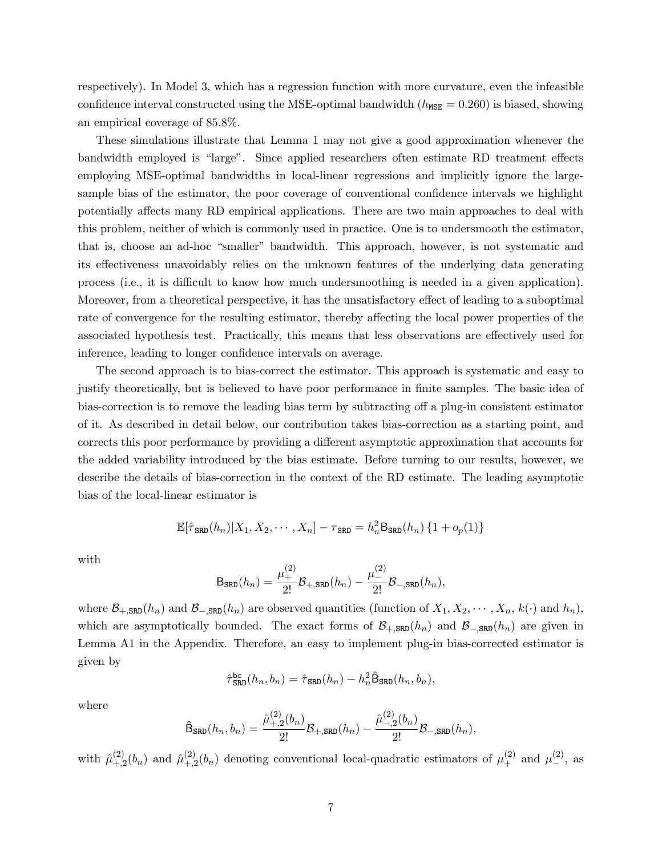respectively). In Model 3, which has a regression function with more curvature, even the infeasible confidence interval constructed using the MSE-optimal bandwidth ( $h_{\text{MSE}} = 0.260$ ) is biased, showing an empirical coverage of 85:8%.

These simulations illustrate that Lemma 1 may not give a good approximation whenever the bandwidth employed is "large". Since applied researchers often estimate RD treatment effects employing MSE-optimal bandwidths in local-linear regressions and implicitly ignore the largesample bias of the estimator, the poor coverage of conventional confidence intervals we highlight potentially affects many RD empirical applications. There are two main approaches to deal with this problem, neither of which is commonly used in practice. One is to undersmooth the estimator, that is, choose an ad-hoc "smaller" bandwidth. This approach, however, is not systematic and its effectiveness unavoidably relies on the unknown features of the underlying data generating process (i.e., it is difficult to know how much undersmoothing is needed in a given application). Moreover, from a theoretical perspective, it has the unsatisfactory effect of leading to a suboptimal rate of convergence for the resulting estimator, thereby affecting the local power properties of the associated hypothesis test. Practically, this means that less observations are effectively used for inference, leading to longer confidence intervals on average.

The second approach is to bias-correct the estimator. This approach is systematic and easy to justify theoretically, but is believed to have poor performance in finite samples. The basic idea of bias-correction is to remove the leading bias term by subtracting of a plug-in consistent estimator of it. As described in detail below, our contribution takes bias-correction as a starting point, and corrects this poor performance by providing a different asymptotic approximation that accounts for the added variability introduced by the bias estimate. Before turning to our results, however, we describe the details of bias-correction in the context of the RD estimate. The leading asymptotic bias of the local-linear estimator is

$$
\mathbb{E}[\hat{\tau}_{\text{SRD}}(h_n)|X_1, X_2, \cdots, X_n] - \tau_{\text{SRD}} = h_n^2 \mathsf{B}_{\text{SRD}}(h_n) \{1 + o_p(1)\}\
$$

with

$$
\mathsf{B}_{\texttt{SRD}}(h_n) = \frac{\mu_+^{(2)}}{2!} \mathcal{B}_{+,\texttt{SRD}}(h_n) - \frac{\mu_-^{(2)}}{2!} \mathcal{B}_{-,\texttt{SRD}}(h_n),
$$

where  $\mathcal{B}_{+,\text{SRD}}(h_n)$  and  $\mathcal{B}_{-,\text{SRD}}(h_n)$  are observed quantities (function of  $X_1, X_2, \cdots, X_n, k(\cdot)$  and  $h_n$ ), which are asymptotically bounded. The exact forms of  $\mathcal{B}_{+,\text{SRD}}(h_n)$  and  $\mathcal{B}_{-,\text{SRD}}(h_n)$  are given in Lemma A1 in the Appendix. Therefore, an easy to implement plug-in bias-corrected estimator is given by

$$
\hat{\tau}_{\text{SRD}}^{\text{bc}}(h_n, b_n) = \hat{\tau}_{\text{SRD}}(h_n) - h_n^2 \hat{\mathbf{B}}_{\text{SRD}}(h_n, b_n),
$$

where

$$
\hat{\mathsf{B}}_{\text{SRD}}(h_n, b_n) = \frac{\hat{\mu}_{+,2}^{(2)}(b_n)}{2!} \mathcal{B}_{+,\text{SRD}}(h_n) - \frac{\hat{\mu}_{-,2}^{(2)}(b_n)}{2!} \mathcal{B}_{-,\text{SRD}}(h_n),
$$

with  $\hat{\mu}^{(2)}_{+,\circ}$  $_{+,2}^{(2)}(b_n)$  and  $\hat{\mu}_{+,2}^{(2)}$  $^{(2)}_{+,2}(b_n)$  denoting conventional local-quadratic estimators of  $\mu^{(2)}_+$  and  $\mu^{(2)}_-$ , as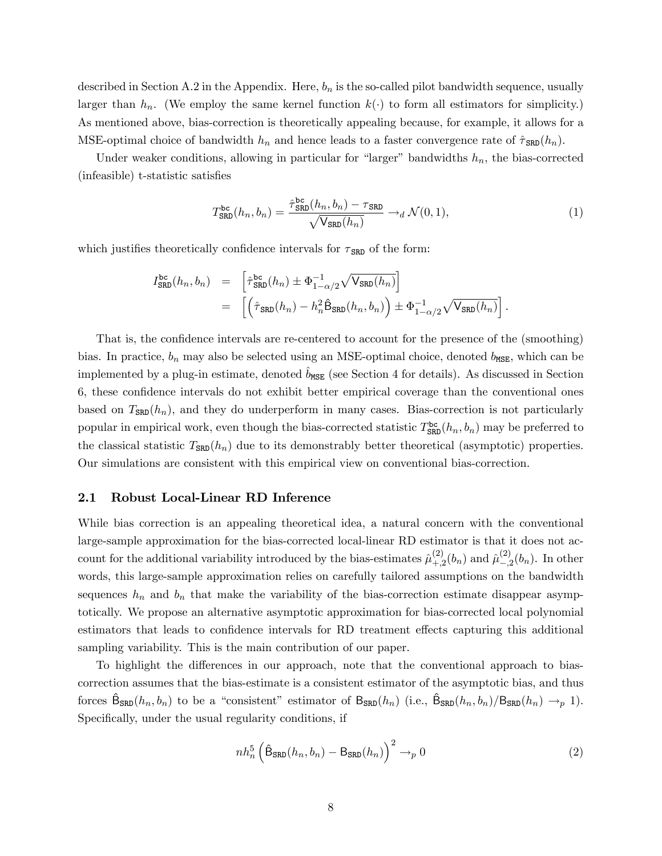described in Section A.2 in the Appendix. Here,  $b_n$  is the so-called pilot bandwidth sequence, usually larger than  $h_n$ . (We employ the same kernel function  $k(\cdot)$  to form all estimators for simplicity.) As mentioned above, bias-correction is theoretically appealing because, for example, it allows for a MSE-optimal choice of bandwidth  $h_n$  and hence leads to a faster convergence rate of  $\hat{\tau}_{SRD}(h_n)$ .

Under weaker conditions, allowing in particular for "larger" bandwidths  $h_n$ , the bias-corrected (infeasible) t-statistic satisfies

<span id="page-8-0"></span>
$$
T_{\text{SRD}}^{\text{bc}}(h_n, b_n) = \frac{\hat{\tau}_{\text{SRD}}^{\text{bc}}(h_n, b_n) - \tau_{\text{SRD}}}{\sqrt{\text{V}_{\text{SRD}}(h_n)}} \to_d \mathcal{N}(0, 1),\tag{1}
$$

which justifies theoretically confidence intervals for  $\tau_{SRD}$  of the form:

$$
I_{\text{SRD}}^{\text{bc}}(h_n, b_n) = \left[ \hat{\tau}_{\text{SRD}}^{\text{bc}}(h_n) \pm \Phi_{1-\alpha/2}^{-1} \sqrt{\mathsf{V}_{\text{SRD}}(h_n)} \right]
$$
  

$$
= \left[ \left( \hat{\tau}_{\text{SRD}}(h_n) - h_n^2 \hat{\mathsf{B}}_{\text{SRD}}(h_n, b_n) \right) \pm \Phi_{1-\alpha/2}^{-1} \sqrt{\mathsf{V}_{\text{SRD}}(h_n)} \right].
$$

That is, the confidence intervals are re-centered to account for the presence of the (smoothing) bias. In practice,  $b_n$  may also be selected using an MSE-optimal choice, denoted  $b_{\text{MSE}}$ , which can be implemented by a plug-in estimate, denoted  $b_{MSE}$  (see Section 4 for details). As discussed in Section 6, these confidence intervals do not exhibit better empirical coverage than the conventional ones based on  $T_{\text{SRD}}(h_n)$ , and they do underperform in many cases. Bias-correction is not particularly popular in empirical work, even though the bias-corrected statistic  $T_{SRD}^{bc}(h_n, b_n)$  may be preferred to the classical statistic  $T_{SRD}(h_n)$  due to its demonstrably better theoretical (asymptotic) properties. Our simulations are consistent with this empirical view on conventional bias-correction.

#### 2.1 Robust Local-Linear RD Inference

While bias correction is an appealing theoretical idea, a natural concern with the conventional large-sample approximation for the bias-corrected local-linear RD estimator is that it does not account for the additional variability introduced by the bias-estimates  $\hat{\mu}^{(2)}_{+}$  $_{+,2}^{(2)}(b_n)$  and  $\hat{\mu}_{-,2}^{(2)}$  $_{-,2}^{(2)}(b_n)$ . In other words, this large-sample approximation relies on carefully tailored assumptions on the bandwidth sequences  $h_n$  and  $b_n$  that make the variability of the bias-correction estimate disappear asymptotically. We propose an alternative asymptotic approximation for bias-corrected local polynomial estimators that leads to confidence intervals for RD treatment effects capturing this additional sampling variability. This is the main contribution of our paper.

To highlight the differences in our approach, note that the conventional approach to biascorrection assumes that the bias-estimate is a consistent estimator of the asymptotic bias, and thus forces  $\hat{\mathsf{B}}_{\text{SRD}}(h_n, b_n)$  to be a "consistent" estimator of  $\mathsf{B}_{\text{SRD}}(h_n)$  (i.e.,  $\hat{\mathsf{B}}_{\text{SRD}}(h_n, b_n)/\mathsf{B}_{\text{SRD}}(h_n) \rightarrow_p 1$ ). Specifically, under the usual regularity conditions, if

<span id="page-8-1"></span>
$$
nh_n^5\left(\hat{\mathsf{B}}_{\text{SRD}}(h_n, b_n) - \mathsf{B}_{\text{SRD}}(h_n)\right)^2 \to_p 0
$$
\n(2)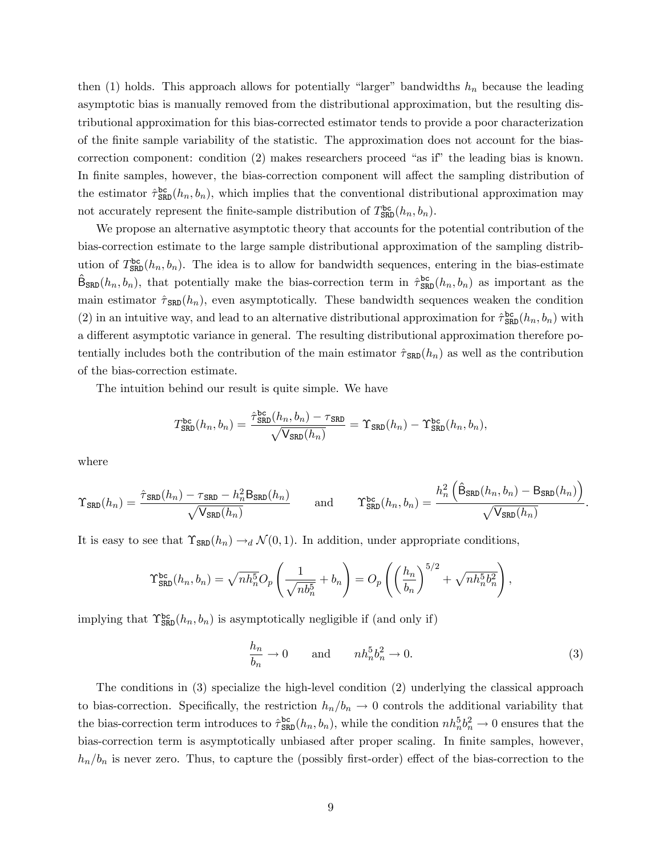then [\(1\)](#page-8-0) holds. This approach allows for potentially "larger" bandwidths  $h_n$  because the leading asymptotic bias is manually removed from the distributional approximation, but the resulting distributional approximation for this bias-corrected estimator tends to provide a poor characterization of the Önite sample variability of the statistic. The approximation does not account for the biascorrection component: condition  $(2)$  makes researchers proceed "as if" the leading bias is known. In finite samples, however, the bias-correction component will affect the sampling distribution of the estimator  $\hat{\tau}_{SRD}^{bc}(h_n, b_n)$ , which implies that the conventional distributional approximation may not accurately represent the finite-sample distribution of  $T_{\text{SRD}}^{\text{bc}}(h_n, b_n)$ .

We propose an alternative asymptotic theory that accounts for the potential contribution of the bias-correction estimate to the large sample distributional approximation of the sampling distribution of  $T_{SRD}^{bc}(h_n, b_n)$ . The idea is to allow for bandwidth sequences, entering in the bias-estimate  $\hat{\mathsf{B}}_{\text{SRD}}(h_n, b_n)$ , that potentially make the bias-correction term in  $\hat{\tau}_{\text{SRD}}^{\text{bc}}(h_n, b_n)$  as important as the main estimator  $\hat{\tau}_{SRD}(h_n)$ , even asymptotically. These bandwidth sequences weaken the condition [\(2\)](#page-8-1) in an intuitive way, and lead to an alternative distributional approximation for  $\hat{\tau}_{SRD}^{bc}(h_n, b_n)$  with a different asymptotic variance in general. The resulting distributional approximation therefore potentially includes both the contribution of the main estimator  $\hat{\tau}_{\text{SRD}}(h_n)$  as well as the contribution of the bias-correction estimate.

The intuition behind our result is quite simple. We have

$$
T_{\text{SRD}}^{\text{bc}}(h_n, b_n) = \frac{\hat{\tau}_{\text{SRD}}^{\text{bc}}(h_n, b_n) - \tau_{\text{SRD}}}{\sqrt{\mathsf{V}_{\text{SRD}}(h_n)}} = \Upsilon_{\text{SRD}}(h_n) - \Upsilon_{\text{SRD}}^{\text{bc}}(h_n, b_n),
$$

where

$$
\Upsilon_{\text{SRD}}(h_n) = \frac{\hat{\tau}_{\text{SRD}}(h_n) - \tau_{\text{SRD}} - h_n^2 \text{B}_{\text{SRD}}(h_n)}{\sqrt{\text{V}_{\text{SRD}}(h_n)}} \quad \text{and} \quad \Upsilon_{\text{SRD}}^{\text{bc}}(h_n, b_n) = \frac{h_n^2 \left(\hat{\text{B}}_{\text{SRD}}(h_n, b_n) - \text{B}_{\text{SRD}}(h_n)\right)}{\sqrt{\text{V}_{\text{SRD}}(h_n)}}.
$$

It is easy to see that  $\Upsilon_{\text{SRD}}(h_n) \to_d \mathcal{N}(0, 1)$ . In addition, under appropriate conditions,

$$
\Upsilon_{\text{SRD}}^{\text{bc}}(h_n, b_n) = \sqrt{nh_n^5} O_p\left(\frac{1}{\sqrt{nb_n^5}} + b_n\right) = O_p\left(\left(\frac{h_n}{b_n}\right)^{5/2} + \sqrt{nh_n^5b_n^2}\right),
$$

implying that  $\Upsilon_{\text{SRD}}^{\text{bc}}(h_n, b_n)$  is asymptotically negligible if (and only if)

<span id="page-9-0"></span>
$$
\frac{h_n}{b_n} \to 0 \quad \text{and} \quad nh_n^5 b_n^2 \to 0. \tag{3}
$$

The conditions in [\(3\)](#page-9-0) specialize the high-level condition [\(2\)](#page-8-1) underlying the classical approach to bias-correction. Specifically, the restriction  $h_n/b_n \to 0$  controls the additional variability that the bias-correction term introduces to  $\hat{\tau}_{SRD}^{bc}(h_n, b_n)$ , while the condition  $nh_n^5b_n^2 \to 0$  ensures that the bias-correction term is asymptotically unbiased after proper scaling. In finite samples, however,  $h_n/b_n$  is never zero. Thus, to capture the (possibly first-order) effect of the bias-correction to the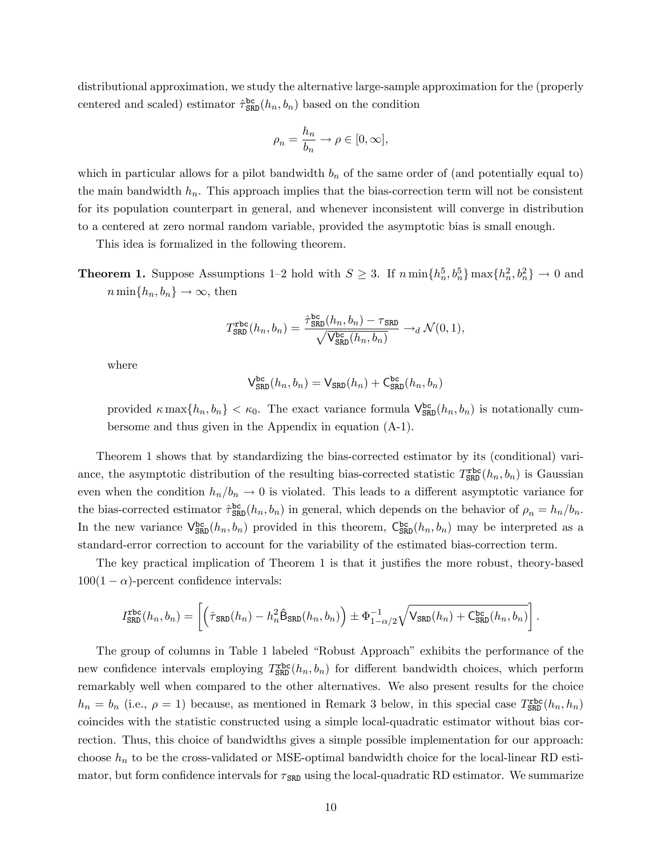distributional approximation, we study the alternative large-sample approximation for the (properly centered and scaled) estimator  $\hat{\tau}_{SRD}^{bc}(h_n, b_n)$  based on the condition

$$
\rho_n = \frac{h_n}{b_n} \to \rho \in [0, \infty],
$$

which in particular allows for a pilot bandwidth  $b_n$  of the same order of (and potentially equal to) the main bandwidth  $h_n$ . This approach implies that the bias-correction term will not be consistent for its population counterpart in general, and whenever inconsistent will converge in distribution to a centered at zero normal random variable, provided the asymptotic bias is small enough.

This idea is formalized in the following theorem.

**Theorem 1.** Suppose Assumptions 1–2 hold with  $S \geq 3$ . If  $n \min\{h_n^5, b_n^5\} \max\{h_n^2, b_n^2\} \to 0$  and  $n \min\{h_n, b_n\} \to \infty$ , then

$$
T_{\text{SRD}}^{\text{rbc}}(h_n, b_n) = \frac{\hat{\tau}_{\text{SRD}}^{\text{bc}}(h_n, b_n) - \tau_{\text{SRD}}}{\sqrt{\mathsf{V}_{\text{SRD}}^{\text{bc}}(h_n, b_n)}} \rightarrow_d \mathcal{N}(0, 1),
$$

where

$$
\mathsf{V}^{\mathsf{bc}}_{\mathtt{SRD}}(h_n, b_n) = \mathsf{V}_{\mathtt{SRD}}(h_n) + \mathsf{C}^{\mathsf{bc}}_{\mathtt{SRD}}(h_n, b_n)
$$

provided  $\kappa \max\{h_n, b_n\} < \kappa_0$ . The exact variance formula  $\mathsf{V}_{\text{SRD}}^{\text{bc}}(h_n, b_n)$  is notationally cumbersome and thus given in the Appendix in equation [\(A-1\)](#page-29-0).

Theorem 1 shows that by standardizing the bias-corrected estimator by its (conditional) variance, the asymptotic distribution of the resulting bias-corrected statistic  $T_{SRD}^{\text{rbc}}(h_n, b_n)$  is Gaussian even when the condition  $h_n/b_n \to 0$  is violated. This leads to a different asymptotic variance for the bias-corrected estimator  $\hat{\tau}_{SRD}^{bc}(h_n, b_n)$  in general, which depends on the behavior of  $\rho_n = h_n/b_n$ . In the new variance  $\mathsf{V}^{\text{bc}}_{\text{SRD}}(h_n, b_n)$  provided in this theorem,  $\mathsf{C}^{\text{bc}}_{\text{SRD}}(h_n, b_n)$  may be interpreted as a standard-error correction to account for the variability of the estimated bias-correction term.

The key practical implication of Theorem 1 is that it justifies the more robust, theory-based  $100(1 - \alpha)$ -percent confidence intervals:

$$
I_{\text{SRD}}^{\text{rbc}}(h_n, b_n) = \left[ \left( \hat{\tau}_{\text{SRD}}(h_n) - h_n^2 \hat{\mathsf{B}}_{\text{SRD}}(h_n, b_n) \right) \pm \Phi_{1-\alpha/2}^{-1} \sqrt{\mathsf{V}_{\text{SRD}}(h_n) + \mathsf{C}_{\text{SRD}}^{\text{bc}}(h_n, b_n)} \right].
$$

The group of columns in Table 1 labeled "Robust Approach" exhibits the performance of the new confidence intervals employing  $T_{SRD}^{\text{rbc}}(h_n, b_n)$  for different bandwidth choices, which perform remarkably well when compared to the other alternatives. We also present results for the choice  $h_n = b_n$  (i.e.,  $\rho = 1$ ) because, as mentioned in Remark 3 below, in this special case  $T_{SRD}^{\text{rbc}}(h_n, h_n)$ coincides with the statistic constructed using a simple local-quadratic estimator without bias correction. Thus, this choice of bandwidths gives a simple possible implementation for our approach: choose  $h_n$  to be the cross-validated or MSE-optimal bandwidth choice for the local-linear RD estimator, but form confidence intervals for  $\tau_{SRD}$  using the local-quadratic RD estimator. We summarize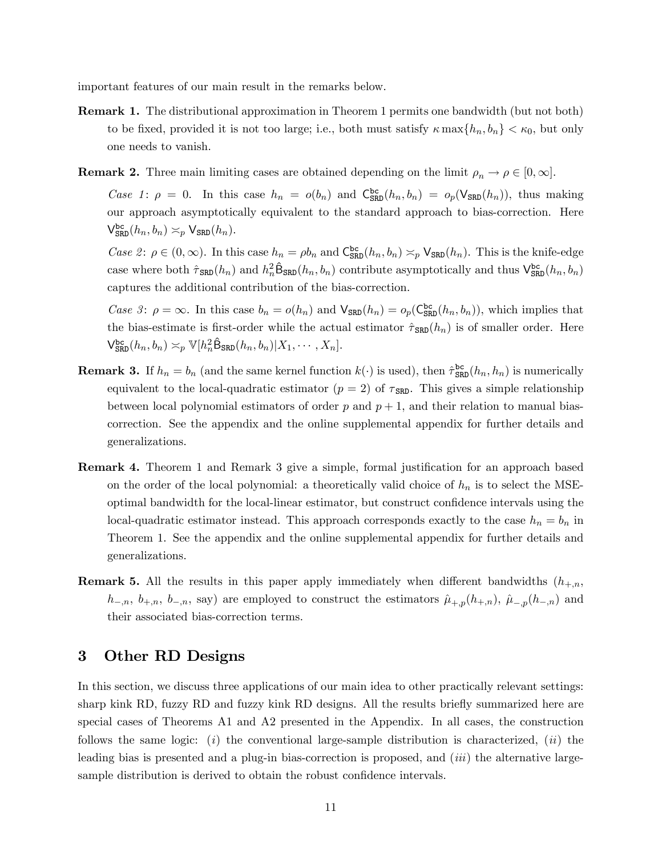important features of our main result in the remarks below.

- Remark 1. The distributional approximation in Theorem 1 permits one bandwidth (but not both) to be fixed, provided it is not too large; i.e., both must satisfy  $\kappa \max\{h_n, b_n\} < \kappa_0$ , but only one needs to vanish.
- **Remark 2.** Three main limiting cases are obtained depending on the limit  $\rho_n \to \rho \in [0, \infty]$ .

Case 1:  $\rho = 0$ . In this case  $h_n = o(b_n)$  and  $C_{SRD}^{bc}(h_n, b_n) = o_p(\mathsf{V}_{SRD}(h_n))$ , thus making our approach asymptotically equivalent to the standard approach to bias-correction. Here  $\mathsf{V}^{\mathtt{bc}}_{\mathtt{SRD}}(h_n, b_n) \asymp_p \mathsf{V}_{\mathtt{SRD}}(h_n).$ 

Case 2:  $\rho \in (0, \infty)$ . In this case  $h_n = \rho b_n$  and  $C_{SRD}^{bc}(h_n, b_n) \approx_p V_{SRD}(h_n)$ . This is the knife-edge case where both  $\hat{\tau}_{SRD}(h_n)$  and  $h_n^2 \hat{B}_{SRD}(h_n, b_n)$  contribute asymptotically and thus  $V_{SRD}^{bc}(h_n, b_n)$ captures the additional contribution of the bias-correction.

Case 3:  $\rho = \infty$ . In this case  $b_n = o(h_n)$  and  $\mathsf{V}_{\text{SRD}}(h_n) = o_p(\mathsf{C}_{\text{SRD}}^{\text{bc}}(h_n, b_n))$ , which implies that the bias-estimate is first-order while the actual estimator  $\hat{\tau}_{SRD}(h_n)$  is of smaller order. Here  $\mathsf{V}^{\text{bc}}_{\text{SRD}}(h_n, b_n) \asymp_p \mathbb{V}[h_n^2 \hat{\mathsf{B}}_{\text{SRD}}(h_n, b_n)|X_1, \cdots, X_n].$ 

- **Remark 3.** If  $h_n = b_n$  (and the same kernel function  $k(\cdot)$  is used), then  $\hat{\tau}_{SRD}^{bc}(h_n, h_n)$  is numerically equivalent to the local-quadratic estimator ( $p = 2$ ) of  $\tau_{SRD}$ . This gives a simple relationship between local polynomial estimators of order p and  $p + 1$ , and their relation to manual biascorrection. See the appendix and the online supplemental appendix for further details and generalizations.
- **Remark 4.** Theorem 1 and Remark 3 give a simple, formal justification for an approach based on the order of the local polynomial: a theoretically valid choice of  $h_n$  is to select the MSEoptimal bandwidth for the local-linear estimator, but construct confidence intervals using the local-quadratic estimator instead. This approach corresponds exactly to the case  $h_n = b_n$  in Theorem 1. See the appendix and the online supplemental appendix for further details and generalizations.
- **Remark 5.** All the results in this paper apply immediately when different bandwidths  $(h_{+,n},$  $h_{-,n}, b_{+,n}, b_{-,n}$ , say) are employed to construct the estimators  $\hat{\mu}_{+,p}(h_{+,n}), \hat{\mu}_{-,p}(h_{-,n})$  and their associated bias-correction terms.

### 3 Other RD Designs

In this section, we discuss three applications of our main idea to other practically relevant settings: sharp kink RD, fuzzy RD and fuzzy kink RD designs. All the results briefly summarized here are special cases of Theorems A1 and A2 presented in the Appendix. In all cases, the construction follows the same logic: (i) the conventional large-sample distribution is characterized, (ii) the leading bias is presented and a plug-in bias-correction is proposed, and *(iii)* the alternative largesample distribution is derived to obtain the robust confidence intervals.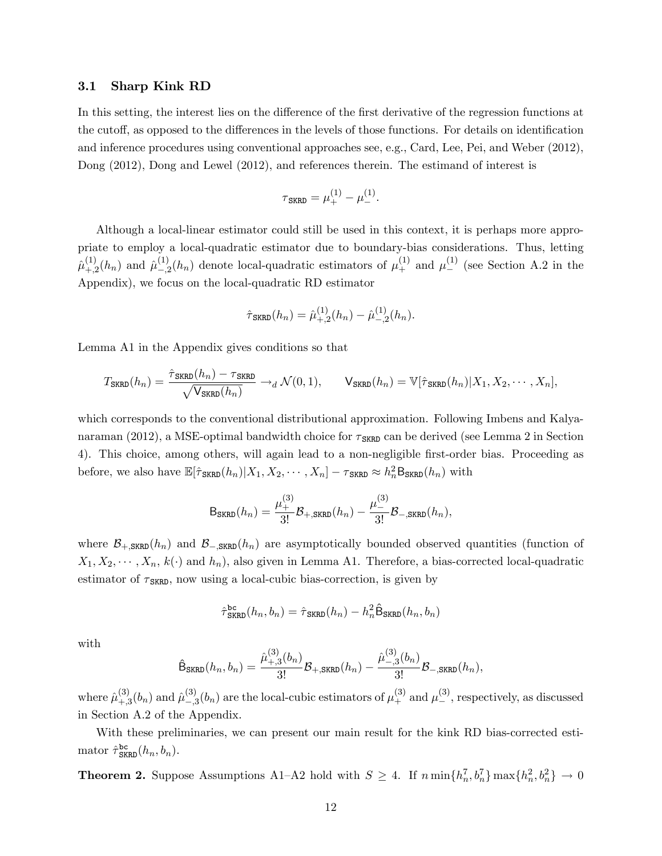#### 3.1 Sharp Kink RD

In this setting, the interest lies on the difference of the first derivative of the regression functions at the cutoff, as opposed to the differences in the levels of those functions. For details on identification and inference procedures using conventional approaches see, e.g., Card, Lee, Pei, and Weber (2012), Dong (2012), Dong and Lewel (2012), and references therein. The estimand of interest is

$$
\tau_{\text{SKRD}} = \mu_+^{(1)} - \mu_-^{(1)}.
$$

Although a local-linear estimator could still be used in this context, it is perhaps more appropriate to employ a local-quadratic estimator due to boundary-bias considerations. Thus, letting  $\hat{\mu}^{(1)}_{+}$  $_{+,2}^{(1)}(h_n)$  and  $\hat{\mu}_{-,2}^{(1)}$  $\binom{1}{-2}(h_n)$  denote local-quadratic estimators of  $\mu_+^{(1)}$  and  $\mu_-^{(1)}$  (see Section A.2 in the Appendix), we focus on the local-quadratic RD estimator

$$
\hat{\tau}_{\text{SKRD}}(h_n) = \hat{\mu}_{+,2}^{(1)}(h_n) - \hat{\mu}_{-,2}^{(1)}(h_n).
$$

Lemma A1 in the Appendix gives conditions so that

$$
T_{\text{SKRD}}(h_n) = \frac{\hat{\tau}_{\text{SKRD}}(h_n) - \tau_{\text{SKRD}}}{\sqrt{\mathsf{V}_{\text{SKRD}}(h_n)}} \rightarrow_d \mathcal{N}(0, 1), \qquad \mathsf{V}_{\text{SKRD}}(h_n) = \mathbb{V}[\hat{\tau}_{\text{SKRD}}(h_n) | X_1, X_2, \cdots, X_n],
$$

which corresponds to the conventional distributional approximation. Following Imbens and Kalyanaraman (2012), a MSE-optimal bandwidth choice for  $\tau_{\text{SRRD}}$  can be derived (see Lemma 2 in Section 4). This choice, among others, will again lead to a non-negligible first-order bias. Proceeding as before, we also have  $\mathbb{E}[\hat{\tau}_{SKRD}(h_n)|X_1, X_2, \cdots, X_n] - \tau_{SKRD} \approx h_n^2 \mathsf{B}_{SKRD}(h_n)$  with

$$
\mathsf{B}_{\mathsf{SKRD}}(h_n) = \frac{\mu_+^{(3)}}{3!} \mathcal{B}_{+,\mathsf{SKRD}}(h_n) - \frac{\mu_-^{(3)}}{3!} \mathcal{B}_{-,\mathsf{SKRD}}(h_n),
$$

where  $\mathcal{B}_{+,\text{SKRD}}(h_n)$  and  $\mathcal{B}_{-,\text{SKRD}}(h_n)$  are asymptotically bounded observed quantities (function of  $X_1, X_2, \dots, X_n, k(\cdot)$  and  $h_n$ ), also given in Lemma A1. Therefore, a bias-corrected local-quadratic estimator of  $\tau_{SKRD}$ , now using a local-cubic bias-correction, is given by

$$
\hat{\tau}_{\text{SKRD}}^{\text{bc}}(h_n, b_n) = \hat{\tau}_{\text{SKRD}}(h_n) - h_n^2 \hat{\mathsf{B}}_{\text{SKRD}}(h_n, b_n)
$$

with

$$
\hat{\mathsf{B}}_{\text{SKRD}}(h_n, b_n) = \frac{\hat{\mu}_{+,3}^{(3)}(b_n)}{3!} \mathcal{B}_{+,\text{SKRD}}(h_n) - \frac{\hat{\mu}_{-,3}^{(3)}(b_n)}{3!} \mathcal{B}_{-,\text{SKRD}}(h_n),
$$

where  $\hat{\mu}^{(3)}_{\pm}$  $_{+,3}^{(3)}(b_n)$  and  $\hat{\mu}_{-,\mathfrak{z}}^{(3)}$  $\binom{3}{-3}(b_n)$  are the local-cubic estimators of  $\mu^{(3)}_+$  and  $\mu^{(3)}_-$ , respectively, as discussed in Section A.2 of the Appendix.

With these preliminaries, we can present our main result for the kink RD bias-corrected estimator  $\hat{\tau}_{\text{SKRD}}^{\text{bc}}(h_n, b_n)$ .

**Theorem 2.** Suppose Assumptions A1-A2 hold with  $S \geq 4$ . If  $n \min\{h_n^7, b_n^7\} \max\{h_n^2, b_n^2\} \to 0$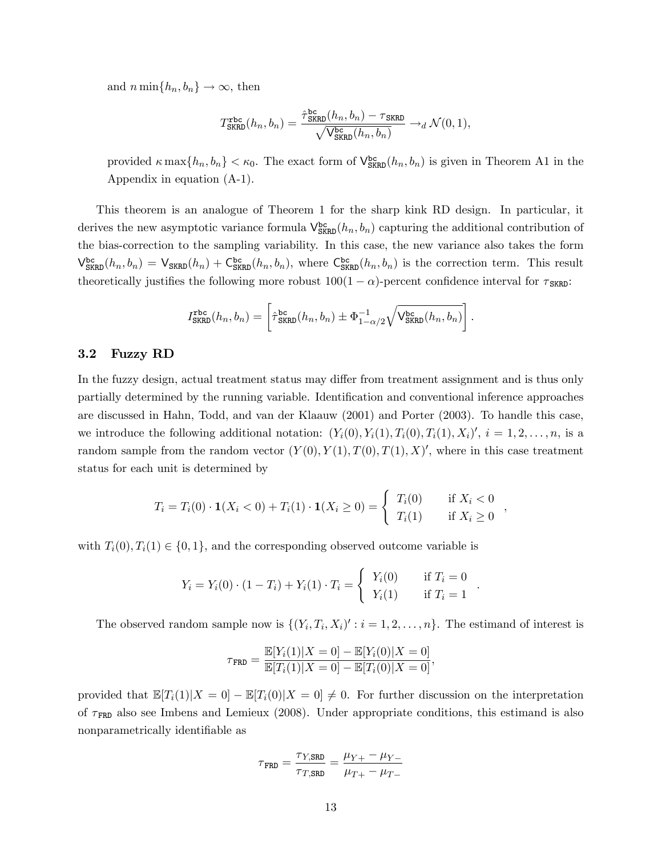and  $n \min\{h_n, b_n\} \to \infty$ , then

$$
T_{\text{SKRD}}^{\text{rbc}}(h_n, b_n) = \frac{\hat{\tau}_{\text{SKRD}}^{\text{bc}}(h_n, b_n) - \tau_{\text{SKRD}}}{\sqrt{\mathsf{V}_{\text{SKRD}}^{\text{bc}}(h_n, b_n)}} \rightarrow_d \mathcal{N}(0, 1),
$$

provided  $\kappa \max\{h_n, b_n\} < \kappa_0$ . The exact form of  $\mathsf{V}^{\mathsf{bc}}_{SKRD}(h_n, b_n)$  is given in Theorem A1 in the Appendix in equation [\(A-1\)](#page-29-0).

This theorem is an analogue of Theorem 1 for the sharp kink RD design. In particular, it derives the new asymptotic variance formula  $V_{SKRD}^{bc}(h_n, b_n)$  capturing the additional contribution of the bias-correction to the sampling variability. In this case, the new variance also takes the form  $\mathsf{V}_{\text{SKRD}}^{\text{bc}}(h_n, b_n) = \mathsf{V}_{\text{SKRD}}(h_n) + \mathsf{C}_{\text{SKRD}}^{\text{bc}}(h_n, b_n)$ , where  $\mathsf{C}_{\text{SKRD}}^{\text{bc}}(h_n, b_n)$  is the correction term. This result theoretically justifies the following more robust  $100(1 - \alpha)$ -percent confidence interval for  $\tau_{SKRD}$ :

$$
I_{\text{SKRD}}^{\text{rbc}}(h_n, b_n) = \left[ \hat{\tau}_{\text{SKRD}}^{\text{bc}}(h_n, b_n) \pm \Phi_{1-\alpha/2}^{-1} \sqrt{\mathsf{V}_{\text{SKRD}}^{\text{bc}}(h_n, b_n)} \right].
$$

#### 3.2 Fuzzy RD

In the fuzzy design, actual treatment status may differ from treatment assignment and is thus only partially determined by the running variable. Identification and conventional inference approaches are discussed in Hahn, Todd, and van der Klaauw (2001) and Porter (2003). To handle this case, we introduce the following additional notation:  $(Y_i(0), Y_i(1), T_i(0), T_i(1), X_i)'$ ,  $i = 1, 2, \ldots, n$ , is a random sample from the random vector  $(Y(0), Y(1), T(0), T(1), X)'$ , where in this case treatment status for each unit is determined by

$$
T_i = T_i(0) \cdot \mathbf{1}(X_i < 0) + T_i(1) \cdot \mathbf{1}(X_i \ge 0) = \begin{cases} T_i(0) & \text{if } X_i < 0 \\ T_i(1) & \text{if } X_i \ge 0 \end{cases}
$$

,

.

with  $T_i(0), T_i(1) \in \{0, 1\}$ , and the corresponding observed outcome variable is

$$
Y_i = Y_i(0) \cdot (1 - T_i) + Y_i(1) \cdot T_i = \begin{cases} Y_i(0) & \text{if } T_i = 0 \\ Y_i(1) & \text{if } T_i = 1 \end{cases}
$$

The observed random sample now is  $\{(Y_i, T_i, X_i)' : i = 1, 2, ..., n\}$ . The estimand of interest is

$$
\tau_{\mathtt{FRD}} = \frac{\mathbb{E}[Y_i(1)|X=0] - \mathbb{E}[Y_i(0)|X=0]}{\mathbb{E}[T_i(1)|X=0] - \mathbb{E}[T_i(0)|X=0]},
$$

provided that  $\mathbb{E}[T_i(1)|X=0] - \mathbb{E}[T_i(0)|X=0] \neq 0$ . For further discussion on the interpretation of  $\tau_{\text{FRD}}$  also see Imbens and Lemieux (2008). Under appropriate conditions, this estimand is also nonparametrically identifiable as

$$
\tau_{\text{FRD}} = \frac{\tau_{Y,\text{SRD}}}{\tau_{T,\text{SRD}}} = \frac{\mu_{Y+} - \mu_{Y-}}{\mu_{T+} - \mu_{T-}}
$$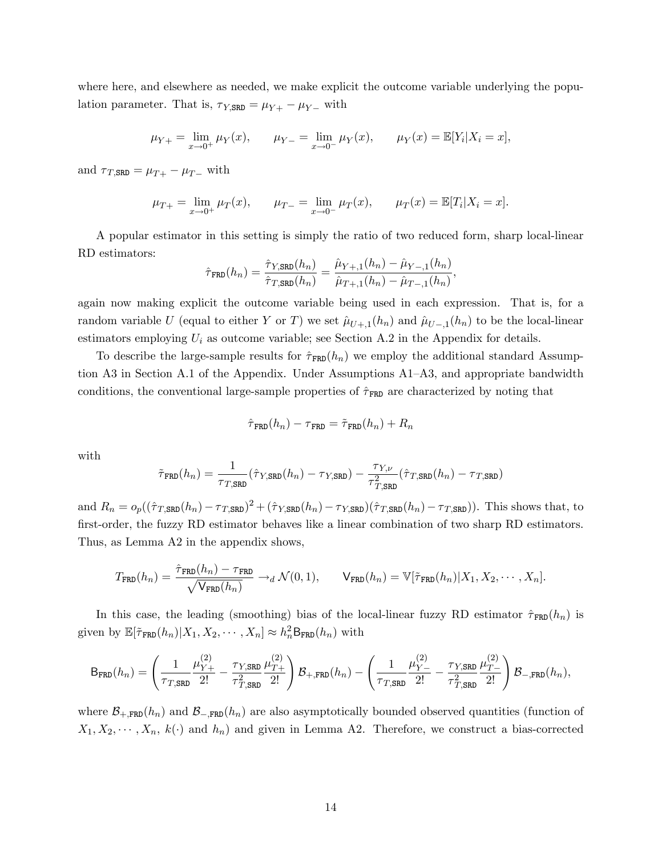where here, and elsewhere as needed, we make explicit the outcome variable underlying the population parameter. That is,  $\tau_{Y,SRD} = \mu_{Y+} - \mu_{Y-}$  with

$$
\mu_{Y+} = \lim_{x \to 0^+} \mu_Y(x), \qquad \mu_{Y-} = \lim_{x \to 0^-} \mu_Y(x), \qquad \mu_Y(x) = \mathbb{E}[Y_i | X_i = x],
$$

and  $\tau_{T,SRD} = \mu_{T+} - \mu_{T-}$  with

$$
\mu_{T+} = \lim_{x \to 0^+} \mu_T(x), \qquad \mu_{T-} = \lim_{x \to 0^-} \mu_T(x), \qquad \mu_T(x) = \mathbb{E}[T_i | X_i = x].
$$

A popular estimator in this setting is simply the ratio of two reduced form, sharp local-linear RD estimators:

$$
\hat{\tau}_{\text{FRD}}(h_n) = \frac{\hat{\tau}_{Y,\text{SRD}}(h_n)}{\hat{\tau}_{T,\text{SRD}}(h_n)} = \frac{\hat{\mu}_{Y+,1}(h_n) - \hat{\mu}_{Y-,1}(h_n)}{\hat{\mu}_{T+,1}(h_n) - \hat{\mu}_{T-,1}(h_n)},
$$

again now making explicit the outcome variable being used in each expression. That is, for a random variable U (equal to either Y or T) we set  $\hat{\mu}_{U+,1}(h_n)$  and  $\hat{\mu}_{U-,1}(h_n)$  to be the local-linear estimators employing  $U_i$  as outcome variable; see Section A.2 in the Appendix for details.

To describe the large-sample results for  $\hat{\tau}_{\text{FRD}}(h_n)$  we employ the additional standard Assumption A3 in Section A.1 of the Appendix. Under Assumptions  $A1-A3$ , and appropriate bandwidth conditions, the conventional large-sample properties of  $\hat{\tau}_{FRD}$  are characterized by noting that

$$
\hat{\tau}_{\mathtt{FRD}}(h_n) - \tau_{\mathtt{FRD}} = \tilde{\tau}_{\mathtt{FRD}}(h_n) + R_n
$$

with

$$
\tilde{\tau}_{\texttt{FRD}}(h_n) = \frac{1}{\tau_{T,\texttt{SRD}}} (\hat{\tau}_{Y,\texttt{SRD}}(h_n) - \tau_{Y,\texttt{SRD}}) - \frac{\tau_{Y,\nu}}{\tau_{T,\texttt{SRD}}^2} (\hat{\tau}_{T,\texttt{SRD}}(h_n) - \tau_{T,\texttt{SRD}})
$$

and  $R_n = o_p((\hat{\tau}_{T,SRD}(h_n) - \tau_{T,SRD})^2 + (\hat{\tau}_{Y,SRD}(h_n) - \tau_{Y,SRD})(\hat{\tau}_{T,SRD}(h_n) - \tau_{T,SRD}))$ . This shows that, to first-order, the fuzzy RD estimator behaves like a linear combination of two sharp RD estimators. Thus, as Lemma A2 in the appendix shows,

$$
T_{\text{FRD}}(h_n) = \frac{\hat{\tau}_{\text{FRD}}(h_n) - \tau_{\text{FRD}}}{\sqrt{\mathsf{V}_{\text{FRD}}(h_n)}} \to_d \mathcal{N}(0, 1), \qquad \mathsf{V}_{\text{FRD}}(h_n) = \mathbb{V}[\tilde{\tau}_{\text{FRD}}(h_n)|X_1, X_2, \cdots, X_n].
$$

In this case, the leading (smoothing) bias of the local-linear fuzzy RD estimator  $\hat{\tau}_{\text{FRD}}(h_n)$  is given by  $\mathbb{E}[\tilde{\tau}_{\text{FRD}}(h_n)|X_1, X_2, \cdots, X_n] \approx h_n^2 \mathsf{B}_{\text{FRD}}(h_n)$  with

$$
\mathsf{B}_{\texttt{FRD}}(h_n) = \left(\frac{1}{\tau_{T,\texttt{SRD}}}\frac{\mu_{Y+}^{(2)}}{2!} - \frac{\tau_{Y,\texttt{SRD}}}{\tau_{T,\texttt{SRD}}^2}\frac{\mu_{T+}^{(2)}}{2!}\right)\mathcal{B}_{+,\texttt{FRD}}(h_n) - \left(\frac{1}{\tau_{T,\texttt{SRD}}}\frac{\mu_{Y-}^{(2)}}{2!} - \frac{\tau_{Y,\texttt{SRD}}}{\tau_{T,\texttt{SRD}}^2}\frac{\mu_{T-}^{(2)}}{2!}\right)\mathcal{B}_{-,\texttt{FRD}}(h_n),
$$

where  $\mathcal{B}_{+,\texttt{FRD}}(h_n)$  and  $\mathcal{B}_{-,\texttt{FRD}}(h_n)$  are also asymptotically bounded observed quantities (function of  $X_1, X_2, \cdots, X_n, k(\cdot)$  and  $h_n$ ) and given in Lemma A2. Therefore, we construct a bias-corrected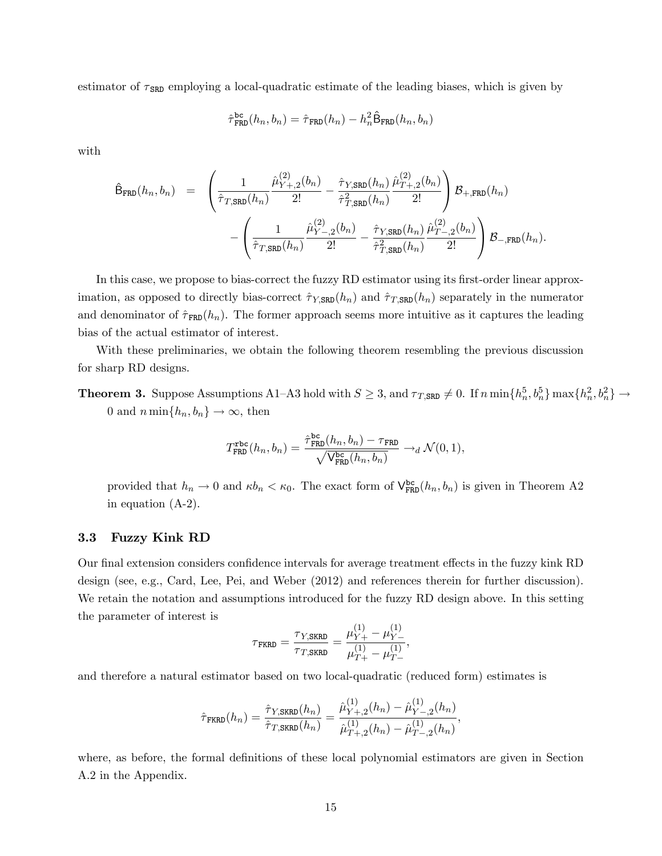estimator of  $\tau_{SRD}$  employing a local-quadratic estimate of the leading biases, which is given by

$$
\hat{\tau}_{\texttt{FRD}}^{\texttt{bc}}(h_n, b_n) = \hat{\tau}_{\texttt{FRD}}(h_n) - h_n^2 \hat{\mathsf{B}}_{\texttt{FRD}}(h_n, b_n)
$$

with

$$
\hat{\mathsf{B}}_{\texttt{FRD}}(h_n, b_n) = \left( \frac{1}{\hat{\tau}_{T, \texttt{SRD}}(h_n)} \frac{\hat{\mu}_{Y+,2}^{(2)}(b_n)}{2!} - \frac{\hat{\tau}_{Y, \texttt{SRD}}(h_n)}{\hat{\tau}_{T, \texttt{SRD}}^2(h_n)} \frac{\hat{\mu}_{T+,2}^{(2)}(b_n)}{2!} \right) \mathcal{B}_{+,\texttt{FRD}}(h_n) \n- \left( \frac{1}{\hat{\tau}_{T, \texttt{SRD}}(h_n)} \frac{\hat{\mu}_{Y-,2}^{(2)}(b_n)}{2!} - \frac{\hat{\tau}_{Y, \texttt{SRD}}(h_n)}{\hat{\tau}_{T, \texttt{SRD}}^2(h_n)} \frac{\hat{\mu}_{T-,2}^{(2)}(b_n)}{2!} \right) \mathcal{B}_{-,\texttt{FRD}}(h_n).
$$

In this case, we propose to bias-correct the fuzzy RD estimator using its first-order linear approximation, as opposed to directly bias-correct  $\hat{\tau}_{Y,SRD}(h_n)$  and  $\hat{\tau}_{T,SRD}(h_n)$  separately in the numerator and denominator of  $\hat{\tau}_{\text{FRD}}(h_n)$ . The former approach seems more intuitive as it captures the leading bias of the actual estimator of interest.

With these preliminaries, we obtain the following theorem resembling the previous discussion for sharp RD designs.

**Theorem 3.** Suppose Assumptions A1–A3 hold with  $S \geq 3$ , and  $\tau_{T,SRD} \neq 0$ . If  $n \min\{h_n^5, b_n^5\} \max\{h_n^2, b_n^2\} \rightarrow$ 0 and  $n \min\{h_n, b_n\} \to \infty$ , then

$$
T_{\text{FRD}}^{\text{rbc}}(h_n, b_n) = \frac{\hat{\tau}_{\text{FRD}}^{\text{bc}}(h_n, b_n) - \tau_{\text{FRD}}}{\sqrt{\mathsf{V}_{\text{FRD}}^{\text{bc}}(h_n, b_n)}} \rightarrow_d \mathcal{N}(0, 1),
$$

provided that  $h_n \to 0$  and  $\kappa b_n < \kappa_0$ . The exact form of  $V_{FRD}^{bc}(h_n, b_n)$  is given in Theorem A2 in equation [\(A-2\)](#page-35-0).

### 3.3 Fuzzy Kink RD

Our final extension considers confidence intervals for average treatment effects in the fuzzy kink RD design (see, e.g., Card, Lee, Pei, and Weber (2012) and references therein for further discussion). We retain the notation and assumptions introduced for the fuzzy RD design above. In this setting the parameter of interest is

$$
\tau_{\text{FKRD}} = \frac{\tau_{Y,\text{SKRD}}}{\tau_{T,\text{SKRD}}} = \frac{\mu_{Y+}^{(1)} - \mu_{Y-}^{(1)}}{\mu_{T+}^{(1)} - \mu_{T-}^{(1)}},
$$

and therefore a natural estimator based on two local-quadratic (reduced form) estimates is

$$
\hat{\tau}_{\text{FKRD}}(h_n) = \frac{\hat{\tau}_{Y,\text{SKRD}}(h_n)}{\hat{\tau}_{T,\text{SKRD}}(h_n)} = \frac{\hat{\mu}_{Y+,2}^{(1)}(h_n) - \hat{\mu}_{Y-,2}^{(1)}(h_n)}{\hat{\mu}_{T+,2}^{(1)}(h_n) - \hat{\mu}_{T-,2}^{(1)}(h_n)},
$$

where, as before, the formal definitions of these local polynomial estimators are given in Section A.2 in the Appendix.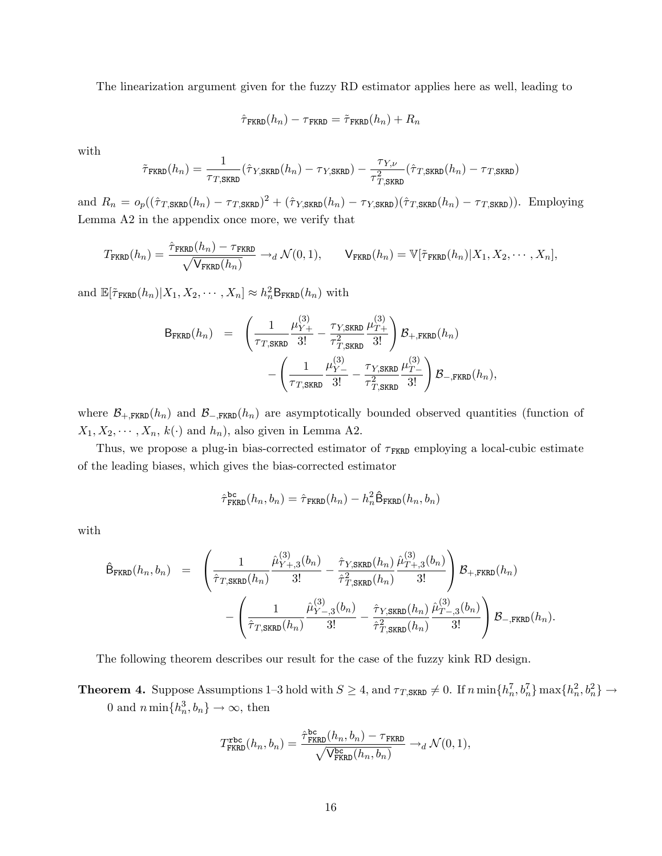The linearization argument given for the fuzzy RD estimator applies here as well, leading to

$$
\hat{\tau}_{\texttt{FKRD}}(h_n) - \tau_{\texttt{FKRD}} = \tilde{\tau}_{\texttt{FKRD}}(h_n) + R_n
$$

with

$$
\tilde{\tau}_{\text{FKRD}}(h_n) = \frac{1}{\tau_{T,\text{SKRD}}}(\hat{\tau}_{Y,\text{SKRD}}(h_n) - \tau_{Y,\text{SKRD}}) - \frac{\tau_{Y,\nu}}{\tau_{T,\text{SKRD}}^2}(\hat{\tau}_{T,\text{SKRD}}(h_n) - \tau_{T,\text{SKRD}})
$$

and  $R_n = o_p((\hat{\tau}_{T,\text{SKRD}}(h_n) - \tau_{T,\text{SKRD}})^2 + (\hat{\tau}_{Y,\text{SKRD}}(h_n) - \tau_{Y,\text{SKRD}})(\hat{\tau}_{T,\text{SKRD}}(h_n) - \tau_{T,\text{SKRD}})).$  Employing Lemma A2 in the appendix once more, we verify that

$$
T_{\text{FKRD}}(h_n) = \frac{\hat{\tau}_{\text{FKRD}}(h_n) - \tau_{\text{FKRD}}}{\sqrt{\mathsf{V}_{\text{FKRD}}(h_n)}} \rightarrow_d \mathcal{N}(0, 1), \qquad \mathsf{V}_{\text{FKRD}}(h_n) = \mathbb{V}[\tilde{\tau}_{\text{FKRD}}(h_n) | X_1, X_2, \cdots, X_n],
$$

and  $\mathbb{E}[\tilde{\tau}_{\text{FKRD}}(h_n)|X_1, X_2, \cdots, X_n] \approx h_n^2 \mathsf{B}_{\text{FKRD}}(h_n)$  with

$$
B_{\text{FKRD}}(h_n) = \left( \frac{1}{\tau_{T,\text{SKRD}}} \frac{\mu_{Y+}^{(3)}}{3!} - \frac{\tau_{Y,\text{SKRD}}}{\tau_{T,\text{SKRD}}^2} \frac{\mu_{T+}^{(3)}}{3!} \right) \mathcal{B}_{+,\text{FKRD}}(h_n) - \left( \frac{1}{\tau_{T,\text{SKRD}}} \frac{\mu_{Y-}^{(3)}}{3!} - \frac{\tau_{Y,\text{SKRD}}}{\tau_{T,\text{SKRD}}^2} \frac{\mu_{T-}^{(3)}}{3!} \right) \mathcal{B}_{-,\text{FKRD}}(h_n),
$$

where  $\mathcal{B}_{+,\text{FKRD}}(h_n)$  and  $\mathcal{B}_{-,\text{FKRD}}(h_n)$  are asymptotically bounded observed quantities (function of  $X_1, X_2, \cdots, X_n, k(\cdot)$  and  $h_n$ ), also given in Lemma A2.

Thus, we propose a plug-in bias-corrected estimator of  $\tau_{\text{FKRD}}$  employing a local-cubic estimate of the leading biases, which gives the bias-corrected estimator

$$
\hat{\tau}_{\text{FKRD}}^{\text{bc}}(h_n, b_n) = \hat{\tau}_{\text{FKRD}}(h_n) - h_n^2 \hat{\mathsf{B}}_{\text{FKRD}}(h_n, b_n)
$$

with

$$
\hat{\mathsf{B}}_{\text{FKRD}}(h_n, b_n) = \left( \frac{1}{\hat{\tau}_{T, \text{SKRD}}(h_n)} \frac{\hat{\mu}_{Y+,3}^{(3)}(b_n)}{3!} - \frac{\hat{\tau}_{Y, \text{SKRD}}(h_n)}{\hat{\tau}_{T, \text{SKRD}}^2(h_n)} \frac{\hat{\mu}_{T+,3}^{(3)}(b_n)}{3!} \right) \mathcal{B}_{+,\text{FKRD}}(h_n) \n- \left( \frac{1}{\hat{\tau}_{T, \text{SKRD}}(h_n)} \frac{\hat{\mu}_{Y-,3}^{(3)}(b_n)}{3!} - \frac{\hat{\tau}_{Y, \text{SKRD}}(h_n)}{\hat{\tau}_{T, \text{SKRD}}^2(h_n)} \frac{\hat{\mu}_{T-,3}^{(3)}(b_n)}{3!} \right) \mathcal{B}_{-,\text{FKRD}}(h_n).
$$

The following theorem describes our result for the case of the fuzzy kink RD design.

**Theorem 4.** Suppose Assumptions 1–3 hold with  $S \geq 4$ , and  $\tau_{T,SKRD} \neq 0$ . If  $n \min\{h_n^7, b_n^7\} \max\{h_n^2, b_n^2\} \rightarrow$ 0 and  $n \min\{h_n^3, b_n\} \to \infty$ , then

$$
T_{\text{FKRD}}^{\text{rbc}}(h_n, b_n) = \frac{\hat{\tau}_{\text{FKRD}}^{\text{bc}}(h_n, b_n) - \tau_{\text{FKRD}}}{\sqrt{\mathsf{V}_{\text{FKRD}}^{\text{bc}}(h_n, b_n)}} \rightarrow_d \mathcal{N}(0, 1),
$$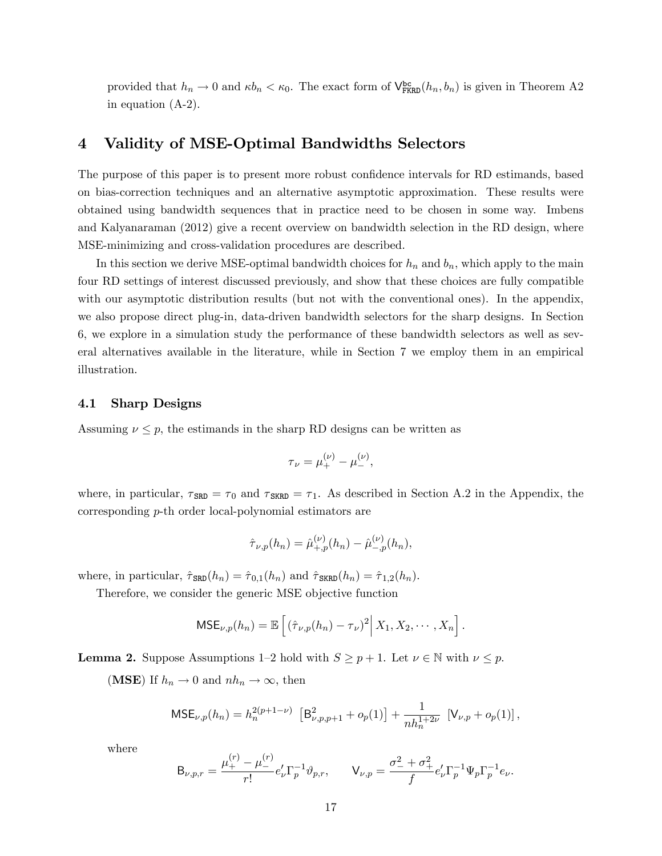provided that  $h_n \to 0$  and  $\kappa b_n < \kappa_0$ . The exact form of  $\mathsf{V}^{\text{bc}}_{\text{FKRD}}(h_n, b_n)$  is given in Theorem A2 in equation [\(A-2\)](#page-35-0).

### 4 Validity of MSE-Optimal Bandwidths Selectors

The purpose of this paper is to present more robust confidence intervals for RD estimands, based on bias-correction techniques and an alternative asymptotic approximation. These results were obtained using bandwidth sequences that in practice need to be chosen in some way. Imbens and Kalyanaraman (2012) give a recent overview on bandwidth selection in the RD design, where MSE-minimizing and cross-validation procedures are described.

In this section we derive MSE-optimal bandwidth choices for  $h_n$  and  $b_n$ , which apply to the main four RD settings of interest discussed previously, and show that these choices are fully compatible with our asymptotic distribution results (but not with the conventional ones). In the appendix, we also propose direct plug-in, data-driven bandwidth selectors for the sharp designs. In Section 6, we explore in a simulation study the performance of these bandwidth selectors as well as several alternatives available in the literature, while in Section 7 we employ them in an empirical illustration.

### 4.1 Sharp Designs

Assuming  $\nu \leq p$ , the estimands in the sharp RD designs can be written as

$$
\tau_{\nu} = \mu_{+}^{(\nu)} - \mu_{-}^{(\nu)},
$$

where, in particular,  $\tau_{SRD} = \tau_0$  and  $\tau_{SRRD} = \tau_1$ . As described in Section A.2 in the Appendix, the corresponding p-th order local-polynomial estimators are

$$
\hat{\tau}_{\nu,p}(h_n) = \hat{\mu}_{+,p}^{(\nu)}(h_n) - \hat{\mu}_{-,p}^{(\nu)}(h_n),
$$

where, in particular,  $\hat{\tau}_{\text{SRD}}(h_n) = \hat{\tau}_{0,1}(h_n)$  and  $\hat{\tau}_{\text{SKRD}}(h_n) = \hat{\tau}_{1,2}(h_n)$ .

Therefore, we consider the generic MSE objective function

$$
\mathsf{MSE}_{\nu,p}(h_n) = \mathbb{E}\left[\left(\hat{\tau}_{\nu,p}(h_n) - \tau_{\nu}\right)^2 \middle| X_1, X_2, \cdots, X_n\right].
$$

**Lemma 2.** Suppose Assumptions 1–2 hold with  $S \ge p + 1$ . Let  $\nu \in \mathbb{N}$  with  $\nu \le p$ .

(MSE) If  $h_n \to 0$  and  $nh_n \to \infty$ , then

$$
\text{MSE}_{\nu,p}(h_n) = h_n^{2(p+1-\nu)} \left[ \mathsf{B}_{\nu,p,p+1}^2 + o_p(1) \right] + \frac{1}{nh_n^{1+2\nu}} \left[ \mathsf{V}_{\nu,p} + o_p(1) \right],
$$

where

$$
\mathsf{B}_{\nu,p,r} = \frac{\mu_+^{(r)} - \mu_-^{(r)}}{r!} e'_\nu \Gamma_p^{-1} \vartheta_{p,r}, \qquad \mathsf{V}_{\nu,p} = \frac{\sigma_-^2 + \sigma_+^2}{f} e'_\nu \Gamma_p^{-1} \Psi_p \Gamma_p^{-1} e_\nu.
$$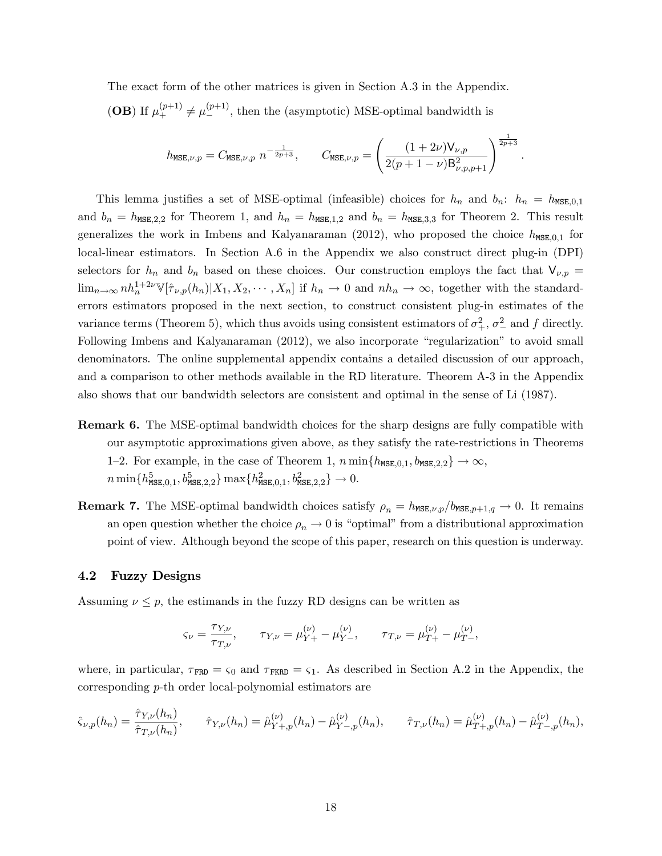The exact form of the other matrices is given in Section A.3 in the Appendix. (OB) If  $\mu_+^{(p+1)} \neq \mu_-^{(p+1)}$ , then the (asymptotic) MSE-optimal bandwidth is

$$
h_{\text{MSE},\nu,p} = C_{\text{MSE},\nu,p} \ n^{-\frac{1}{2p+3}}, \qquad C_{\text{MSE},\nu,p} = \left(\frac{(1+2\nu)V_{\nu,p}}{2(p+1-\nu)B_{\nu,p,p+1}^2}\right)^{\frac{1}{2p+3}}.
$$

This lemma justifies a set of MSE-optimal (infeasible) choices for  $h_n$  and  $b_n$ :  $h_n = h_{\text{MSE},0,1}$ and  $b_n = h_{\text{MSE},2,2}$  for Theorem 1, and  $h_n = h_{\text{MSE},1,2}$  and  $b_n = h_{\text{MSE},3,3}$  for Theorem 2. This result generalizes the work in Imbens and Kalyanaraman (2012), who proposed the choice  $h_{\text{MSE},0,1}$  for local-linear estimators. In Section A.6 in the Appendix we also construct direct plug-in (DPI) selectors for  $h_n$  and  $b_n$  based on these choices. Our construction employs the fact that  $V_{\nu,p}$  =  $\lim_{n\to\infty} nh_n^{1+2\nu}\mathbb{V}[\hat{\tau}_{\nu,p}(h_n)|X_1, X_2, \cdots, X_n]$  if  $h_n \to 0$  and  $nh_n \to \infty$ , together with the standarderrors estimators proposed in the next section, to construct consistent plug-in estimates of the variance terms (Theorem 5), which thus avoids using consistent estimators of  $\sigma^2_+$ ,  $\sigma^2_-$  and f directly. Following Imbens and Kalyanaraman (2012), we also incorporate "regularization" to avoid small denominators. The online supplemental appendix contains a detailed discussion of our approach, and a comparison to other methods available in the RD literature. Theorem A-3 in the Appendix also shows that our bandwidth selectors are consistent and optimal in the sense of Li (1987).

- Remark 6. The MSE-optimal bandwidth choices for the sharp designs are fully compatible with our asymptotic approximations given above, as they satisfy the rate-restrictions in Theorems 1–2. For example, in the case of Theorem 1,  $n \min\{h_{\text{MSE},0,1}, b_{\text{MSE},2,2}\} \rightarrow \infty$ ,  $n \min\{h_{\texttt{MSE},0,1}^5, b_{\texttt{MSE},2,2}^5\} \max\{h_{\texttt{MSE},0,1}^2, b_{\texttt{MSE},2,2}^2\} \rightarrow 0.$
- **Remark 7.** The MSE-optimal bandwidth choices satisfy  $\rho_n = h_{\text{MSE},\nu,p}/b_{\text{MSE},p+1,q} \to 0$ . It remains an open question whether the choice  $\rho_n \to 0$  is "optimal" from a distributional approximation point of view. Although beyond the scope of this paper, research on this question is underway.

#### 4.2 Fuzzy Designs

Assuming  $\nu \leq p$ , the estimands in the fuzzy RD designs can be written as

$$
\varsigma_{\nu} = \frac{\tau_{Y,\nu}}{\tau_{T,\nu}}, \qquad \tau_{Y,\nu} = \mu_{Y+}^{(\nu)} - \mu_{Y-}^{(\nu)}, \qquad \tau_{T,\nu} = \mu_{T+}^{(\nu)} - \mu_{T-}^{(\nu)},
$$

where, in particular,  $\tau_{\text{FRD}} = \varsigma_0$  and  $\tau_{\text{FKRD}} = \varsigma_1$ . As described in Section A.2 in the Appendix, the corresponding p-th order local-polynomial estimators are

$$
\hat{\varsigma}_{\nu,p}(h_n) = \frac{\hat{\tau}_{Y,\nu}(h_n)}{\hat{\tau}_{T,\nu}(h_n)}, \qquad \hat{\tau}_{Y,\nu}(h_n) = \hat{\mu}_{Y+,p}^{(\nu)}(h_n) - \hat{\mu}_{Y-,p}^{(\nu)}(h_n), \qquad \hat{\tau}_{T,\nu}(h_n) = \hat{\mu}_{T+,p}^{(\nu)}(h_n) - \hat{\mu}_{T-,p}^{(\nu)}(h_n),
$$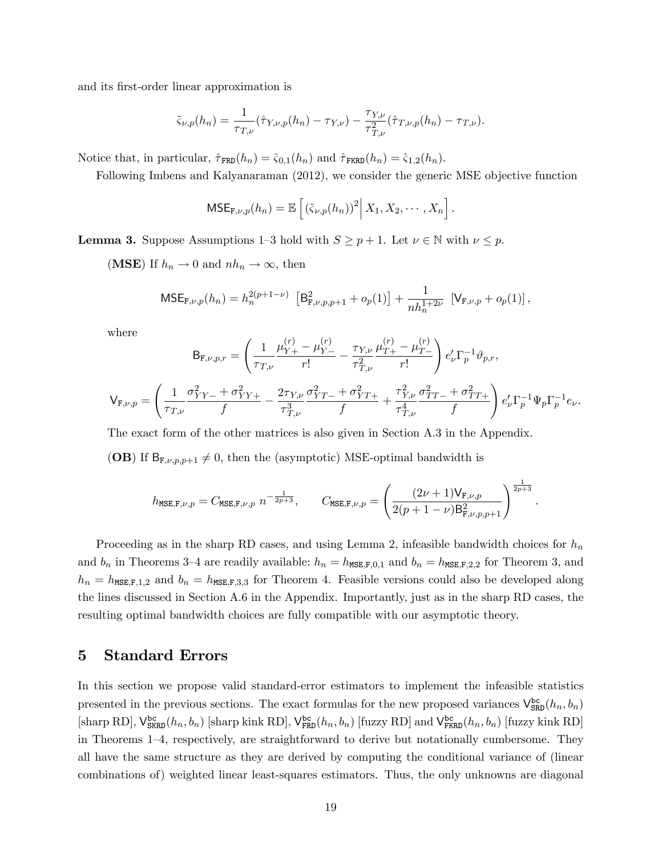and its first-order linear approximation is

$$
\tilde{\varsigma}_{\nu,p}(h_n) = \frac{1}{\tau_{T,\nu}} (\hat{\tau}_{Y,\nu,p}(h_n) - \tau_{Y,\nu}) - \frac{\tau_{Y,\nu}}{\tau_{T,\nu}^2} (\hat{\tau}_{T,\nu,p}(h_n) - \tau_{T,\nu}).
$$

Notice that, in particular,  $\hat{\tau}_{\text{FRD}}(h_n) = \hat{\varsigma}_{0,1}(h_n)$  and  $\hat{\tau}_{\text{FKRD}}(h_n) = \hat{\varsigma}_{1,2}(h_n)$ .

Following Imbens and Kalyanaraman (2012), we consider the generic MSE objective function

$$
\mathsf{MSE}_{\mathbf{F},\nu,p}(h_n) = \mathbb{E}\left[\left(\tilde{\varsigma}_{\nu,p}(h_n)\right)^2 \middle| X_1, X_2, \cdots, X_n\right].
$$

**Lemma 3.** Suppose Assumptions 1–3 hold with  $S \ge p + 1$ . Let  $\nu \in \mathbb{N}$  with  $\nu \le p$ .

(MSE) If  $h_n \to 0$  and  $nh_n \to \infty$ , then

$$
\text{MSE}_{\mathbf{F},\nu,p}(h_n) = h_n^{2(p+1-\nu)} \left[ \mathbf{B}_{\mathbf{F},\nu,p,p+1}^2 + o_p(1) \right] + \frac{1}{nh_n^{1+2\nu}} \left[ \mathbf{V}_{\mathbf{F},\nu,p} + o_p(1) \right],
$$

where

$$
B_{F,\nu,p,r} = \left(\frac{1}{\tau_{T,\nu}} \frac{\mu_{Y+}^{(r)} - \mu_{Y-}^{(r)}}{r!} - \frac{\tau_{Y,\nu}}{\tau_{T,\nu}^2} \frac{\mu_{T+}^{(r)} - \mu_{T-}^{(r)}}{r!}\right) e'_{\nu} \Gamma_p^{-1} \vartheta_{p,r},
$$
  

$$
V_{F,\nu,p} = \left(\frac{1}{\tau_{T,\nu}} \frac{\sigma_{YY-}^2 + \sigma_{YY+}^2}{f} - \frac{2\tau_{Y,\nu}}{\tau_{T,\nu}^3} \frac{\sigma_{YT-}^2 + \sigma_{YT+}^2}{f} + \frac{\tau_{Y,\nu}^2}{\tau_{T,\nu}^4} \frac{\sigma_{TT-}^2 + \sigma_{TT+}^2}{f}\right) e'_{\nu} \Gamma_p^{-1} \Psi_p \Gamma_p^{-1} e_{\nu}.
$$

The exact form of the other matrices is also given in Section A.3 in the Appendix.

(OB) If  $B_{F,\nu,p,p+1} \neq 0$ , then the (asymptotic) MSE-optimal bandwidth is

$$
h_{\text{MSE},\mathbf{F},\nu,p} = C_{\text{MSE},\mathbf{F},\nu,p} \ n^{-\frac{1}{2p+3}}, \qquad C_{\text{MSE},\mathbf{F},\nu,p} = \left(\frac{(2\nu+1)\mathsf{V}_{\mathbf{F},\nu,p}}{2(p+1-\nu)\mathsf{B}_{\mathbf{F},\nu,p,p+1}^2}\right)^{\frac{1}{2p+3}}
$$

.

Proceeding as in the sharp RD cases, and using Lemma 2, infeasible bandwidth choices for  $h_n$ and  $b_n$  in Theorems 3–4 are readily available:  $h_n = h_{\text{MSE},F,0,1}$  and  $b_n = h_{\text{MSE},F,2,2}$  for Theorem 3, and  $h_n = h_{\text{MSE},F,1,2}$  and  $b_n = h_{\text{MSE},F,3,3}$  for Theorem 4. Feasible versions could also be developed along the lines discussed in Section A.6 in the Appendix. Importantly, just as in the sharp RD cases, the resulting optimal bandwidth choices are fully compatible with our asymptotic theory.

### 5 Standard Errors

In this section we propose valid standard-error estimators to implement the infeasible statistics presented in the previous sections. The exact formulas for the new proposed variances  $V_{SRD}^{bc}(h_n, b_n)$  $[\text{sharp RD}], \mathsf{V}^{\text{bc}}_{\text{SKRD}}(h_n, b_n)$  [sharp kink RD],  $\mathsf{V}^{\text{bc}}_{\text{FRD}}(h_n, b_n)$  [fuzzy RD] and  $\mathsf{V}^{\text{bc}}_{\text{FKRD}}(h_n, b_n)$  [fuzzy kink RD] in Theorems 1–4, respectively, are straightforward to derive but notationally cumbersome. They all have the same structure as they are derived by computing the conditional variance of (linear combinations of) weighted linear least-squares estimators. Thus, the only unknowns are diagonal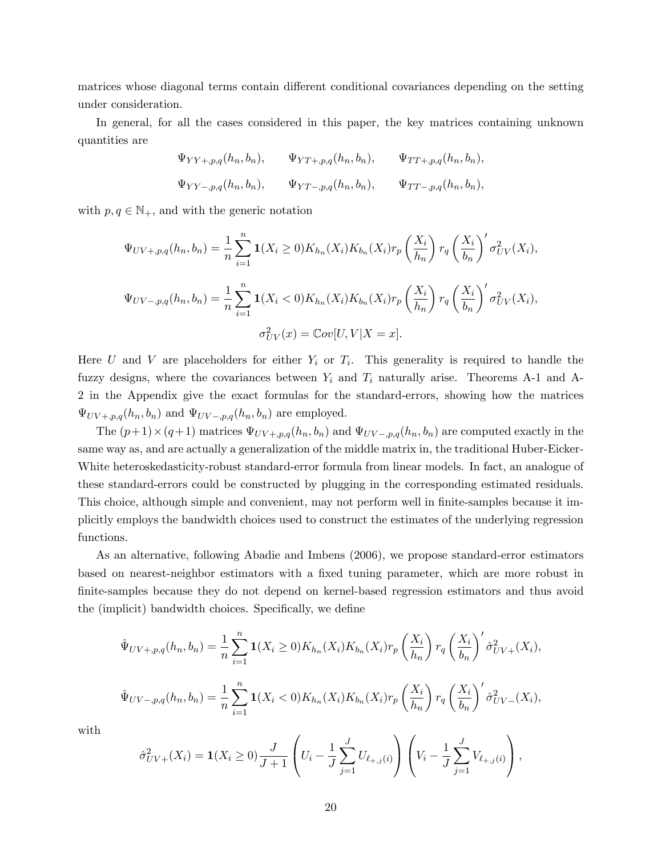matrices whose diagonal terms contain different conditional covariances depending on the setting under consideration.

In general, for all the cases considered in this paper, the key matrices containing unknown quantities are

$$
\Psi_{YY+,p,q}(h_n, b_n), \qquad \Psi_{YT+,p,q}(h_n, b_n), \qquad \Psi_{TT+,p,q}(h_n, b_n),
$$
  
\n $\Psi_{YY-,p,q}(h_n, b_n), \qquad \Psi_{YT-,p,q}(h_n, b_n), \qquad \Psi_{TT-,p,q}(h_n, b_n),$ 

with  $p, q \in \mathbb{N}_+$ , and with the generic notation

$$
\Psi_{UV+,p,q}(h_n, b_n) = \frac{1}{n} \sum_{i=1}^n \mathbf{1}(X_i \ge 0) K_{h_n}(X_i) K_{b_n}(X_i) r_p \left(\frac{X_i}{h_n}\right) r_q \left(\frac{X_i}{b_n}\right)' \sigma_{UV}^2(X_i),
$$
  

$$
\Psi_{UV-,p,q}(h_n, b_n) = \frac{1}{n} \sum_{i=1}^n \mathbf{1}(X_i < 0) K_{h_n}(X_i) K_{b_n}(X_i) r_p \left(\frac{X_i}{h_n}\right) r_q \left(\frac{X_i}{b_n}\right)' \sigma_{UV}^2(X_i),
$$
  

$$
\sigma_{UV}^2(x) = \mathbb{C}ov[U, V|X = x].
$$

Here U and V are placeholders for either  $Y_i$  or  $T_i$ . This generality is required to handle the fuzzy designs, where the covariances between  $Y_i$  and  $T_i$  naturally arise. Theorems A-1 and A-2 in the Appendix give the exact formulas for the standard-errors, showing how the matrices  $\Psi_{UV+,p,q}(h_n, b_n)$  and  $\Psi_{UV-,p,q}(h_n, b_n)$  are employed.

The  $(p+1) \times (q+1)$  matrices  $\Psi_{UV+,p,q}(h_n, b_n)$  and  $\Psi_{UV-,p,q}(h_n, b_n)$  are computed exactly in the same way as, and are actually a generalization of the middle matrix in, the traditional Huber-Eicker-White heteroskedasticity-robust standard-error formula from linear models. In fact, an analogue of these standard-errors could be constructed by plugging in the corresponding estimated residuals. This choice, although simple and convenient, may not perform well in finite-samples because it implicitly employs the bandwidth choices used to construct the estimates of the underlying regression functions.

As an alternative, following Abadie and Imbens (2006), we propose standard-error estimators based on nearest-neighbor estimators with a fixed tuning parameter, which are more robust in finite-samples because they do not depend on kernel-based regression estimators and thus avoid the (implicit) bandwidth choices. Specifically, we define

$$
\hat{\Psi}_{UV+,p,q}(h_n, b_n) = \frac{1}{n} \sum_{i=1}^n \mathbf{1}(X_i \ge 0) K_{h_n}(X_i) K_{b_n}(X_i) r_p \left(\frac{X_i}{h_n}\right) r_q \left(\frac{X_i}{b_n}\right)' \hat{\sigma}_{UV+}^2(X_i),
$$
\n
$$
\hat{\Psi}_{UV-,p,q}(h_n, b_n) = \frac{1}{n} \sum_{i=1}^n \mathbf{1}(X_i < 0) K_{h_n}(X_i) K_{b_n}(X_i) r_p \left(\frac{X_i}{h_n}\right) r_q \left(\frac{X_i}{b_n}\right)' \hat{\sigma}_{UV-}^2(X_i),
$$

with

$$
\hat{\sigma}_{UV+}^2(X_i) = \mathbf{1}(X_i \ge 0) \frac{J}{J+1} \left( U_i - \frac{1}{J} \sum_{j=1}^J U_{\ell_{+,j}(i)} \right) \left( V_i - \frac{1}{J} \sum_{j=1}^J V_{\ell_{+,j}(i)} \right),
$$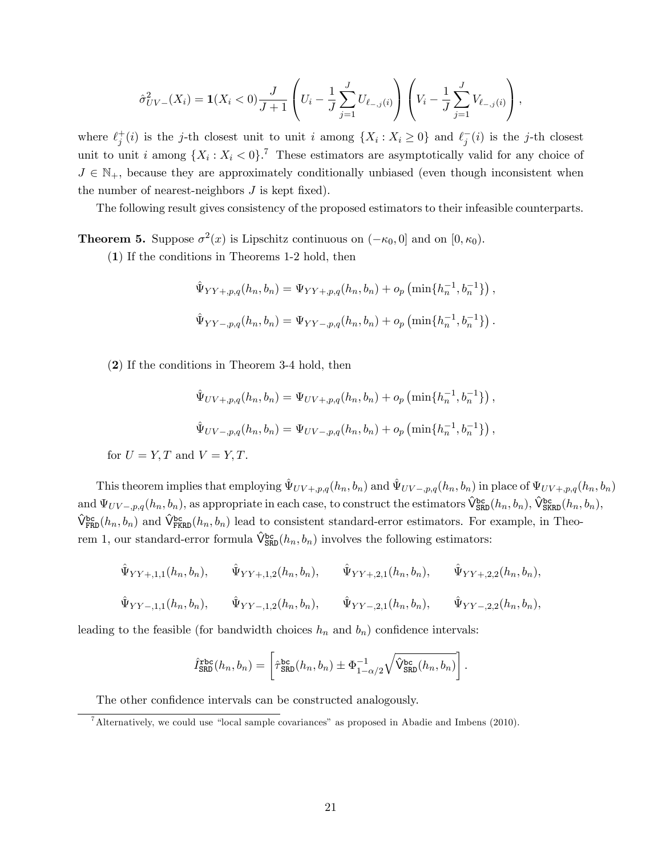$$
\hat{\sigma}_{UV-}^2(X_i) = \mathbf{1}(X_i < 0) \frac{J}{J+1} \left( U_i - \frac{1}{J} \sum_{j=1}^J U_{\ell_{-,j}(i)} \right) \left( V_i - \frac{1}{J} \sum_{j=1}^J V_{\ell_{-,j}(i)} \right),
$$

where  $\ell_j^+(i)$  is the j-th closest unit to unit i among  $\{X_i : X_i \geq 0\}$  and  $\ell_j^-(i)$  is the j-th closest unit to unit i among  $\{X_i : X_i < 0\}$ .<sup>[7](#page-21-0)</sup> These estimators are asymptotically valid for any choice of  $J \in \mathbb{N}_+$ , because they are approximately conditionally unbiased (even though inconsistent when the number of nearest-neighbors  $J$  is kept fixed).

The following result gives consistency of the proposed estimators to their infeasible counterparts.

**Theorem 5.** Suppose  $\sigma^2(x)$  is Lipschitz continuous on  $(-\kappa_0, 0]$  and on  $[0, \kappa_0)$ .

(1) If the conditions in Theorems 1-2 hold, then

$$
\hat{\Psi}_{YY+,p,q}(h_n, b_n) = \Psi_{YY+,p,q}(h_n, b_n) + o_p\left(\min\{h_n^{-1}, b_n^{-1}\}\right),
$$
  

$$
\hat{\Psi}_{YY-,p,q}(h_n, b_n) = \Psi_{YY-,p,q}(h_n, b_n) + o_p\left(\min\{h_n^{-1}, b_n^{-1}\}\right).
$$

(2) If the conditions in Theorem 3-4 hold, then

$$
\hat{\Psi}_{UV+,p,q}(h_n, b_n) = \Psi_{UV+,p,q}(h_n, b_n) + o_p\left(\min\{h_n^{-1}, b_n^{-1}\}\right),
$$
  

$$
\hat{\Psi}_{UV-,p,q}(h_n, b_n) = \Psi_{UV-,p,q}(h_n, b_n) + o_p\left(\min\{h_n^{-1}, b_n^{-1}\}\right),
$$

for  $U = Y, T$  and  $V = Y, T$ .

This theorem implies that employing  $\hat{\Psi}_{UV+,p,q}(h_n, b_n)$  and  $\hat{\Psi}_{UV-,p,q}(h_n, b_n)$  in place of  $\Psi_{UV+,p,q}(h_n, b_n)$ and  $\Psi_{UV-,p,q}(h_n, b_n)$ , as appropriate in each case, to construct the estimators  $\hat{\mathsf{V}}^{\mathtt{bc}}_{\mathtt{SRD}}(h_n, b_n)$ ,  $\hat{\mathsf{V}}^{\mathtt{bc}}_{\mathtt{SRD}}(h_n, b_n)$ ,  $\hat{V}^{bc}_{FRD}(h_n, b_n)$  and  $\hat{V}^{bc}_{FRD}(h_n, b_n)$  lead to consistent standard-error estimators. For example, in Theorem 1, our standard-error formula  $\hat{\mathsf{V}}^{\text{bc}}_{\text{SRD}}(h_n, b_n)$  involves the following estimators:

$$
\hat{\Psi}_{YY+,1,1}(h_n, b_n), \qquad \hat{\Psi}_{YY+,1,2}(h_n, b_n), \qquad \hat{\Psi}_{YY+,2,1}(h_n, b_n), \qquad \hat{\Psi}_{YY+,2,2}(h_n, b_n),
$$
  

$$
\hat{\Psi}_{YY-,1,1}(h_n, b_n), \qquad \hat{\Psi}_{YY-,1,2}(h_n, b_n), \qquad \hat{\Psi}_{YY-,2,1}(h_n, b_n), \qquad \hat{\Psi}_{YY-,2,2}(h_n, b_n),
$$

leading to the feasible (for bandwidth choices  $h_n$  and  $b_n$ ) confidence intervals:

$$
\hat{I}_{\text{SRD}}^{\text{rbc}}(h_n, b_n) = \left[ \hat{\tau}_{\text{SRD}}^{\text{bc}}(h_n, b_n) \pm \Phi_{1-\alpha/2}^{-1} \sqrt{\hat{V}_{\text{SRD}}^{\text{bc}}(h_n, b_n)} \right].
$$

The other confidence intervals can be constructed analogously.

<span id="page-21-0"></span> $^7$ Alternatively, we could use "local sample covariances" as proposed in Abadie and Imbens (2010).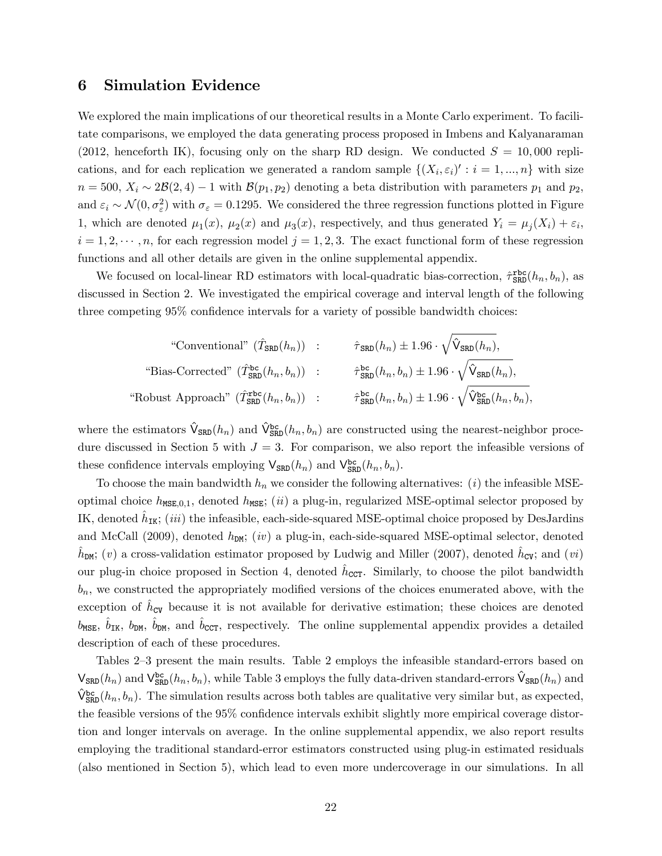### 6 Simulation Evidence

We explored the main implications of our theoretical results in a Monte Carlo experiment. To facilitate comparisons, we employed the data generating process proposed in Imbens and Kalyanaraman (2012, henceforth IK), focusing only on the sharp RD design. We conducted  $S = 10,000$  replications, and for each replication we generated a random sample  $\{(X_i, \varepsilon_i)': i = 1, ..., n\}$  with size  $n = 500$ ,  $X_i \sim 2\mathcal{B}(2, 4) - 1$  with  $\mathcal{B}(p_1, p_2)$  denoting a beta distribution with parameters  $p_1$  and  $p_2$ , and  $\varepsilon_i \sim \mathcal{N}(0, \sigma_{\varepsilon}^2)$  with  $\sigma_{\varepsilon} = 0.1295$ . We considered the three regression functions plotted in Figure 1, which are denoted  $\mu_1(x)$ ,  $\mu_2(x)$  and  $\mu_3(x)$ , respectively, and thus generated  $Y_i = \mu_j(X_i) + \varepsilon_i$ ,  $i = 1, 2, \dots, n$ , for each regression model  $j = 1, 2, 3$ . The exact functional form of these regression functions and all other details are given in the online supplemental appendix.

We focused on local-linear RD estimators with local-quadratic bias-correction,  $\hat{\tau}_{SRD}^{\text{rbc}}(h_n, b_n)$ , as discussed in Section 2. We investigated the empirical coverage and interval length of the following three competing  $95\%$  confidence intervals for a variety of possible bandwidth choices:

"Conventional" 
$$
(\hat{T}_{SRD}(h_n))
$$
 :  $\hat{\tau}_{SRD}(h_n) \pm 1.96 \cdot \sqrt{\hat{V}_{SRD}(h_n)},$   
\n"Bias-Corrected"  $(\hat{T}_{SRD}^{bc}(h_n, b_n))$  :  $\hat{\tau}_{SRD}^{bc}(h_n, b_n) \pm 1.96 \cdot \sqrt{\hat{V}_{SRD}(h_n)},$   
\n"Robust Approach"  $(\hat{T}_{SRD}^{abc}(h_n, b_n))$  :  $\hat{\tau}_{SRD}^{bc}(h_n, b_n) \pm 1.96 \cdot \sqrt{\hat{V}_{SRD}^{bc}(h_n, b_n)},$ 

where the estimators  $\hat{V}_{SRD}(h_n)$  and  $\hat{V}_{SRD}^{bc}(h_n, b_n)$  are constructed using the nearest-neighbor procedure discussed in Section 5 with  $J = 3$ . For comparison, we also report the infeasible versions of these confidence intervals employing  $V_{SRD}(h_n)$  and  $V_{SRD}^{bc}(h_n, b_n)$ .

To choose the main bandwidth  $h_n$  we consider the following alternatives: (*i*) the infeasible MSEoptimal choice  $h_{\text{MSE},0,1}$ , denoted  $h_{\text{MSE}}$ ; (ii) a plug-in, regularized MSE-optimal selector proposed by IK, denoted  $\hat{h}_{\text{IK}}$ ; (iii) the infeasible, each-side-squared MSE-optimal choice proposed by DesJardins and McCall (2009), denoted  $h_{DM}$ ; (iv) a plug-in, each-side-squared MSE-optimal selector, denoted  $\hat{h}_{DM}$ ; (v) a cross-validation estimator proposed by Ludwig and Miller (2007), denoted  $\hat{h}_{CV}$ ; and (vi) our plug-in choice proposed in Section 4, denoted  $\hat{h}_{\text{CCT}}$ . Similarly, to choose the pilot bandwidth  $b_n$ , we constructed the appropriately modified versions of the choices enumerated above, with the exception of  $\hat{h}_{\text{CV}}$  because it is not available for derivative estimation; these choices are denoted  $b_{\text{MSE}}, \hat{b}_{\text{IK}}, b_{\text{DM}}, \hat{b}_{\text{DM}}, \text{ and } \hat{b}_{\text{CCT}}, \text{ respectively.}$  The online supplemental appendix provides a detailed description of each of these procedures.

Tables 2–3 present the main results. Table 2 employs the infeasible standard-errors based on  $\mathsf{V}_{\texttt{SRD}}(h_n)$  and  $\mathsf{V}_{\texttt{SRD}}^{\texttt{bc}}(h_n, b_n)$ , while Table 3 employs the fully data-driven standard-errors  $\hat{\mathsf{V}}_{\texttt{SRD}}(h_n)$  and  $\hat{V}^{bc}_{SRD}(h_n, b_n)$ . The simulation results across both tables are qualitative very similar but, as expected, the feasible versions of the 95% confidence intervals exhibit slightly more empirical coverage distortion and longer intervals on average. In the online supplemental appendix, we also report results employing the traditional standard-error estimators constructed using plug-in estimated residuals (also mentioned in Section 5), which lead to even more undercoverage in our simulations. In all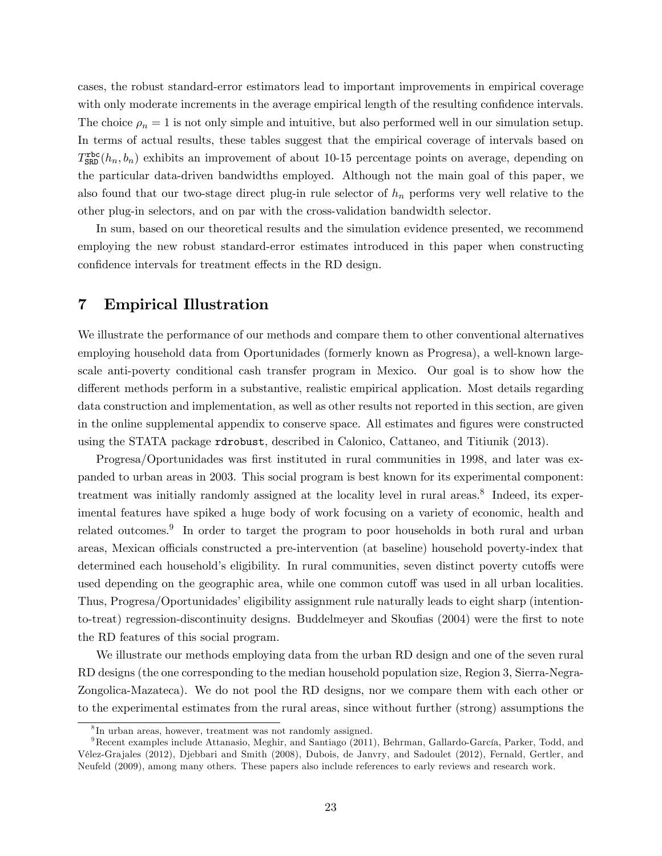cases, the robust standard-error estimators lead to important improvements in empirical coverage with only moderate increments in the average empirical length of the resulting confidence intervals. The choice  $\rho_n = 1$  is not only simple and intuitive, but also performed well in our simulation setup. In terms of actual results, these tables suggest that the empirical coverage of intervals based on  $T_{\text{SRD}}^{\text{rbc}}(h_n, b_n)$  exhibits an improvement of about 10-15 percentage points on average, depending on the particular data-driven bandwidths employed. Although not the main goal of this paper, we also found that our two-stage direct plug-in rule selector of  $h_n$  performs very well relative to the other plug-in selectors, and on par with the cross-validation bandwidth selector.

In sum, based on our theoretical results and the simulation evidence presented, we recommend employing the new robust standard-error estimates introduced in this paper when constructing confidence intervals for treatment effects in the RD design.

### 7 Empirical Illustration

We illustrate the performance of our methods and compare them to other conventional alternatives employing household data from Oportunidades (formerly known as Progresa), a well-known largescale anti-poverty conditional cash transfer program in Mexico. Our goal is to show how the different methods perform in a substantive, realistic empirical application. Most details regarding data construction and implementation, as well as other results not reported in this section, are given in the online supplemental appendix to conserve space. All estimates and figures were constructed using the STATA package rdrobust, described in Calonico, Cattaneo, and Titiunik (2013).

Progresa/Oportunidades was first instituted in rural communities in 1998, and later was expanded to urban areas in 2003. This social program is best known for its experimental component: treatment was initially randomly assigned at the locality level in rural areas.<sup>[8](#page-23-0)</sup> Indeed, its experimental features have spiked a huge body of work focusing on a variety of economic, health and related outcomes.<sup>[9](#page-23-1)</sup> In order to target the program to poor households in both rural and urban areas, Mexican officials constructed a pre-intervention (at baseline) household poverty-index that determined each household's eligibility. In rural communities, seven distinct poverty cutoffs were used depending on the geographic area, while one common cutoff was used in all urban localities. Thus, Progresa/Oportunidades' eligibility assignment rule naturally leads to eight sharp (intentionto-treat) regression-discontinuity designs. Buddelmeyer and Skoufias (2004) were the first to note the RD features of this social program.

We illustrate our methods employing data from the urban RD design and one of the seven rural RD designs (the one corresponding to the median household population size, Region 3, Sierra-Negra-Zongolica-Mazateca). We do not pool the RD designs, nor we compare them with each other or to the experimental estimates from the rural areas, since without further (strong) assumptions the

<span id="page-23-1"></span><span id="page-23-0"></span><sup>8</sup> In urban areas, however, treatment was not randomly assigned.

 $9$ Recent examples include Attanasio, Meghir, and Santiago (2011), Behrman, Gallardo-García, Parker, Todd, and VÈlez-Grajales (2012), Djebbari and Smith (2008), Dubois, de Janvry, and Sadoulet (2012), Fernald, Gertler, and Neufeld (2009), among many others. These papers also include references to early reviews and research work.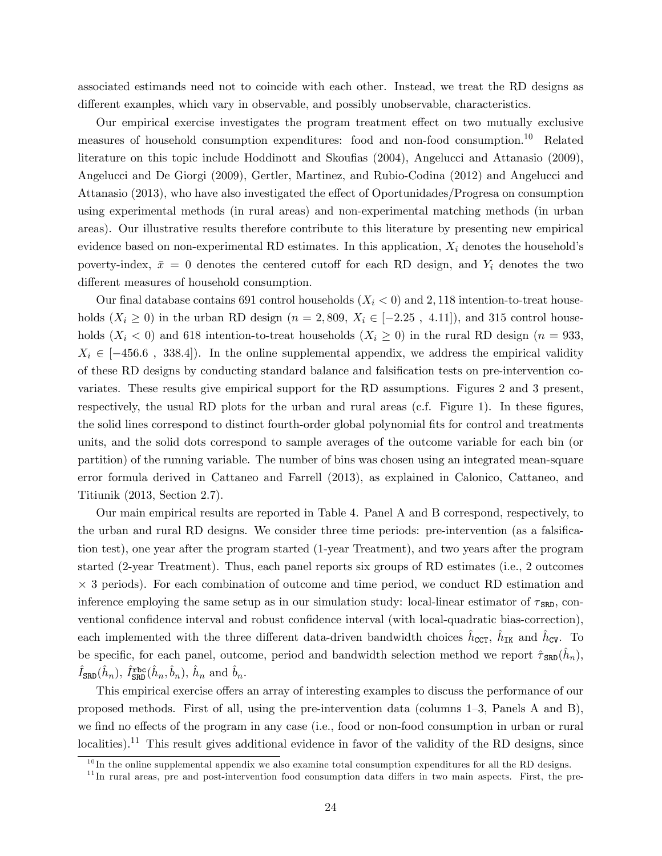associated estimands need not to coincide with each other. Instead, we treat the RD designs as different examples, which vary in observable, and possibly unobservable, characteristics.

Our empirical exercise investigates the program treatment effect on two mutually exclusive measures of household consumption expenditures: food and non-food consumption.[10](#page-24-0) Related literature on this topic include Hoddinott and Skoufias (2004), Angelucci and Attanasio (2009), Angelucci and De Giorgi (2009), Gertler, Martinez, and Rubio-Codina (2012) and Angelucci and Attanasio (2013), who have also investigated the effect of Oportunidades/Progresa on consumption using experimental methods (in rural areas) and non-experimental matching methods (in urban areas). Our illustrative results therefore contribute to this literature by presenting new empirical evidence based on non-experimental RD estimates. In this application,  $X_i$  denotes the household's poverty-index,  $\bar{x} = 0$  denotes the centered cutoff for each RD design, and  $Y_i$  denotes the two different measures of household consumption.

Our final database contains 691 control households  $(X<sub>i</sub> < 0)$  and 2,118 intention-to-treat households  $(X_i \geq 0)$  in the urban RD design  $(n = 2, 809, X_i \in [-2.25, 4.11])$ , and 315 control households  $(X_i < 0)$  and 618 intention-to-treat households  $(X_i \ge 0)$  in the rural RD design  $(n = 933, ...)$  $X_i \in [-456.6, 338.4]$ . In the online supplemental appendix, we address the empirical validity of these RD designs by conducting standard balance and falsification tests on pre-intervention covariates. These results give empirical support for the RD assumptions. Figures 2 and 3 present, respectively, the usual RD plots for the urban and rural areas (c.f. Figure 1). In these figures, the solid lines correspond to distinct fourth-order global polynomial fits for control and treatments units, and the solid dots correspond to sample averages of the outcome variable for each bin (or partition) of the running variable. The number of bins was chosen using an integrated mean-square error formula derived in Cattaneo and Farrell (2013), as explained in Calonico, Cattaneo, and Titiunik (2013, Section 2.7).

Our main empirical results are reported in Table 4. Panel A and B correspond, respectively, to the urban and rural RD designs. We consider three time periods: pre-intervention (as a falsification test), one year after the program started (1-year Treatment), and two years after the program started (2-year Treatment). Thus, each panel reports six groups of RD estimates (i.e., 2 outcomes - 3 periods). For each combination of outcome and time period, we conduct RD estimation and inference employing the same setup as in our simulation study: local-linear estimator of  $\tau_{\text{SRD}}$ , conventional confidence interval and robust confidence interval (with local-quadratic bias-correction), each implemented with the three different data-driven bandwidth choices  $\hat{h}_{\text{CCT}}$ ,  $\hat{h}_{\text{IK}}$  and  $\hat{h}_{\text{CV}}$ . To be specific, for each panel, outcome, period and bandwidth selection method we report  $\hat{\tau}_{SRD}(\hat{h}_n)$ ,  $\hat{I}_{\texttt{SRD}}(\hat{h}_n)$ ,  $\hat{I}_{\texttt{SRD}}^{\texttt{rbc}}(\hat{h}_n, \hat{b}_n)$ ,  $\hat{h}_n$  and  $\hat{b}_n$ .

This empirical exercise offers an array of interesting examples to discuss the performance of our proposed methods. First of all, using the pre-intervention data (columns  $1-3$ , Panels A and B), we find no effects of the program in any case (i.e., food or non-food consumption in urban or rural localities).<sup>[11](#page-24-1)</sup> This result gives additional evidence in favor of the validity of the RD designs, since

<span id="page-24-0"></span> $10$ In the online supplemental appendix we also examine total consumption expenditures for all the RD designs.

<span id="page-24-1"></span> $11$ In rural areas, pre and post-intervention food consumption data differs in two main aspects. First, the pre-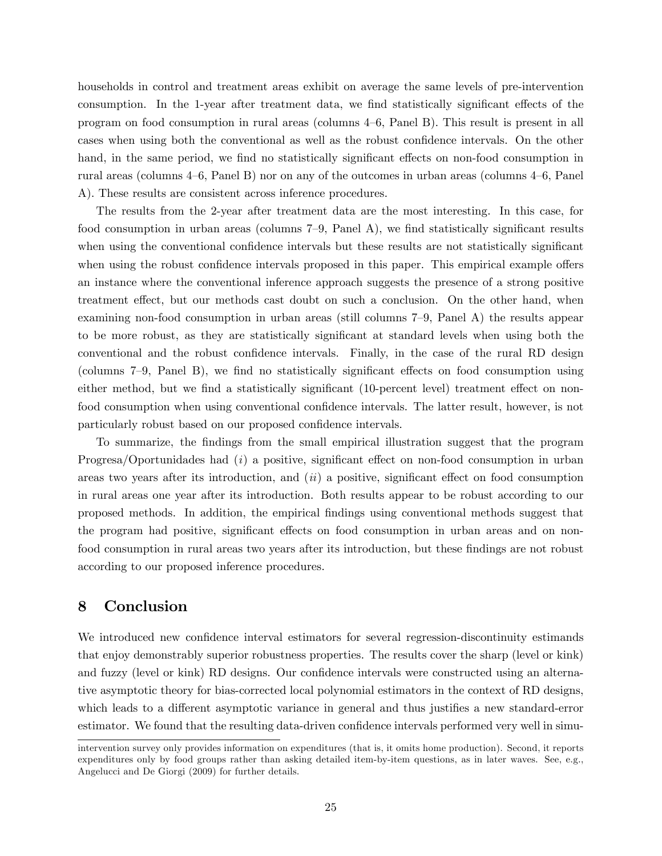households in control and treatment areas exhibit on average the same levels of pre-intervention consumption. In the 1-year after treatment data, we find statistically significant effects of the program on food consumption in rural areas (columns  $4-6$ , Panel B). This result is present in all cases when using both the conventional as well as the robust confidence intervals. On the other hand, in the same period, we find no statistically significant effects on non-food consumption in rural areas (columns  $4-6$ , Panel B) nor on any of the outcomes in urban areas (columns  $4-6$ , Panel A). These results are consistent across inference procedures.

The results from the 2-year after treatment data are the most interesting. In this case, for food consumption in urban areas (columns  $7-9$ , Panel A), we find statistically significant results when using the conventional confidence intervals but these results are not statistically significant when using the robust confidence intervals proposed in this paper. This empirical example offers an instance where the conventional inference approach suggests the presence of a strong positive treatment effect, but our methods cast doubt on such a conclusion. On the other hand, when examining non-food consumption in urban areas (still columns  $7-9$ , Panel A) the results appear to be more robust, as they are statistically significant at standard levels when using both the conventional and the robust confidence intervals. Finally, in the case of the rural RD design (columns  $7-9$ , Panel B), we find no statistically significant effects on food consumption using either method, but we find a statistically significant (10-percent level) treatment effect on nonfood consumption when using conventional confidence intervals. The latter result, however, is not particularly robust based on our proposed confidence intervals.

To summarize, the Öndings from the small empirical illustration suggest that the program Progresa/Oportunidades had  $(i)$  a positive, significant effect on non-food consumption in urban areas two years after its introduction, and  $(ii)$  a positive, significant effect on food consumption in rural areas one year after its introduction. Both results appear to be robust according to our proposed methods. In addition, the empirical Öndings using conventional methods suggest that the program had positive, significant effects on food consumption in urban areas and on nonfood consumption in rural areas two years after its introduction, but these findings are not robust according to our proposed inference procedures.

### 8 Conclusion

We introduced new confidence interval estimators for several regression-discontinuity estimands that enjoy demonstrably superior robustness properties. The results cover the sharp (level or kink) and fuzzy (level or kink) RD designs. Our confidence intervals were constructed using an alternative asymptotic theory for bias-corrected local polynomial estimators in the context of RD designs, which leads to a different asymptotic variance in general and thus justifies a new standard-error estimator. We found that the resulting data-driven confidence intervals performed very well in simu-

intervention survey only provides information on expenditures (that is, it omits home production). Second, it reports expenditures only by food groups rather than asking detailed item-by-item questions, as in later waves. See, e.g., Angelucci and De Giorgi (2009) for further details.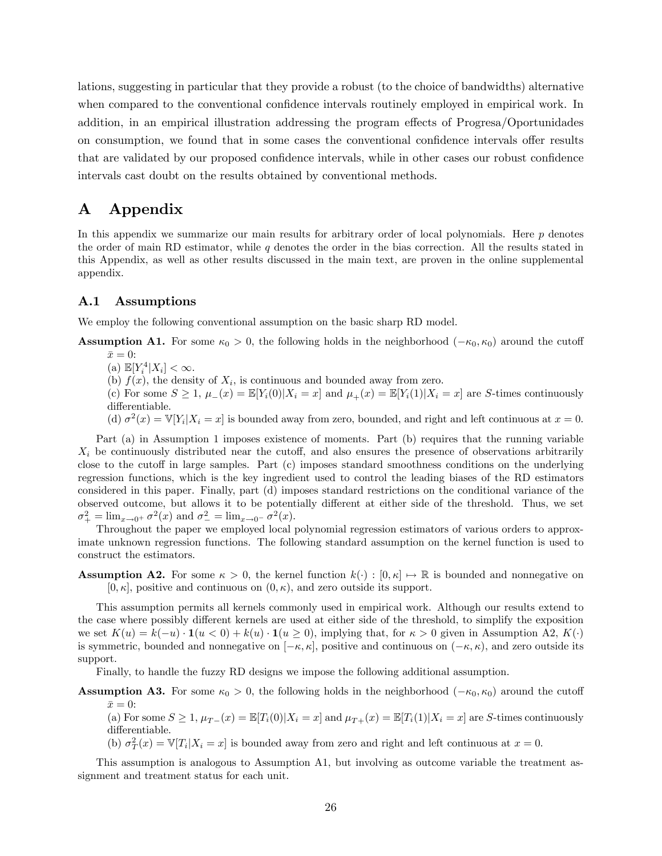lations, suggesting in particular that they provide a robust (to the choice of bandwidths) alternative when compared to the conventional confidence intervals routinely employed in empirical work. In addition, in an empirical illustration addressing the program effects of Progresa/Oportunidades on consumption, we found that in some cases the conventional confidence intervals offer results that are validated by our proposed confidence intervals, while in other cases our robust confidence intervals cast doubt on the results obtained by conventional methods.

### A Appendix

In this appendix we summarize our main results for arbitrary order of local polynomials. Here  $p$  denotes the order of main RD estimator, while q denotes the order in the bias correction. All the results stated in this Appendix, as well as other results discussed in the main text, are proven in the online supplemental appendix.

### A.1 Assumptions

We employ the following conventional assumption on the basic sharp RD model.

**Assumption A1.** For some  $\kappa_0 > 0$ , the following holds in the neighborhood  $(-\kappa_0, \kappa_0)$  around the cutoff  $\bar{x}=0$ :

- (a)  $\mathbb{E}[Y_i^4 | X_i] < \infty$ .
- (b)  $f(x)$ , the density of  $X_i$ , is continuous and bounded away from zero.

(c) For some  $S \geq 1$ ,  $\mu_-(x) = \mathbb{E}[Y_i(0)|X_i = x]$  and  $\mu_+(x) = \mathbb{E}[Y_i(1)|X_i = x]$  are S-times continuously differentiable.

(d)  $\sigma^2(x) = \mathbb{V}[Y_i | X_i = x]$  is bounded away from zero, bounded, and right and left continuous at  $x = 0$ .

Part (a) in Assumption 1 imposes existence of moments. Part (b) requires that the running variable  $X_i$  be continuously distributed near the cutoff, and also ensures the presence of observations arbitrarily close to the cutoff in large samples. Part  $(c)$  imposes standard smoothness conditions on the underlying regression functions, which is the key ingredient used to control the leading biases of the RD estimators considered in this paper. Finally, part (d) imposes standard restrictions on the conditional variance of the observed outcome, but allows it to be potentially different at either side of the threshold. Thus, we set  $\sigma_+^2 = \lim_{x \to 0^+} \sigma^2(x)$  and  $\sigma_-^2 = \lim_{x \to 0^-} \sigma^2(x)$ .

Throughout the paper we employed local polynomial regression estimators of various orders to approximate unknown regression functions. The following standard assumption on the kernel function is used to construct the estimators.

**Assumption A2.** For some  $\kappa > 0$ , the kernel function  $k(\cdot) : [0, \kappa] \mapsto \mathbb{R}$  is bounded and nonnegative on  $[0, \kappa]$ , positive and continuous on  $(0, \kappa)$ , and zero outside its support.

This assumption permits all kernels commonly used in empirical work. Although our results extend to the case where possibly different kernels are used at either side of the threshold, to simplify the exposition we set  $K(u) = k(-u) \cdot \mathbf{1}(u < 0) + k(u) \cdot \mathbf{1}(u \ge 0)$ , implying that, for  $\kappa > 0$  given in Assumption A2,  $K(\cdot)$ is symmetric, bounded and nonnegative on  $[-\kappa, \kappa]$ , positive and continuous on  $(-\kappa, \kappa)$ , and zero outside its support.

Finally, to handle the fuzzy RD designs we impose the following additional assumption.

**Assumption A3.** For some  $\kappa_0 > 0$ , the following holds in the neighborhood ( $-\kappa_0, \kappa_0$ ) around the cutoff  $\bar{x}=0$ :

(a) For some  $S \geq 1$ ,  $\mu_{T-}(x) = \mathbb{E}[T_i(0)|X_i = x]$  and  $\mu_{T+}(x) = \mathbb{E}[T_i(1)|X_i = x]$  are S-times continuously differentiable.

(b)  $\sigma_T^2(x) = \mathbb{V}[T_i | X_i = x]$  is bounded away from zero and right and left continuous at  $x = 0$ .

This assumption is analogous to Assumption A1, but involving as outcome variable the treatment assignment and treatment status for each unit.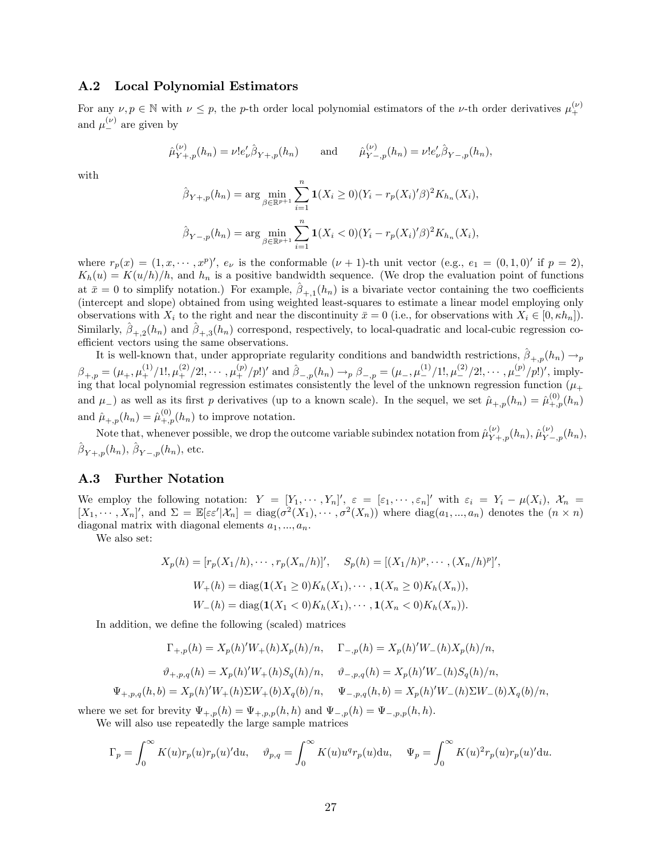### A.2 Local Polynomial Estimators

For any  $\nu, p \in \mathbb{N}$  with  $\nu \leq p$ , the p-th order local polynomial estimators of the  $\nu$ -th order derivatives  $\mu_{+}^{(\nu)}$ and  $\mu_{-}^{(\nu)}$  are given by

$$
\hat{\mu}_{Y+,p}^{(\nu)}(h_n) = \nu! e'_\nu \hat{\beta}_{Y+,p}(h_n)
$$
 and  $\hat{\mu}_{Y-,p}^{(\nu)}(h_n) = \nu! e'_\nu \hat{\beta}_{Y-,p}(h_n)$ ,

with

$$
\hat{\beta}_{Y+,p}(h_n) = \arg \min_{\beta \in \mathbb{R}^{p+1}} \sum_{i=1}^n \mathbf{1}(X_i \ge 0)(Y_i - r_p(X_i)'\beta)^2 K_{h_n}(X_i),
$$
  

$$
\hat{\beta}_{Y-,p}(h_n) = \arg \min_{\beta \in \mathbb{R}^{p+1}} \sum_{i=1}^n \mathbf{1}(X_i < 0)(Y_i - r_p(X_i)'\beta)^2 K_{h_n}(X_i),
$$

where  $r_p(x) = (1, x, \dots, x^p)'$ ,  $e_\nu$  is the conformable  $(\nu + 1)$ -th unit vector (e.g.,  $e_1 = (0, 1, 0)'$  if  $p = 2$ ),  $K_h(u) = K(u/h)/h$ , and  $h_n$  is a positive bandwidth sequence. (We drop the evaluation point of functions at  $\bar{x} = 0$  to simplify notation.) For example,  $\hat{\beta}_{+,1}(h_n)$  is a bivariate vector containing the two coefficients (intercept and slope) obtained from using weighted least-squares to estimate a linear model employing only observations with  $X_i$  to the right and near the discontinuity  $\bar{x} = 0$  (i.e., for observations with  $X_i \in [0, \kappa h_n]$ ). Similarly,  $\hat{\beta}_{+,2}(h_n)$  and  $\hat{\beta}_{+,3}(h_n)$  correspond, respectively, to local-quadratic and local-cubic regression coefficient vectors using the same observations.

It is well-known that, under appropriate regularity conditions and bandwidth restrictions,  $\hat{\beta}_{+,p}(h_n) \to_p$  $\beta_{+,p} = (\mu_+, \mu_+^{(1)}/1!, \mu_+^{(2)}/2!, \cdots, \mu_+^{(p)}/p!)'$  and  $\hat{\beta}_{-,p}(h_n) \to_p \beta_{-,p} = (\mu_-, \mu_-^{(1)}/1!, \mu_-^{(2)}/2!, \cdots, \mu_-^{(p)}/p!)', \text{imply-}$ ing that local polynomial regression estimates consistently the level of the unknown regression function ( $\mu_+$ ) and  $\mu$ <sub>-</sub>) as well as its first p derivatives (up to a known scale). In the sequel, we set  $\hat{\mu}_{+,p}(h_n) = \hat{\mu}_{+,p}^{(0)}(h_n)$ and  $\hat{\mu}_{+,p}(h_n) = \hat{\mu}_{+,p}^{(0)}(h_n)$  to improve notation.

Note that, whenever possible, we drop the outcome variable subindex notation from  $\hat{\mu}^{(\nu)}_{Y+,p}(h_n)$ ,  $\hat{\mu}^{(\nu)}_{Y-,p}(h_n)$ ,  $\hat{\beta}_{Y+,p}(h_n), \hat{\beta}_{Y-,p}(h_n),$  etc.

### A.3 Further Notation

We employ the following notation:  $Y = [Y_1, \dots, Y_n]$ ,  $\varepsilon = [\varepsilon_1, \dots, \varepsilon_n]$  with  $\varepsilon_i = Y_i - \mu(X_i)$ ,  $\mathcal{X}_n =$  $[X_1, \cdots, X_n]'$ , and  $\Sigma = \mathbb{E}[\varepsilon \varepsilon' | \mathcal{X}_n] = \text{diag}(\sigma^2(X_1), \cdots, \sigma^2(X_n))$  where  $\text{diag}(a_1, ..., a_n)$  denotes the  $(n \times n)$ diagonal matrix with diagonal elements  $a_1, ..., a_n$ .

We also set:

$$
X_p(h) = [r_p(X_1/h), \cdots, r_p(X_n/h)]', \quad S_p(h) = [(X_1/h)^p, \cdots, (X_n/h)^p]',
$$

$$
W_+(h) = \text{diag}(\mathbf{1}(X_1 \ge 0)K_h(X_1), \cdots, \mathbf{1}(X_n \ge 0)K_h(X_n)),
$$

$$
W_-(h) = \text{diag}(\mathbf{1}(X_1 < 0)K_h(X_1), \cdots, \mathbf{1}(X_n < 0)K_h(X_n)).
$$

In addition, we define the following (scaled) matrices

$$
\Gamma_{+,p}(h) = X_p(h)'W_+(h)X_p(h)/n, \quad \Gamma_{-,p}(h) = X_p(h)'W_-(h)X_p(h)/n,
$$
  

$$
\vartheta_{+,p,q}(h) = X_p(h)'W_+(h)S_q(h)/n, \quad \vartheta_{-,p,q}(h) = X_p(h)'W_-(h)S_q(h)/n,
$$
  

$$
\Psi_{+,p,q}(h,b) = X_p(h)'W_+(h)\Sigma W_+(b)X_q(b)/n, \quad \Psi_{-,p,q}(h,b) = X_p(h)'W_-(h)\Sigma W_-(b)X_q(b)/n,
$$

where we set for brevity  $\Psi_{+,p}(h) = \Psi_{+,p,p}(h, h)$  and  $\Psi_{-,p}(h) = \Psi_{-,p,p}(h, h)$ .

We will also use repeatedly the large sample matrices

$$
\Gamma_p = \int_0^\infty K(u)r_p(u)r_p(u)'du, \quad \vartheta_{p,q} = \int_0^\infty K(u)u^q r_p(u)du, \quad \Psi_p = \int_0^\infty K(u)^2 r_p(u)r_p(u)'du.
$$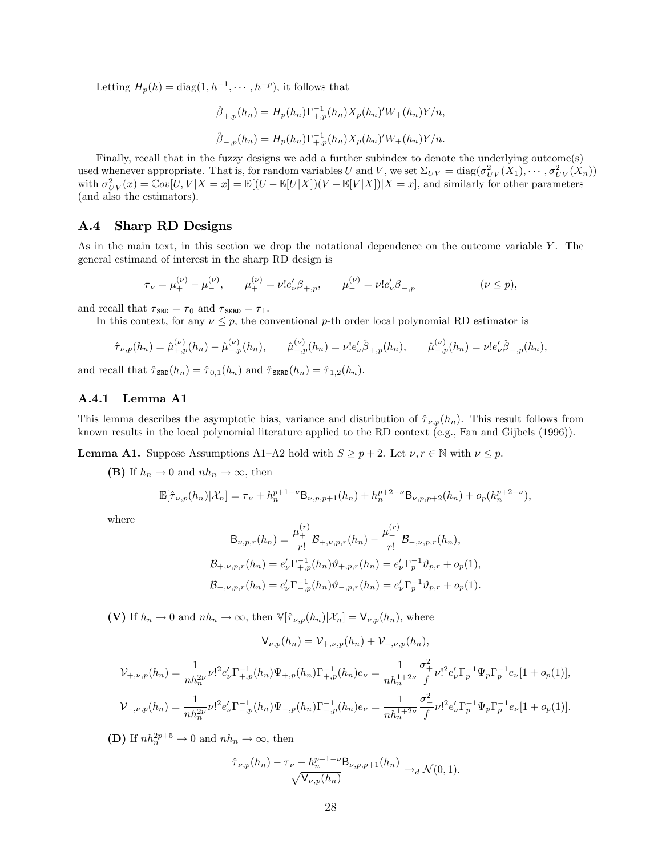Letting  $H_p(h) = \text{diag}(1, h^{-1}, \dots, h^{-p}),$  it follows that

$$
\hat{\beta}_{+,p}(h_n) = H_p(h_n) \Gamma_{+,p}^{-1}(h_n) X_p(h_n)' W_+(h_n) Y/n,
$$
  

$$
\hat{\beta}_{-,p}(h_n) = H_p(h_n) \Gamma_{+,p}^{-1}(h_n) X_p(h_n)' W_+(h_n) Y/n.
$$

Finally, recall that in the fuzzy designs we add a further subindex to denote the underlying outcome(s) used whenever appropriate. That is, for random variables U and V, we set  $\Sigma_{UV} = \text{diag}(\sigma_{UV}^2(X_1), \cdots, \sigma_{UV}^2(X_n))$ with  $\sigma_{UV}^2(x) = \mathbb{C}ov[U, V | X = x] = \mathbb{E}[(U - \mathbb{E}[U | X])(V - \mathbb{E}[V | X]) | X = x]$ , and similarly for other parameters (and also the estimators).

### A.4 Sharp RD Designs

As in the main text, in this section we drop the notational dependence on the outcome variable Y. The general estimand of interest in the sharp RD design is

$$
\tau_{\nu} = \mu_{+}^{(\nu)} - \mu_{-}^{(\nu)}, \qquad \mu_{+}^{(\nu)} = \nu! e_{\nu}' \beta_{+,p}, \qquad \mu_{-}^{(\nu)} = \nu! e_{\nu}' \beta_{-,p} \qquad (\nu \le p),
$$

and recall that  $\tau_{\text{SRD}} = \tau_0$  and  $\tau_{\text{SKRD}} = \tau_1$ .

In this context, for any  $\nu \leq p$ , the conventional p-th order local polynomial RD estimator is

$$
\hat{\tau}_{\nu,p}(h_n) = \hat{\mu}_{+,p}^{(\nu)}(h_n) - \hat{\mu}_{-,p}^{(\nu)}(h_n), \qquad \hat{\mu}_{+,p}^{(\nu)}(h_n) = \nu! e'_\nu \hat{\beta}_{+,p}(h_n), \qquad \hat{\mu}_{-,p}^{(\nu)}(h_n) = \nu! e'_\nu \hat{\beta}_{-,p}(h_n),
$$

and recall that  $\hat{\tau}_{\text{SRD}}(h_n) = \hat{\tau}_{0,1}(h_n)$  and  $\hat{\tau}_{\text{SRRD}}(h_n) = \hat{\tau}_{1,2}(h_n)$ .

### A.4.1 Lemma A1

This lemma describes the asymptotic bias, variance and distribution of  $\hat{\tau}_{\nu,p}(h_n)$ . This result follows from known results in the local polynomial literature applied to the RD context (e.g., Fan and Gijbels (1996)).

**Lemma A1.** Suppose Assumptions A1–A2 hold with  $S \geq p + 2$ . Let  $\nu, r \in \mathbb{N}$  with  $\nu \leq p$ .

(B) If  $h_n \to 0$  and  $nh_n \to \infty$ , then

$$
\mathbb{E}[\hat{\tau}_{\nu,p}(h_n)|\mathcal{X}_n] = \tau_{\nu} + h_n^{p+1-\nu} \mathsf{B}_{\nu,p,p+1}(h_n) + h_n^{p+2-\nu} \mathsf{B}_{\nu,p,p+2}(h_n) + o_p(h_n^{p+2-\nu}),
$$

where

$$
B_{\nu,p,r}(h_n) = \frac{\mu_+^{(r)}}{r!} B_{+,\nu,p,r}(h_n) - \frac{\mu_-^{(r)}}{r!} B_{-,\nu,p,r}(h_n),
$$
  

$$
B_{+,\nu,p,r}(h_n) = e'_\nu \Gamma_{+,p}^{-1}(h_n) \vartheta_{+,p,r}(h_n) = e'_\nu \Gamma_p^{-1} \vartheta_{p,r} + o_p(1),
$$
  

$$
B_{-,\nu,p,r}(h_n) = e'_\nu \Gamma_{-,p}^{-1}(h_n) \vartheta_{-,p,r}(h_n) = e'_\nu \Gamma_p^{-1} \vartheta_{p,r} + o_p(1).
$$

(V) If  $h_n \to 0$  and  $nh_n \to \infty$ , then  $\mathbb{V}[\hat{\tau}_{\nu,p}(h_n)|X_n] = \mathsf{V}_{\nu,p}(h_n)$ , where

$$
V_{\nu,p}(h_n) = V_{+,\nu,p}(h_n) + V_{-,\nu,p}(h_n),
$$

$$
\mathcal{V}_{+, \nu, p}(h_n) = \frac{1}{nh_n^{2\nu}} \nu!^2 e'_\nu \Gamma_{+, p}^{-1}(h_n) \Psi_{+, p}(h_n) \Gamma_{+, p}^{-1}(h_n) e_\nu = \frac{1}{nh_n^{1+2\nu}} \frac{\sigma_+^2}{f} \nu!^2 e'_\nu \Gamma_p^{-1} \Psi_p \Gamma_p^{-1} e_\nu [1 + o_p(1)],
$$
  

$$
\mathcal{V}_{-, \nu, p}(h_n) = \frac{1}{nh_n^{2\nu}} \nu!^2 e'_\nu \Gamma_{-, p}^{-1}(h_n) \Psi_{-, p}(h_n) \Gamma_{-, p}^{-1}(h_n) e_\nu = \frac{1}{nh_n^{1+2\nu}} \frac{\sigma_-^2}{f} \nu!^2 e'_\nu \Gamma_p^{-1} \Psi_p \Gamma_p^{-1} e_\nu [1 + o_p(1)].
$$

**(D)** If  $nh_n^{2p+5} \to 0$  and  $nh_n \to \infty$ , then

$$
\frac{\hat{\tau}_{\nu,p}(h_n) - \tau_{\nu} - h_n^{p+1-\nu} \mathsf{B}_{\nu,p,p+1}(h_n)}{\sqrt{\mathsf{V}_{\nu,p}(h_n)}} \to_d \mathcal{N}(0,1).
$$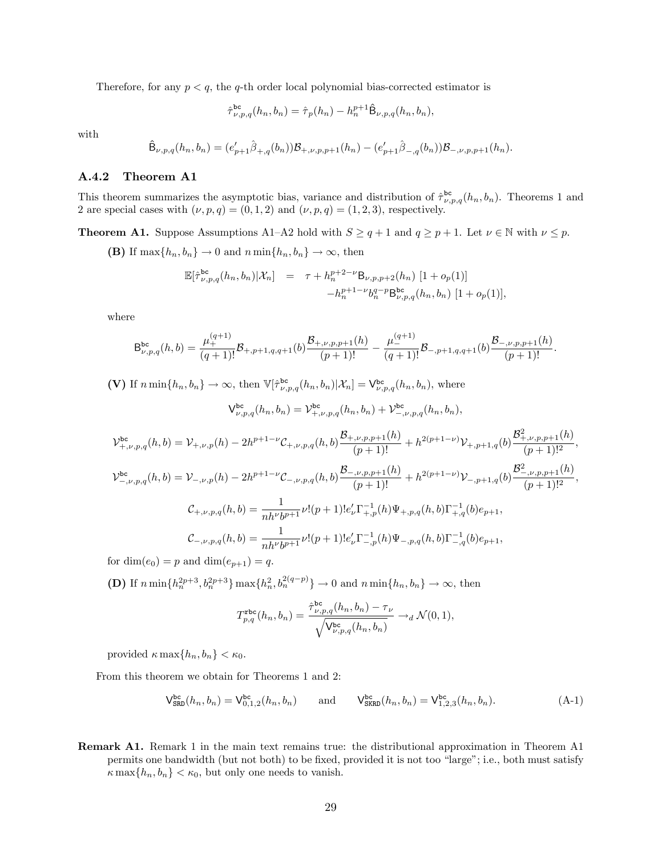Therefore, for any  $p < q$ , the q-th order local polynomial bias-corrected estimator is

$$
\hat{\tau}_{\nu,p,q}^{\text{bc}}(h_n, b_n) = \hat{\tau}_p(h_n) - h_n^{p+1} \hat{\mathsf{B}}_{\nu,p,q}(h_n, b_n),
$$

with

$$
\hat{\mathsf{B}}_{\nu,p,q}(h_n,b_n)=(e'_{p+1}\hat{\beta}_{+,q}(b_n))\mathcal{B}_{+, \nu, p,p+1}(h_n)-(e'_{p+1}\hat{\beta}_{-,q}(b_n))\mathcal{B}_{-, \nu, p,p+1}(h_n).
$$

#### A.4.2 Theorem A1

This theorem summarizes the asymptotic bias, variance and distribution of  $\hat{\tau}^{\text{bc}}_{\nu,p,q}(h_n, b_n)$ . Theorems 1 and 2 are special cases with  $(\nu, p, q) = (0, 1, 2)$  and  $(\nu, p, q) = (1, 2, 3)$ , respectively.

**Theorem A1.** Suppose Assumptions A1–A2 hold with  $S \ge q + 1$  and  $q \ge p + 1$ . Let  $\nu \in \mathbb{N}$  with  $\nu \le p$ .

(B) If  $\max\{h_n, b_n\} \to 0$  and  $n \min\{h_n, b_n\} \to \infty$ , then

$$
\mathbb{E}[\hat{\tau}_{\nu,p,q}^{\text{bc}}(h_n, b_n)|\mathcal{X}_n] = \tau + h_n^{p+2-\nu} \mathsf{B}_{\nu,p,p+2}(h_n) [1 + o_p(1)] - h_n^{p+1-\nu} b_n^{q-p} \mathsf{B}_{\nu,p,q}^{\text{bc}}(h_n, b_n) [1 + o_p(1)],
$$

where

$$
\mathsf{B}_{\nu,p,q}^{\mathsf{bc}}(h,b) = \frac{\mu_+^{(q+1)}}{(q+1)!} \mathcal{B}_{+,p+1,q,q+1}(b) \frac{\mathcal{B}_{+, \nu, p, p+1}(h)}{(p+1)!} - \frac{\mu_-^{(q+1)}}{(q+1)!} \mathcal{B}_{-,p+1,q,q+1}(b) \frac{\mathcal{B}_{-, \nu, p, p+1}(h)}{(p+1)!}.
$$

(V) If  $n \min\{h_n, b_n\} \to \infty$ , then  $\mathbb{V}[\hat{\tau}_{\nu, p, q}^{\text{bc}}(h_n, b_n)|X_n] = \mathsf{V}_{\nu, p, q}^{\text{bc}}(h_n, b_n)$ , where

$$
\mathsf{V}_{\nu,p,q}^{\mathsf{bc}}(h_n, b_n) = \mathsf{V}_{+,\nu,p,q}^{\mathsf{bc}}(h_n, b_n) + \mathsf{V}_{-,\nu,p,q}^{\mathsf{bc}}(h_n, b_n),
$$
\n
$$
\mathsf{V}_{+,\nu,p,q}^{\mathsf{bc}}(h, b) = \mathsf{V}_{+,\nu,p}(h) - 2h^{p+1-\nu}\mathsf{C}_{+,\nu,p,q}(h, b)\frac{\mathcal{B}_{+,\nu,p,p+1}(h)}{(p+1)!} + h^{2(p+1-\nu)}\mathsf{V}_{+,p+1,q}(b)\frac{\mathcal{B}_{+,\nu,p,p+1}^{2}(h)}{(p+1)!},
$$
\n
$$
\mathsf{V}_{-,\nu,p,q}^{\mathsf{bc}}(h, b) = \mathsf{V}_{-,\nu,p}(h) - 2h^{p+1-\nu}\mathsf{C}_{-,\nu,p,q}(h, b)\frac{\mathcal{B}_{-,\nu,p,p+1}(h)}{(p+1)!} + h^{2(p+1-\nu)}\mathsf{V}_{-,p+1,q}(b)\frac{\mathcal{B}_{-,\nu,p,p+1}^{2}(h)}{(p+1)!^2},
$$
\n
$$
\mathsf{C}_{+,\nu,p,q}(h, b) = \frac{1}{nh^{\nu}b^{p+1}}\nu!(p+1)!e_{\nu}^{\prime}\Gamma_{+,p}^{-1}(h)\Psi_{+,p,q}(h, b)\Gamma_{+,q}^{-1}(b)e_{p+1},
$$
\n
$$
\mathsf{C}_{-,\nu,p,q}(h, b) = \frac{1}{nh^{\nu}b^{p+1}}\nu!(p+1)!e_{\nu}^{\prime}\Gamma_{-,p}^{-1}(h)\Psi_{-,p,q}(h, b)\Gamma_{-,q}^{-1}(b)e_{p+1},
$$

for  $\dim(e_0) = p$  and  $\dim(e_{p+1}) = q$ .

**(D)** If  $n \min\{h_n^{2p+3}, b_n^{2p+3}\}\max\{h_n^2, b_n^{2(q-p)}\}\to 0$  and  $n \min\{h_n, b_n\}\to \infty$ , then

$$
T_{p,q}^{\texttt{rbc}}(h_n,h_n) = \frac{\hat{\tau}_{\nu,p,q}^{\texttt{bc}}(h_n,b_n) - \tau_{\nu}}{\sqrt{\mathsf{V}_{\nu,p,q}^{\texttt{bc}}(h_n,b_n)}} \rightarrow_d \mathcal{N}(0,1),
$$

provided  $\kappa \max\{h_n, b_n\} < \kappa_0$ .

From this theorem we obtain for Theorems 1 and 2:

<span id="page-29-0"></span>
$$
V_{\text{SRD}}^{\text{bc}}(h_n, b_n) = V_{0,1,2}^{\text{bc}}(h_n, b_n) \quad \text{and} \quad V_{\text{SKRD}}^{\text{bc}}(h_n, b_n) = V_{1,2,3}^{\text{bc}}(h_n, b_n). \tag{A-1}
$$

Remark A1. Remark 1 in the main text remains true: the distributional approximation in Theorem A1 permits one bandwidth (but not both) to be fixed, provided it is not too "large"; i.e., both must satisfy  $\kappa \max\{h_n, b_n\} < \kappa_0$ , but only one needs to vanish.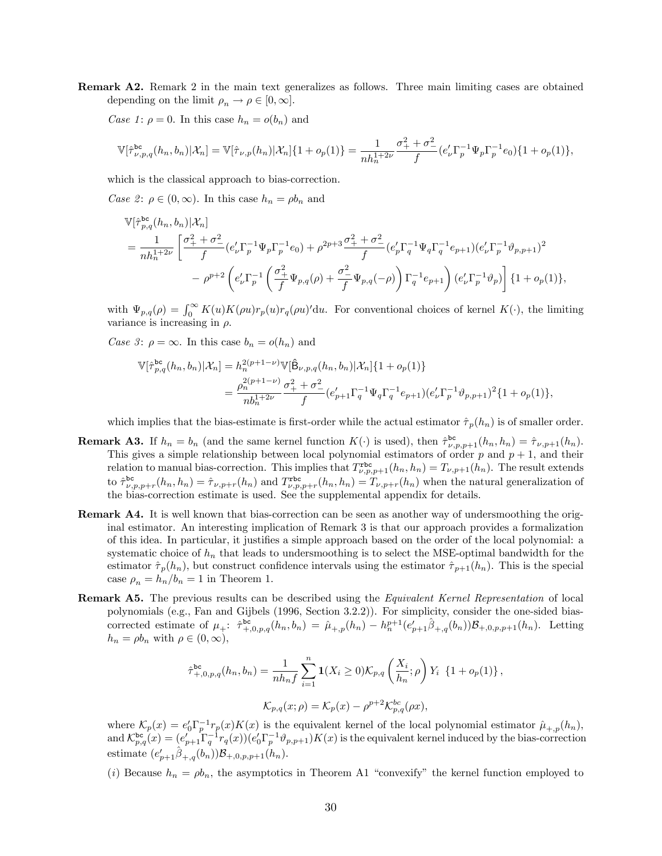Remark A2. Remark 2 in the main text generalizes as follows. Three main limiting cases are obtained depending on the limit  $\rho_n \to \rho \in [0, \infty]$ .

Case 1:  $\rho = 0$ . In this case  $h_n = o(b_n)$  and

$$
\mathbb{V}[\hat{\tau}_{\nu,p,q}^{\text{bc}}(h_n, b_n)|\mathcal{X}_n] = \mathbb{V}[\hat{\tau}_{\nu,p}(h_n)|\mathcal{X}_n]\{1+o_p(1)\} = \frac{1}{nh_n^{1+2\nu}}\frac{\sigma_+^2 + \sigma_-^2}{f}(e'_\nu \Gamma_p^{-1} \Psi_p \Gamma_p^{-1} e_0)\{1+o_p(1)\},
$$

which is the classical approach to bias-correction.

Case 2:  $\rho \in (0,\infty)$ . In this case  $h_n = \rho b_n$  and

$$
\begin{split} &\mathbb{V}[\hat{\tau}_{p,q}^{\text{bc}}(h_{n},b_{n})|\mathcal{X}_{n}] \\ &= \frac{1}{nh_{n}^{1+2\nu}}\left[\frac{\sigma_{+}^{2}+\sigma_{-}^{2}}{f}(e'_{\nu}\Gamma_{p}^{-1}\Psi_{p}\Gamma_{p}^{-1}e_{0})+\rho^{2p+3}\frac{\sigma_{+}^{2}+\sigma_{-}^{2}}{f}(e'_{p}\Gamma_{q}^{-1}\Psi_{q}\Gamma_{q}^{-1}e_{p+1})(e'_{\nu}\Gamma_{p}^{-1}\vartheta_{p,p+1})^{2}\right. \\ &\left. -\rho^{p+2}\left(e'_{\nu}\Gamma_{p}^{-1}\left(\frac{\sigma_{+}^{2}}{f}\Psi_{p,q}(\rho)+\frac{\sigma_{-}^{2}}{f}\Psi_{p,q}(-\rho)\right)\Gamma_{q}^{-1}e_{p+1}\right)(e'_{\nu}\Gamma_{p}^{-1}\vartheta_{p})\right]\{1+o_{p}(1)\}, \end{split}
$$

with  $\Psi_{p,q}(\rho) = \int_0^\infty K(u)K(\rho u)r_p(u)r_q(\rho u) du$ . For conventional choices of kernel  $K(\cdot)$ , the limiting variance is increasing in  $\rho$ .

Case 3:  $\rho = \infty$ . In this case  $b_n = o(h_n)$  and

$$
\begin{split} \mathbb{V}[\hat{\tau}_{p,q}^{\text{bc}}(h_n, b_n) | \mathcal{X}_n] &= h_n^{2(p+1-\nu)} \mathbb{V}[\hat{\mathsf{B}}_{\nu, p, q}(h_n, b_n) | \mathcal{X}_n] \{1 + o_p(1)\} \\ &= \frac{\rho_n^{2(p+1-\nu)} }{n b_n^{1+2\nu}} \frac{\sigma_+^2 + \sigma_-^2}{f} (e'_{p+1} \Gamma_q^{-1} \Psi_q \Gamma_q^{-1} e_{p+1}) (e'_\nu \Gamma_p^{-1} \vartheta_{p, p+1})^2 \{1 + o_p(1)\}, \end{split}
$$

which implies that the bias-estimate is first-order while the actual estimator  $\hat{\tau}_p(h_n)$  is of smaller order.

- **Remark A3.** If  $h_n = b_n$  (and the same kernel function  $K(\cdot)$  is used), then  $\hat{\tau}^{\text{bc}}_{\nu, p, p+1}(h_n, h_n) = \hat{\tau}_{\nu, p+1}(h_n)$ . This gives a simple relationship between local polynomial estimators of order p and  $p + 1$ , and their relation to manual bias-correction. This implies that  $T^{\text{rbc}}_{\nu,p,p+1}(h_n,h_n) = T_{\nu,p+1}(h_n)$ . The result extends to  $\hat{\tau}_{\nu,p,p+r}^{\text{bc}}(h_n, h_n) = \hat{\tau}_{\nu,p+r}(h_n)$  and  $T_{\nu,p,p+r}^{\text{abc}}(h_n, h_n) = T_{\nu,p+r}(h_n)$  when the natural generalization of the bias-correction estimate is used. See the supplemental appendix for details.
- Remark A4. It is well known that bias-correction can be seen as another way of undersmoothing the original estimator. An interesting implication of Remark 3 is that our approach provides a formalization of this idea. In particular, it justifies a simple approach based on the order of the local polynomial: a systematic choice of  $h_n$  that leads to undersmoothing is to select the MSE-optimal bandwidth for the estimator  $\hat{\tau}_p(h_n)$ , but construct confidence intervals using the estimator  $\hat{\tau}_{p+1}(h_n)$ . This is the special case  $\rho_n = h_n/b_n = 1$  in Theorem 1.
- Remark A5. The previous results can be described using the *Equivalent Kernel Representation* of local polynomials (e.g., Fan and Gijbels (1996, Section 3.2.2)). For simplicity, consider the one-sided biascorrected estimate of  $\mu_{+}$ :  $\hat{\tau}_{+,0,p,q}^{\text{bc}}(h_n, b_n) = \hat{\mu}_{+,p}(h_n) - h_n^{p+1}(e'_{p+1}\hat{\beta}_{+,q}(b_n))B_{+,0,p,p+1}(h_n)$ . Letting  $h_n = \rho b_n$  with  $\rho \in (0, \infty),$

$$
\hat{\tau}_{+,0,p,q}^{\text{bc}}(h_n, b_n) = \frac{1}{nh_n f} \sum_{i=1}^n \mathbf{1}(X_i \ge 0) \mathcal{K}_{p,q} \left(\frac{X_i}{h_n}; \rho\right) Y_i \{1 + o_p(1)\},
$$
  

$$
\mathcal{K}_{p,q}(x; \rho) = \mathcal{K}_p(x) - \rho^{p+2} \mathcal{K}_{p,q}^{bc}(\rho x),
$$

where  $\mathcal{K}_p(x) = e_0' \Gamma_p^{-1} r_p(x) K(x)$  is the equivalent kernel of the local polynomial estimator  $\hat{\mu}_{+,p}(h_n)$ , and  $\mathcal{K}_{p,q}^{\text{bc}}(x) = (e'_{p+1} \Gamma_q^{-1} r_q(x)) (e'_{0} \Gamma_p^{-1} \vartheta_{p,p+1}) K(x)$  is the equivalent kernel induced by the bias-correction estimate  $(e'_{p+1}\hat{\beta}_{+,q}(b_n))\mathcal{B}_{+,0,p,p+1}(h_n)$ .

(i) Because  $h_n = \rho b_n$ , the asymptotics in Theorem A1 "convexify" the kernel function employed to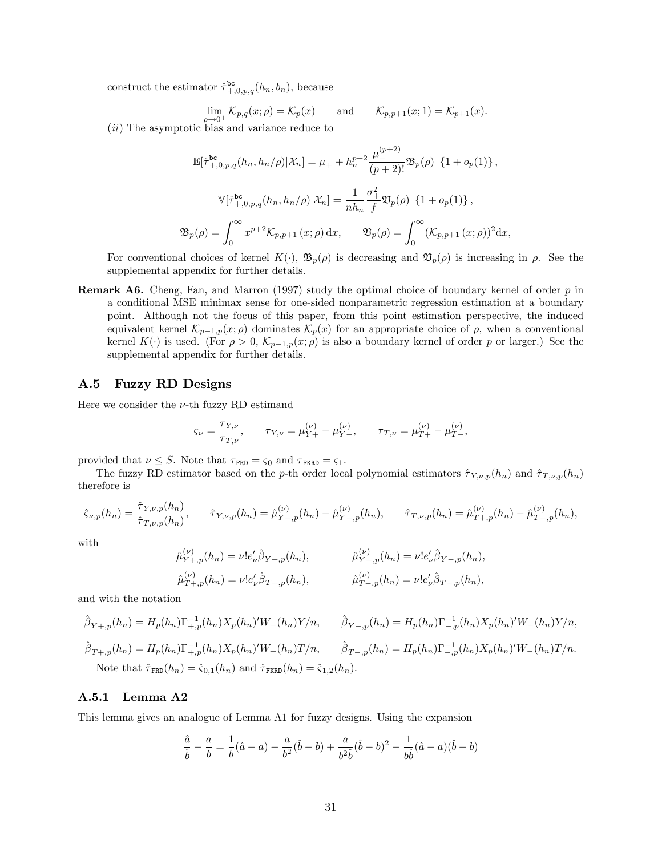construct the estimator  $\hat{\tau}_{+,0,p,q}^{\text{bc}}(h_n, b_n)$ , because

$$
\lim_{\longrightarrow 0^+} \mathcal{K}_{p,q}(x;\rho) = \mathcal{K}_p(x) \quad \text{and} \quad \mathcal{K}_{p,p+1}(x;1) = \mathcal{K}_{p+1}(x).
$$

(*ii*) The asymptotic bias and variance reduce to

$$
\mathbb{E}[\hat{\tau}_{+,0,p,q}^{\text{bc}}(h_n, h_n/\rho)|\mathcal{X}_n] = \mu_+ + h_n^{p+2} \frac{\mu_+^{(p+2)}}{(p+2)!} \mathfrak{B}_p(\rho) \{1 + o_p(1)\},
$$
  

$$
\mathbb{V}[\hat{\tau}_{+,0,p,q}^{\text{bc}}(h_n, h_n/\rho)|\mathcal{X}_n] = \frac{1}{nh_n} \frac{\sigma_+^2}{f} \mathfrak{V}_p(\rho) \{1 + o_p(1)\},
$$
  

$$
\mathfrak{B}_p(\rho) = \int_0^\infty x^{p+2} \mathcal{K}_{p,p+1}(x;\rho) dx, \qquad \mathfrak{V}_p(\rho) = \int_0^\infty (\mathcal{K}_{p,p+1}(x;\rho))^2 dx,
$$

For conventional choices of kernel  $K(\cdot)$ ,  $\mathfrak{B}_p(\rho)$  is decreasing and  $\mathfrak{D}_p(\rho)$  is increasing in  $\rho$ . See the supplemental appendix for further details.

**Remark A6.** Cheng, Fan, and Marron (1997) study the optimal choice of boundary kernel of order  $p$  in a conditional MSE minimax sense for one-sided nonparametric regression estimation at a boundary point. Although not the focus of this paper, from this point estimation perspective, the induced equivalent kernel  $\mathcal{K}_{p-1,p}(x; \rho)$  dominates  $\mathcal{K}_p(x)$  for an appropriate choice of  $\rho$ , when a conventional kernel  $K(\cdot)$  is used. (For  $\rho > 0$ ,  $\mathcal{K}_{p-1,p}(x;\rho)$  is also a boundary kernel of order p or larger.) See the supplemental appendix for further details.

#### A.5 Fuzzy RD Designs

Here we consider the  $\nu$ -th fuzzy RD estimand

$$
\varsigma_{\nu} = \frac{\tau_{Y,\nu}}{\tau_{T,\nu}}, \qquad \tau_{Y,\nu} = \mu_{Y+}^{(\nu)} - \mu_{Y-}^{(\nu)}, \qquad \tau_{T,\nu} = \mu_{T+}^{(\nu)} - \mu_{T-}^{(\nu)},
$$

provided that  $\nu \leq S$ . Note that  $\tau_{\text{FRD}} = \varsigma_0$  and  $\tau_{\text{FKRD}} = \varsigma_1$ .

The fuzzy RD estimator based on the p-th order local polynomial estimators  $\hat{\tau}_{Y,\nu,p}(h_n)$  and  $\hat{\tau}_{T,\nu,p}(h_n)$ therefore is

$$
\hat{\varsigma}_{\nu,p}(h_n) = \frac{\hat{\tau}_{Y,\nu,p}(h_n)}{\hat{\tau}_{T,\nu,p}(h_n)}, \qquad \hat{\tau}_{Y,\nu,p}(h_n) = \hat{\mu}_{Y+,p}^{(\nu)}(h_n) - \hat{\mu}_{Y-,p}^{(\nu)}(h_n), \qquad \hat{\tau}_{T,\nu,p}(h_n) = \hat{\mu}_{T+,p}^{(\nu)}(h_n) - \hat{\mu}_{T-,p}^{(\nu)}(h_n),
$$

with

$$
\begin{aligned} \hat{\mu}_{Y+,p}^{(\nu)}(h_n) &= \nu! e'_\nu \hat{\beta}_{Y+,p}(h_n), & \hat{\mu}_{Y-,p}^{(\nu)}(h_n) &= \nu! e'_\nu \hat{\beta}_{Y-,p}(h_n), \\ \hat{\mu}_{T+,p}^{(\nu)}(h_n) &= \nu! e'_\nu \hat{\beta}_{T+,p}(h_n), & \hat{\mu}_{T-,p}^{(\nu)}(h_n) &= \nu! e'_\nu \hat{\beta}_{T-,p}(h_n), \end{aligned}
$$

and with the notation

$$
\hat{\beta}_{Y+,p}(h_n) = H_p(h_n) \Gamma_{+,p}^{-1}(h_n) X_p(h_n)' W_+(h_n) Y/n, \qquad \hat{\beta}_{Y-,p}(h_n) = H_p(h_n) \Gamma_{-,p}^{-1}(h_n) X_p(h_n)' W_-(h_n) Y/n,
$$
  

$$
\hat{\beta}_{T+,p}(h_n) = H_p(h_n) \Gamma_{+,p}^{-1}(h_n) X_p(h_n)' W_+(h_n) T/n, \qquad \hat{\beta}_{T-,p}(h_n) = H_p(h_n) \Gamma_{-,p}^{-1}(h_n) X_p(h_n)' W_-(h_n) T/n.
$$
  
Note that  $\hat{\tau}_{FRD}(h_n) = \hat{\varsigma}_{0,1}(h_n)$  and  $\hat{\tau}_{FRD}(h_n) = \hat{\varsigma}_{1,2}(h_n)$ .

#### A.5.1 Lemma A2

This lemma gives an analogue of Lemma A1 for fuzzy designs. Using the expansion

$$
\frac{\hat{a}}{\hat{b}} - \frac{a}{b} = \frac{1}{b}(\hat{a} - a) - \frac{a}{b^2}(\hat{b} - b) + \frac{a}{b^2\hat{b}}(\hat{b} - b)^2 - \frac{1}{b\hat{b}}(\hat{a} - a)(\hat{b} - b)
$$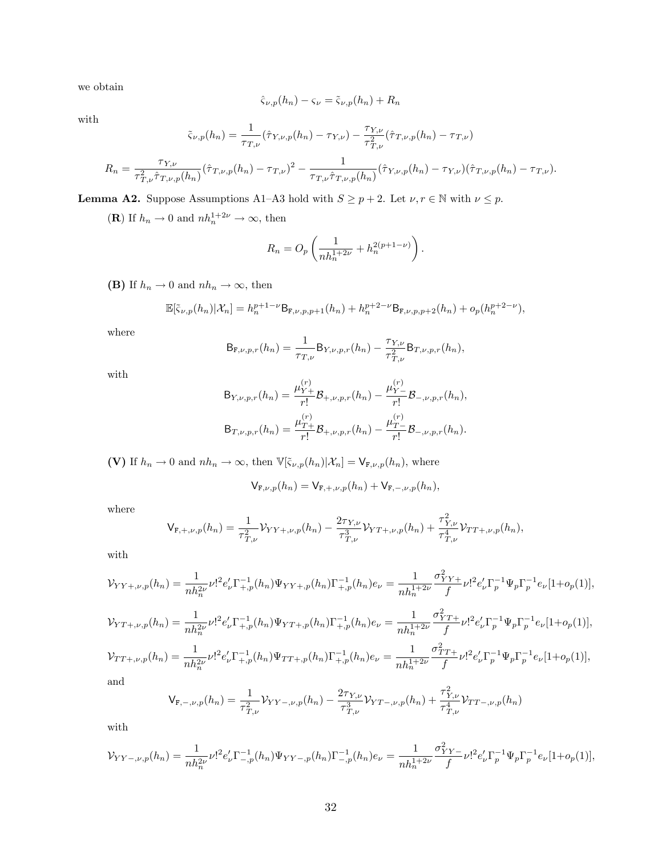we obtain

$$
\hat{\varsigma}_{\nu,p}(h_n) - \varsigma_{\nu} = \tilde{\varsigma}_{\nu,p}(h_n) + R_n
$$

with

$$
\tilde{\varsigma}_{\nu,p}(h_n) = \frac{1}{\tau_{T,\nu}} (\hat{\tau}_{Y,\nu,p}(h_n) - \tau_{Y,\nu}) - \frac{\tau_{Y,\nu}}{\tau_{T,\nu}^2} (\hat{\tau}_{T,\nu,p}(h_n) - \tau_{T,\nu})
$$

$$
R_n = \frac{\tau_{Y,\nu}}{\tau_{T,\nu}^2 \hat{\tau}_{T,\nu,p}(h_n)} (\hat{\tau}_{T,\nu,p}(h_n) - \tau_{T,\nu})^2 - \frac{1}{\tau_{T,\nu} \hat{\tau}_{T,\nu,p}(h_n)} (\hat{\tau}_{Y,\nu,p}(h_n) - \tau_{Y,\nu}) (\hat{\tau}_{T,\nu,p}(h_n) - \tau_{T,\nu}).
$$

**Lemma A2.** Suppose Assumptions A1–A3 hold with  $S \ge p + 2$ . Let  $\nu, r \in \mathbb{N}$  with  $\nu \le p$ .

(**R**) If  $h_n \to 0$  and  $nh_n^{1+2\nu} \to \infty$ , then

$$
R_n = O_p \left( \frac{1}{nh_n^{1+2\nu}} + h_n^{2(p+1-\nu)} \right).
$$

(B) If  $h_n \to 0$  and  $nh_n \to \infty$ , then

$$
\mathbb{E}[\tilde{\varsigma}_{\nu,p}(h_n)|\mathcal{X}_n] = h_n^{p+1-\nu} \mathsf{B}_{\mathbf{F},\nu,p,p+1}(h_n) + h_n^{p+2-\nu} \mathsf{B}_{\mathbf{F},\nu,p,p+2}(h_n) + o_p(h_n^{p+2-\nu}),
$$

where

$$
B_{F,\nu,p,r}(h_n) = \frac{1}{\tau_{T,\nu}} B_{Y,\nu,p,r}(h_n) - \frac{\tau_{Y,\nu}}{\tau_{T,\nu}^2} B_{T,\nu,p,r}(h_n),
$$

with

$$
B_{Y,\nu,p,r}(h_n) = \frac{\mu_{Y+}^{(r)}}{r!} B_{+,\nu,p,r}(h_n) - \frac{\mu_{Y-}^{(r)}}{r!} B_{-,\nu,p,r}(h_n),
$$
  

$$
B_{T,\nu,p,r}(h_n) = \frac{\mu_{T+}^{(r)}}{r!} B_{+,\nu,p,r}(h_n) - \frac{\mu_{T-}^{(r)}}{r!} B_{-,\nu,p,r}(h_n).
$$

(V) If  $h_n \to 0$  and  $nh_n \to \infty$ , then  $\mathbb{V}[\tilde{\varsigma}_{\nu,p}(h_n)|X_n] = \mathsf{V}_{\mathsf{F},\nu,p}(h_n)$ , where

$$
V_{F,\nu,p}(h_n) = V_{F,+, \nu,p}(h_n) + V_{F,-,\nu,p}(h_n),
$$

where

$$
\mathsf{V}_{\mathbf{F},+,\nu,p}(h_n) = \frac{1}{\tau_{T,\nu}^2} \mathcal{V}_{YY+,\nu,p}(h_n) - \frac{2\tau_{Y,\nu}}{\tau_{T,\nu}^3} \mathcal{V}_{YT+,\nu,p}(h_n) + \frac{\tau_{Y,\nu}^2}{\tau_{T,\nu}^4} \mathcal{V}_{TT+,\nu,p}(h_n),
$$

with

$$
\mathcal{V}_{YY+,\nu,p}(h_n) = \frac{1}{nh_n^{2\nu}} \nu!^2 e'_\nu \Gamma_{+,p}^{-1}(h_n) \Psi_{YY+,p}(h_n) \Gamma_{+,p}^{-1}(h_n) e_\nu = \frac{1}{nh_n^{1+2\nu}} \frac{\sigma_{YY+}^2}{f} \nu!^2 e'_\nu \Gamma_p^{-1} \Psi_p \Gamma_p^{-1} e_\nu [1+o_p(1)],
$$

$$
\mathcal{V}_{TT+,\nu,p}(h_n) = \frac{1}{nh_n^{2\nu}} \nu!^2 e'_\nu \Gamma_{+,p}^{-1}(h_n) \Psi_{YT+,p}(h_n) \Gamma_{+,p}^{-1}(h_n) e_\nu = \frac{1}{nh_n^{1+2\nu}} \frac{\sigma_{TT+}^2}{f} \nu!^2 e'_\nu \Gamma_p^{-1} \Psi_p \Gamma_p^{-1} e_\nu [1+o_p(1)],
$$
  

$$
\mathcal{V}_{TT+,\nu,p}(h_n) = \frac{1}{nh_n^{2\nu}} \nu!^2 e'_\nu \Gamma_{+,p}^{-1}(h_n) \Psi_{TT+,p}(h_n) \Gamma_{+,p}^{-1}(h_n) e_\nu = \frac{1}{nh_n^{1+2\nu}} \frac{\sigma_{TT+}^2}{f} \nu!^2 e'_\nu \Gamma_p^{-1} \Psi_p \Gamma_p^{-1} e_\nu [1+o_p(1)],
$$

and

$$
\mathsf{V}_{\mathbf{F}, -, \nu, p}(h_n) = \frac{1}{\tau_{T, \nu}^2} \mathcal{V}_{YY-, \nu, p}(h_n) - \frac{2\tau_{Y, \nu}}{\tau_{T, \nu}^3} \mathcal{V}_{YT-, \nu, p}(h_n) + \frac{\tau_{Y, \nu}^2}{\tau_{T, \nu}^4} \mathcal{V}_{TT-, \nu, p}(h_n)
$$

with

$$
\mathcal{V}_{YY-,\nu,p}(h_n) = \frac{1}{nh_n^{2\nu}} \nu!^2 e'_\nu \Gamma^{-1}_{-,p}(h_n) \Psi_{YY-,\rho}(h_n) \Gamma^{-1}_{-,p}(h_n) e_\nu = \frac{1}{nh_n^{1+2\nu}} \frac{\sigma_{YY-}^2}{f} \nu!^2 e'_\nu \Gamma_p^{-1} \Psi_p \Gamma_p^{-1} e_\nu [1 + o_p(1)],
$$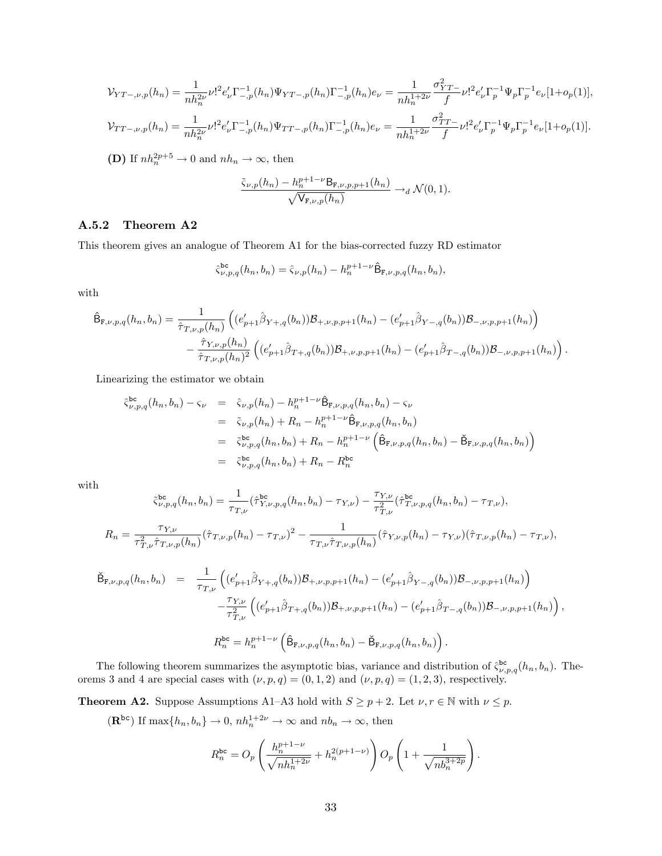$$
\mathcal{V}_{TT-, \nu, p}(h_n) = \frac{1}{nh_n^{2\nu}} \nu!^2 e'_\nu \Gamma_{-, p}^{-1}(h_n) \Psi_{YT-, p}(h_n) \Gamma_{-, p}^{-1}(h_n) e_\nu = \frac{1}{nh_n^{1+2\nu}} \frac{\sigma_{YT}^2}{f} \nu!^2 e'_\nu \Gamma_p^{-1} \Psi_p \Gamma_p^{-1} e_\nu [1 + o_p(1)],
$$
  

$$
\mathcal{V}_{TT-, \nu, p}(h_n) = \frac{1}{nh_n^{2\nu}} \nu!^2 e'_\nu \Gamma_{-, p}^{-1}(h_n) \Psi_{TT-, p}(h_n) \Gamma_{-, p}^{-1}(h_n) e_\nu = \frac{1}{nh_n^{1+2\nu}} \frac{\sigma_{TT-}^2}{f} \nu!^2 e'_\nu \Gamma_p^{-1} \Psi_p \Gamma_p^{-1} e_\nu [1 + o_p(1)].
$$

**(D)** If  $nh_n^{2p+5} \to 0$  and  $nh_n \to \infty$ , then

$$
\frac{\tilde{\varsigma}_{\nu,p}(h_n) - h_n^{p+1-\nu} \mathsf{B}_{\mathbf{F},\nu,p,p+1}(h_n)}{\sqrt{\mathsf{V}_{\mathbf{F},\nu,p}(h_n)}} \to_d \mathcal{N}(0,1).
$$

### A.5.2 Theorem A2

This theorem gives an analogue of Theorem A1 for the bias-corrected fuzzy RD estimator

$$
\hat{\varsigma}_{\nu,p,q}^{\text{bc}}(h_n, b_n) = \hat{\varsigma}_{\nu,p}(h_n) - h_n^{p+1-\nu} \hat{\mathsf{B}}_{\mathsf{F},\nu,p,q}(h_n, b_n),
$$

with

$$
\hat{\mathsf{B}}_{\mathbf{F},\nu,p,q}(h_n, b_n) = \frac{1}{\hat{\tau}_{T,\nu,p}(h_n)} \left( (e'_{p+1}\hat{\beta}_{Y+,q}(b_n))\mathcal{B}_{+,\nu,p,p+1}(h_n) - (e'_{p+1}\hat{\beta}_{Y-,q}(b_n))\mathcal{B}_{-,\nu,p,p+1}(h_n) \right) \n- \frac{\hat{\tau}_{Y,\nu,p}(h_n)}{\hat{\tau}_{T,\nu,p}(h_n)^2} \left( (e'_{p+1}\hat{\beta}_{T+,q}(b_n))\mathcal{B}_{+,\nu,p,p+1}(h_n) - (e'_{p+1}\hat{\beta}_{T-,q}(b_n))\mathcal{B}_{-,\nu,p,p+1}(h_n) \right).
$$

Linearizing the estimator we obtain

$$
\hat{\zeta}_{\nu,p,q}^{\text{bc}}(h_n, b_n) - \zeta_{\nu} = \hat{\zeta}_{\nu,p}(h_n) - h_n^{p+1-\nu} \hat{\mathsf{B}}_{\mathbf{F},\nu,p,q}(h_n, b_n) - \zeta_{\nu}
$$
\n
$$
= \tilde{\zeta}_{\nu,p}(h_n) + R_n - h_n^{p+1-\nu} \hat{\mathsf{B}}_{\mathbf{F},\nu,p,q}(h_n, b_n)
$$
\n
$$
= \tilde{\zeta}_{\nu,p,q}^{\text{bc}}(h_n, b_n) + R_n - h_n^{p+1-\nu} \left( \hat{\mathsf{B}}_{\mathbf{F},\nu,p,q}(h_n, b_n) - \check{\mathsf{B}}_{\mathbf{F},\nu,p,q}(h_n, b_n) \right)
$$
\n
$$
= \tilde{\zeta}_{\nu,p,q}^{\text{bc}}(h_n, b_n) + R_n - R_n^{\text{bc}}
$$

with

$$
\tilde{\varsigma}_{\nu,p,q}^{\text{bc}}(h_n, b_n) = \frac{1}{\tau_{T,\nu}} (\hat{\tau}_{Y,\nu,p,q}^{\text{bc}}(h_n, b_n) - \tau_{Y,\nu}) - \frac{\tau_{Y,\nu}}{\tau_{T,\nu}^2} (\hat{\tau}_{T,\nu,p,q}^{\text{bc}}(h_n, b_n) - \tau_{T,\nu}),
$$
\n
$$
R_n = \frac{\tau_{Y,\nu}}{\tau_{T,\nu}^2 \hat{\tau}_{T,\nu,p}(h_n)} (\hat{\tau}_{T,\nu,p}(h_n) - \tau_{T,\nu})^2 - \frac{1}{\tau_{T,\nu} \hat{\tau}_{T,\nu,p}(h_n)} (\hat{\tau}_{Y,\nu,p}(h_n) - \tau_{Y,\nu}) (\hat{\tau}_{T,\nu,p}(h_n) - \tau_{T,\nu}),
$$

$$
\tilde{B}_{F,\nu,p,q}(h_n, b_n) = \frac{1}{\tau_{T,\nu}} \left( (e'_{p+1}\hat{\beta}_{Y+q}(b_n))\mathcal{B}_{+,\nu,p,p+1}(h_n) - (e'_{p+1}\hat{\beta}_{Y-,q}(b_n))\mathcal{B}_{-,\nu,p,p+1}(h_n) \right) \n- \frac{\tau_{Y,\nu}}{\tau_{T,\nu}^2} \left( (e'_{p+1}\hat{\beta}_{T+q}(b_n))\mathcal{B}_{+,\nu,p,p+1}(h_n) - (e'_{p+1}\hat{\beta}_{T-,q}(b_n))\mathcal{B}_{-,\nu,p,p+1}(h_n) \right), \nR_n^{\text{bc}} = h_n^{p+1-\nu} \left( \hat{B}_{F,\nu,p,q}(h_n, b_n) - \check{B}_{F,\nu,p,q}(h_n, b_n) \right).
$$

The following theorem summarizes the asymptotic bias, variance and distribution of  $\hat{\zeta}_{\nu, p,q}^{\text{bc}}(h_n, b_n)$ . Theorems 3 and 4 are special cases with  $(\nu, p, q) = (0, 1, 2)$  and  $(\nu, p, q) = (1, 2, 3)$ , respectively.

**Theorem A2.** Suppose Assumptions A1–A3 hold with  $S \ge p + 2$ . Let  $\nu, r \in \mathbb{N}$  with  $\nu \le p$ .

$$
(\mathbf{R}^{bc})
$$
 If  $\max\{h_n, b_n\} \to 0$ ,  $nh_n^{1+2\nu} \to \infty$  and  $nb_n \to \infty$ , then

$$
R_n^{\text{bc}} = O_p\left(\frac{h_n^{p+1-\nu}}{\sqrt{nh_n^{1+2\nu}}} + h_n^{2(p+1-\nu)}\right)O_p\left(1 + \frac{1}{\sqrt{nb_n^{3+2p}}}\right).
$$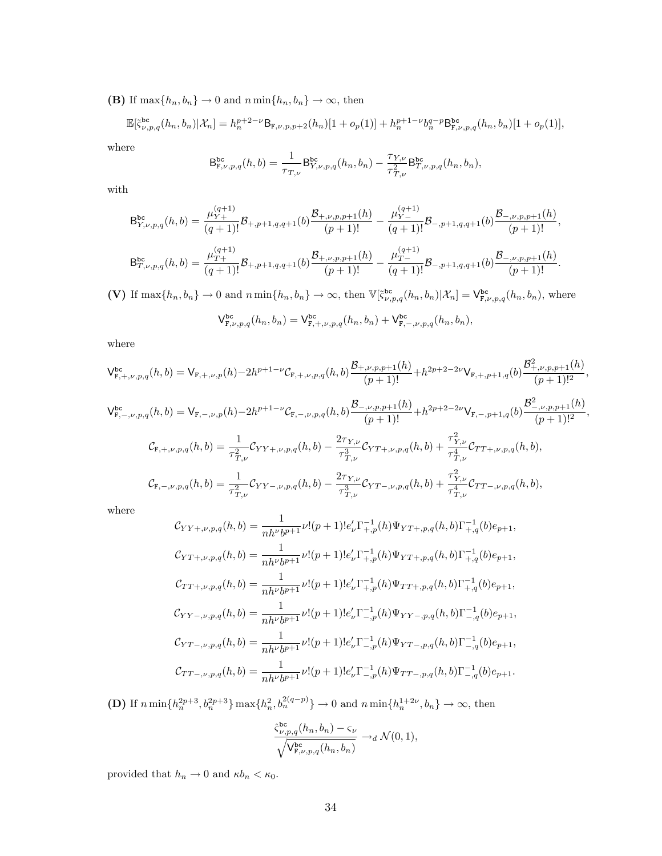(B) If  $\max\{h_n, b_n\} \to 0$  and  $n \min\{h_n, b_n\} \to \infty$ , then

$$
\mathbb{E}[\tilde{\zeta}_{\nu,p,q}^{\text{bc}}(h_n, b_n)|\mathcal{X}_n] = h_n^{p+2-\nu} \mathsf{B}_{\mathbf{F},\nu,p,p+2}(h_n)[1+o_p(1)] + h_n^{p+1-\nu} b_n^{q-p} \mathsf{B}_{\mathbf{F},\nu,p,q}^{\text{bc}}(h_n, b_n)[1+o_p(1)],
$$

where

$$
\mathsf{B}_{\mathrm{F},\nu,p,q}^{\mathrm{bc}}(h,b)=\frac{1}{\tau_{T,\nu}}\mathsf{B}_{Y,\nu,p,q}^{\mathrm{bc}}(h_n,b_n)-\frac{\tau_{Y,\nu}}{\tau_{T,\nu}^2}\mathsf{B}_{T,\nu,p,q}^{\mathrm{bc}}(h_n,b_n),
$$

with

$$
B_{Y,\nu,p,q}^{bc}(h,b) = \frac{\mu_{Y+}^{(q+1)}}{(q+1)!} \mathcal{B}_{+,p+1,q,q+1}(b) \frac{\mathcal{B}_{+,\nu,p,p+1}(h)}{(p+1)!} - \frac{\mu_{Y-}^{(q+1)}}{(q+1)!} \mathcal{B}_{-,p+1,q,q+1}(b) \frac{\mathcal{B}_{-,\nu,p,p+1}(h)}{(p+1)!},
$$
  

$$
B_{T,\nu,p,q}^{bc}(h,b) = \frac{\mu_{T+}^{(q+1)}}{(q+1)!} \mathcal{B}_{+,p+1,q,q+1}(b) \frac{\mathcal{B}_{+,\nu,p,p+1}(h)}{(p+1)!} - \frac{\mu_{T-}^{(q+1)}}{(q+1)!} \mathcal{B}_{-,p+1,q,q+1}(b) \frac{\mathcal{B}_{-,\nu,p,p+1}(h)}{(p+1)!}.
$$

(V) If  $\max\{h_n, b_n\} \to 0$  and  $n \min\{h_n, b_n\} \to \infty$ , then  $\mathbb{V}[\tilde{\zeta}_{\nu, p,q}^{\text{bc}}(h_n, b_n)|X_n] = \mathsf{V}_{\mathsf{F},\nu, p,q}^{\text{bc}}(h_n, b_n)$ , where

$$
\mathsf{V}_{\mathsf{F},\nu,p,q}^{\mathrm{bc}}(h_n,b_n)=\mathsf{V}_{\mathsf{F},+,\nu,p,q}^{\mathrm{bc}}(h_n,b_n)+\mathsf{V}_{\mathsf{F},-,\nu,p,q}^{\mathrm{bc}}(h_n,b_n),
$$

where

$$
\begin{split} \mathsf{V}^{\mathsf{bc}}_{\mathsf{F},+,\nu,p,q}(h,b)=\mathsf{V}_{\mathsf{F},+,\nu,p}(h)-2h^{p+1-\nu}\mathcal{C}_{\mathsf{F},+,\nu,p,q}(h,b)\frac{\mathcal{B}_{+,\nu,p,p+1}(h)}{(p+1)!}+h^{2p+2-2\nu}\mathsf{V}_{\mathsf{F},+,\,p+1,q}(b)\frac{\mathcal{B}_{+,\nu,p,p+1}^2(h)}{(p+1)!^2},\\ \mathsf{V}^{\mathsf{bc}}_{\mathsf{F},-,\nu,p,q}(h,b)=\mathsf{V}_{\mathsf{F},-,\nu,p}(h)-2h^{p+1-\nu}\mathcal{C}_{\mathsf{F},-,\nu,p,q}(h,b)\frac{\mathcal{B}_{-,\nu,p,p+1}(h)}{(p+1)!}+h^{2p+2-2\nu}\mathsf{V}_{\mathsf{F},-,\,p+1,q}(b)\frac{\mathcal{B}_{-,\nu,p,p+1}^2(h)}{(p+1)!^2},\\ \mathsf{C}_{\mathsf{F},+,\nu,p,q}(h,b)=\frac{1}{\tau_{T,\nu}^2}\mathsf{C}_{YY+,\nu,p,q}(h,b)-\frac{2\tau_{Y,\nu}}{\tau_{T,\nu}^3}\mathsf{C}_{YY+,\nu,p,q}(h,b)+\frac{\tau_{Y,\nu}^2}{\tau_{T,\nu}^4}\mathsf{C}_{TT+,\nu,p,q}(h,b),\\ \mathsf{C}_{\mathsf{F},-,\nu,p,q}(h,b)=\frac{1}{\tau_{T,\nu}^2}\mathsf{C}_{YY-,\nu,p,q}(h,b)-\frac{2\tau_{Y,\nu}}{\tau_{T,\nu}^3}\mathsf{C}_{YY-,\nu,p,q}(h,b)+\frac{\tau_{Y,\nu}^2}{\tau_{T,\nu}^4}\mathsf{C}_{TT-,\nu,p,q}(h,b), \end{split}
$$

where

$$
\mathcal{C}_{YY+,\nu,p,q}(h,b) = \frac{1}{nh^{\nu}b^{p+1}}\nu!(p+1)!e'_{\nu}\Gamma_{+,p}^{-1}(h)\Psi_{YT+,p,q}(h,b)\Gamma_{+,q}^{-1}(b)e_{p+1},
$$
  
\n
$$
\mathcal{C}_{YT+,\nu,p,q}(h,b) = \frac{1}{nh^{\nu}b^{p+1}}\nu!(p+1)!e'_{\nu}\Gamma_{+,p}^{-1}(h)\Psi_{YT+,p,q}(h,b)\Gamma_{+,q}^{-1}(b)e_{p+1},
$$
  
\n
$$
\mathcal{C}_{TT+,\nu,p,q}(h,b) = \frac{1}{nh^{\nu}b^{p+1}}\nu!(p+1)!e'_{\nu}\Gamma_{+,p}^{-1}(h)\Psi_{TT+,p,q}(h,b)\Gamma_{+,q}^{-1}(b)e_{p+1},
$$
  
\n
$$
\mathcal{C}_{YY-,\nu,p,q}(h,b) = \frac{1}{nh^{\nu}b^{p+1}}\nu!(p+1)!e'_{\nu}\Gamma_{-,p}^{-1}(h)\Psi_{YY-,p,q}(h,b)\Gamma_{-,q}^{-1}(b)e_{p+1},
$$
  
\n
$$
\mathcal{C}_{YT-,\nu,p,q}(h,b) = \frac{1}{nh^{\nu}b^{p+1}}\nu!(p+1)!e'_{\nu}\Gamma_{-,p}^{-1}(h)\Psi_{YT-,p,q}(h,b)\Gamma_{-,q}^{-1}(b)e_{p+1},
$$
  
\n
$$
\mathcal{C}_{TT-,\nu,p,q}(h,b) = \frac{1}{nh^{\nu}b^{p+1}}\nu!(p+1)!e'_{\nu}\Gamma_{-,p}^{-1}(h)\Psi_{TT-,p,q}(h,b)\Gamma_{-,q}^{-1}(b)e_{p+1}.
$$

**(D)** If  $n \min\{h_n^{2p+3}, b_n^{2p+3}\}\max\{h_n^2, b_n^{2(q-p)}\}\to 0$  and  $n \min\{h_n^{1+2\nu}, b_n\}\to \infty$ , then

$$
\frac{\hat{\varsigma}_{\nu,p,q}^{\text{bc}}(h_n,b_n)-\varsigma_{\nu}}{\sqrt{\mathsf{V}_{\text{F},\nu,p,q}^{\text{bc}}(h_n,b_n)}}\rightarrow_d\mathcal{N}(0,1),
$$

provided that  $h_n \to 0$  and  $\kappa b_n < \kappa_0.$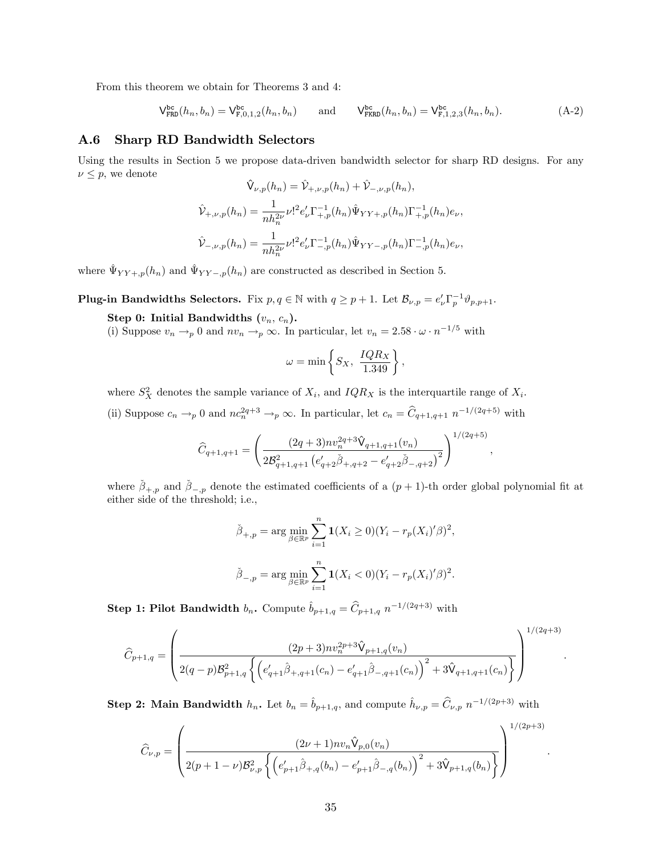From this theorem we obtain for Theorems 3 and 4:

<span id="page-35-0"></span>
$$
\mathsf{V}^{\mathsf{bc}}_{\mathsf{FRD}}(h_n, b_n) = \mathsf{V}^{\mathsf{bc}}_{\mathsf{F},0,1,2}(h_n, b_n) \qquad \text{and} \qquad \mathsf{V}^{\mathsf{bc}}_{\mathsf{FKRD}}(h_n, b_n) = \mathsf{V}^{\mathsf{bc}}_{\mathsf{F},1,2,3}(h_n, b_n). \tag{A-2}
$$

### A.6 Sharp RD Bandwidth Selectors

Using the results in Section 5 we propose data-driven bandwidth selector for sharp RD designs. For any  $\nu \leq p$ , we denote  $\mathcal{P}(\mathcal{P}_n) = \mathcal{P}_n(\mathcal{P}_n) + \mathcal{P}_n(\mathcal{P}_n)$ 

$$
\hat{\mathsf{V}}_{\nu,p}(h_n) = \hat{\mathsf{V}}_{+,\nu,p}(h_n) + \hat{\mathsf{V}}_{-,\nu,p}(h_n),
$$
\n
$$
\hat{\mathsf{V}}_{+,\nu,p}(h_n) = \frac{1}{nh_n^{2\nu}} \nu!^2 e'_\nu \Gamma_{+,p}^{-1}(h_n) \hat{\Psi}_{YY+,p}(h_n) \Gamma_{+,p}^{-1}(h_n) e_\nu,
$$
\n
$$
\hat{\mathsf{V}}_{-,\nu,p}(h_n) = \frac{1}{nh_n^{2\nu}} \nu!^2 e'_\nu \Gamma_{-,p}^{-1}(h_n) \hat{\Psi}_{YY-,p}(h_n) \Gamma_{-,p}^{-1}(h_n) e_\nu,
$$

where  $\hat{\Psi}_{YY +,p}(h_n)$  and  $\hat{\Psi}_{YY -,p}(h_n)$  are constructed as described in Section 5.

**Plug-in Bandwidths Selectors.** Fix  $p, q \in \mathbb{N}$  with  $q \geq p+1$ . Let  $\mathcal{B}_{\nu,p} = e'_{\nu} \Gamma_p^{-1} \vartheta_{p,p+1}$ .

Step 0: Initial Bandwidths  $(v_n, c_n)$ .

(i) Suppose  $v_n \rightarrow_p 0$  and  $nv_n \rightarrow_p \infty$ . In particular, let  $v_n = 2.58 \cdot \omega \cdot n^{-1/5}$  with

$$
\omega = \min \left\{ S_X, \ \frac{IQR_X}{1.349} \right\},\
$$

where  $S_X^2$  denotes the sample variance of  $X_i$ , and  $IQR_X$  is the interquartile range of  $X_i$ .

(ii) Suppose  $c_n \to_p 0$  and  $nc_n^{2q+3} \to_p \infty$ . In particular, let  $c_n = \hat{C}_{q+1,q+1} n^{-1/(2q+5)}$  with

$$
\widehat{C}_{q+1,q+1} = \left(\frac{(2q+3)nv_n^{2q+3}\widehat{V}_{q+1,q+1}(v_n)}{2\mathcal{B}_{q+1,q+1}^2\left(e'_{q+2}\widehat{\beta}_{+,q+2} - e'_{q+2}\widehat{\beta}_{-,q+2}\right)^2}\right)^{1/(2q+5)}
$$

,

.

.

where  $\check{\beta}_{+,p}$  and  $\check{\beta}_{-,p}$  denote the estimated coefficients of a  $(p+1)$ -th order global polynomial fit at either side of the threshold; i.e.,

$$
\tilde{\beta}_{+,p} = \arg \min_{\beta \in \mathbb{R}^p} \sum_{i=1}^n \mathbf{1}(X_i \ge 0)(Y_i - r_p(X_i)'\beta)^2,
$$
  

$$
\tilde{\beta}_{-,p} = \arg \min_{\beta \in \mathbb{R}^p} \sum_{i=1}^n \mathbf{1}(X_i < 0)(Y_i - r_p(X_i)'\beta)^2.
$$

**Step 1: Pilot Bandwidth**  $b_n$ . Compute  $\hat{b}_{p+1,q} = \hat{C}_{p+1,q} n^{-1/(2q+3)}$  with

$$
\widehat{C}_{p+1,q} = \left(\frac{(2p+3)nv_n^{2p+3}\widehat{V}_{p+1,q}(v_n)}{2(q-p)\mathcal{B}_{p+1,q}^2\left\{\left(e'_{q+1}\widehat{\beta}_{+,q+1}(c_n) - e'_{q+1}\widehat{\beta}_{-,q+1}(c_n)\right)^2 + 3\widehat{V}_{q+1,q+1}(c_n)\right\}}\right)^{1/(2q+3)}
$$

**Step 2: Main Bandwidth**  $h_n$ . Let  $b_n = \hat{b}_{p+1,q}$ , and compute  $\hat{h}_{\nu,p} = \hat{C}_{\nu,p} n^{-1/(2p+3)}$  with

$$
\widehat{C}_{\nu,p} = \left(\frac{(2\nu+1)nv_n \widehat{\mathsf{V}}_{p,0}(v_n)}{2(p+1-\nu)\mathcal{B}_{\nu,p}^2\left\{\left(e'_{p+1}\widehat{\beta}_{+,q}(b_n) - e'_{p+1}\widehat{\beta}_{-,q}(b_n)\right)^2 + 3\widehat{\mathsf{V}}_{p+1,q}(b_n)\right\}}\right)^{1/(2p+3)}
$$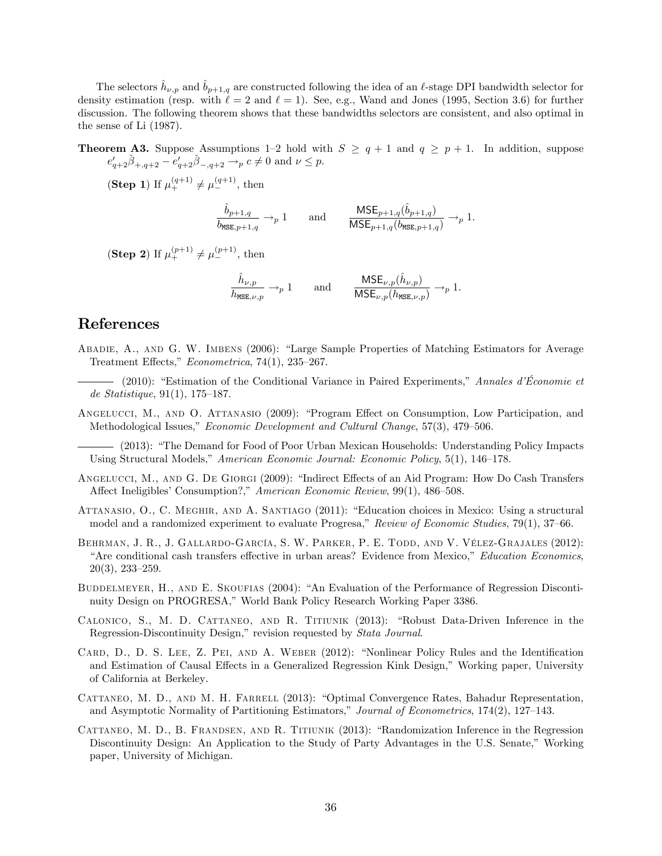The selectors  $\hat{h}_{\nu,p}$  and  $\hat{b}_{p+1,q}$  are constructed following the idea of an  $\ell$ -stage DPI bandwidth selector for density estimation (resp. with  $\ell = 2$  and  $\ell = 1$ ). See, e.g., Wand and Jones (1995, Section 3.6) for further discussion. The following theorem shows that these bandwidths selectors are consistent, and also optimal in the sense of Li (1987).

**Theorem A3.** Suppose Assumptions 1-2 hold with  $S \ge q + 1$  and  $q \ge p + 1$ . In addition, suppose  $e'_{q+2}\check{\beta}_{+,q+2} - e'_{q+2}\check{\beta}_{-,q+2} \to_p c \neq 0$  and  $\nu \leq p$ .

(Step 1) If  $\mu_+^{(q+1)} \neq \mu_-^{(q+1)}$ , then

$$
\frac{\hat{b}_{p+1,q}}{b_{\text{MSE},p+1,q}} \to_p 1 \quad \text{and} \quad \frac{\text{MSE}_{p+1,q}(\hat{b}_{p+1,q})}{\text{MSE}_{p+1,q}(b_{\text{MSE},p+1,q})} \to_p 1.
$$

(Step 2) If  $\mu_+^{(p+1)} \neq \mu_-^{(p+1)}$ , then

$$
\frac{\hat{h}_{\nu,p}}{h_{\text{MSE},\nu,p}} \to_p 1 \quad \text{and} \quad \frac{\text{MSE}_{\nu,p}(\hat{h}_{\nu,p})}{\text{MSE}_{\nu,p}(h_{\text{MSE},\nu,p})} \to_p 1.
$$

### References

ABADIE, A., AND G. W. IMBENS (2006): "Large Sample Properties of Matching Estimators for Average Treatment Effects,"  $Econometrica$ , 74(1), 235–267.

 $-$  (2010): "Estimation of the Conditional Variance in Paired Experiments," Annales d'Économie et de Statistique,  $91(1)$ , 175–187.

ANGELUCCI, M., AND O. ATTANASIO (2009): "Program Effect on Consumption, Low Participation, and Methodological Issues," Economic Development and Cultural Change, 57(3), 479-506.

- (2013): "The Demand for Food of Poor Urban Mexican Households: Understanding Policy Impacts Using Structural Models," American Economic Journal: Economic Policy, 5(1), 146–178.

- ANGELUCCI, M., AND G. DE GIORGI (2009): "Indirect Effects of an Aid Program: How Do Cash Transfers Affect Ineligibles' Consumption?," American Economic Review, 99(1), 486–508.
- ATTANASIO, O., C. MEGHIR, AND A. SANTIAGO (2011): "Education choices in Mexico: Using a structural model and a randomized experiment to evaluate Progresa," Review of Economic Studies,  $79(1)$ ,  $37-66$ .
- BEHRMAN, J. R., J. GALLARDO-GARCÍA, S. W. PARKER, P. E. TODD, AND V. VÉLEZ-GRAJALES (2012): "Are conditional cash transfers effective in urban areas? Evidence from Mexico," Education Economics,  $20(3)$ ,  $233-259$ .
- BUDDELMEYER, H., AND E. SKOUFIAS (2004): "An Evaluation of the Performance of Regression Discontinuity Design on PROGRESA," World Bank Policy Research Working Paper 3386.
- CALONICO, S., M. D. CATTANEO, AND R. TITIUNIK (2013): "Robust Data-Driven Inference in the Regression-Discontinuity Design," revision requested by *Stata Journal*.
- CARD, D., D. S. LEE, Z. PEI, AND A. WEBER (2012): "Nonlinear Policy Rules and the Identification and Estimation of Causal Effects in a Generalized Regression Kink Design," Working paper, University of California at Berkeley.
- CATTANEO, M. D., AND M. H. FARRELL (2013): "Optimal Convergence Rates, Bahadur Representation, and Asymptotic Normality of Partitioning Estimators," Journal of Econometrics, 174(2), 127–143.
- CATTANEO, M. D., B. FRANDSEN, AND R. TITIUNIK (2013): "Randomization Inference in the Regression Discontinuity Design: An Application to the Study of Party Advantages in the U.S. Senate," Working paper, University of Michigan.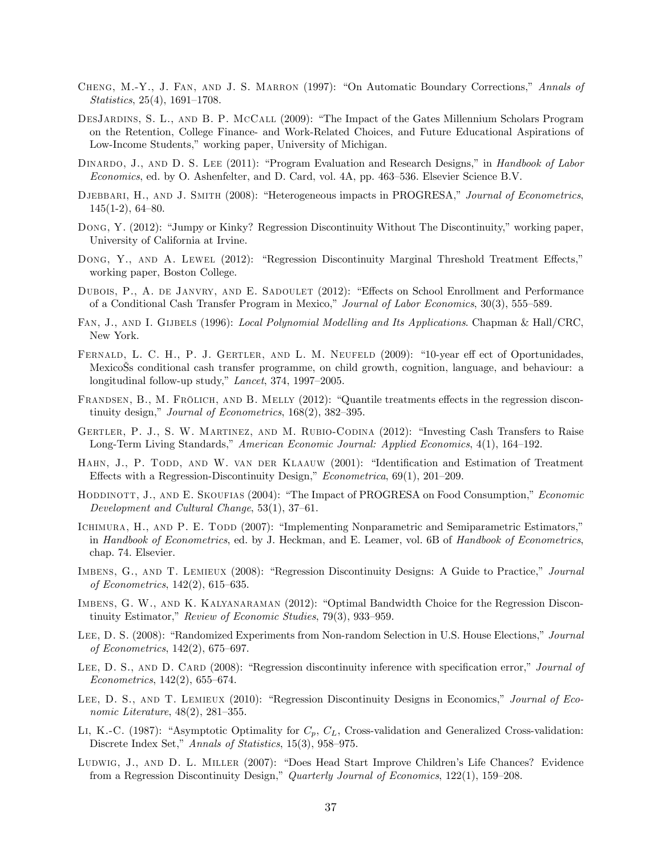- CHENG, M.-Y., J. FAN, AND J. S. MARRON (1997): "On Automatic Boundary Corrections," Annals of  $Statistics, 25(4), 1691-1708.$
- DESJARDINS, S. L., AND B. P. MCCALL (2009): "The Impact of the Gates Millennium Scholars Program on the Retention, College Finance- and Work-Related Choices, and Future Educational Aspirations of Low-Income Students," working paper, University of Michigan.
- DINARDO, J., AND D. S. LEE (2011): "Program Evaluation and Research Designs," in Handbook of Labor Economics, ed. by O. Ashenfelter, and D. Card, vol. 4A, pp. 463–536. Elsevier Science B.V.
- DJEBBARI, H., AND J. SMITH (2008): "Heterogeneous impacts in PROGRESA," Journal of Econometrics,  $145(1-2), 64-80.$
- DONG, Y. (2012): "Jumpy or Kinky? Regression Discontinuity Without The Discontinuity," working paper. University of California at Irvine.
- DONG, Y., AND A. LEWEL (2012): "Regression Discontinuity Marginal Threshold Treatment Effects," working paper, Boston College.
- DUBOIS, P., A. DE JANVRY, AND E. SADOULET (2012): "Effects on School Enrollment and Performance of a Conditional Cash Transfer Program in Mexico," Journal of Labor Economics, 30(3), 555–589.
- FAN, J., AND I. GIJBELS (1996): Local Polynomial Modelling and Its Applications. Chapman & Hall/CRC, New York.
- FERNALD, L. C. H., P. J. GERTLER, AND L. M. NEUFELD (2009): "10-year eff ect of Oportunidades, Mexicoäs conditional cash transfer programme, on child growth, cognition, language, and behaviour: a longitudinal follow-up study,"  $Lancet$ , 374, 1997–2005.
- FRANDSEN, B., M. FRÖLICH, AND B. MELLY (2012): "Quantile treatments effects in the regression discontinuity design," Journal of Econometrics,  $168(2)$ ,  $382-395$ .
- GERTLER, P. J., S. W. MARTINEZ, AND M. RUBIO-CODINA (2012): "Investing Cash Transfers to Raise Long-Term Living Standards," American Economic Journal: Applied Economics, 4(1), 164–192.
- HAHN, J., P. TODD, AND W. VAN DER KLAAUW (2001): "Identification and Estimation of Treatment Effects with a Regression-Discontinuity Design,"  $Econometrica$ , 69(1), 201–209.
- HODDINOTT, J., AND E. SKOUFIAS (2004): "The Impact of PROGRESA on Food Consumption," Economic Development and Cultural Change,  $53(1)$ ,  $37-61$ .
- ICHIMURA, H., AND P. E. TODD (2007): "Implementing Nonparametric and Semiparametric Estimators," in Handbook of Econometrics, ed. by J. Heckman, and E. Leamer, vol. 6B of Handbook of Econometrics, chap. 74. Elsevier.
- IMBENS, G., AND T. LEMIEUX (2008): "Regression Discontinuity Designs: A Guide to Practice," Journal of Econometrics,  $142(2)$ ,  $615-635$ .
- IMBENS, G. W., AND K. KALYANARAMAN (2012): "Optimal Bandwidth Choice for the Regression Discontinuity Estimator," Review of Economic Studies, 79(3), 933–959.
- LEE, D. S. (2008): "Randomized Experiments from Non-random Selection in U.S. House Elections," Journal of Econometrics,  $142(2)$ , 675–697.
- LEE, D. S., AND D. CARD (2008): "Regression discontinuity inference with specification error," Journal of  $Econometrics, 142(2), 655-674.$
- LEE, D. S., AND T. LEMIEUX (2010): "Regression Discontinuity Designs in Economics," Journal of Economic Literature,  $48(2)$ ,  $281-355$ .
- LI, K.-C. (1987): "Asymptotic Optimality for  $C_p$ ,  $C_L$ , Cross-validation and Generalized Cross-validation: Discrete Index Set," Annals of Statistics, 15(3), 958–975.
- LUDWIG, J., AND D. L. MILLER (2007): "Does Head Start Improve Children's Life Chances? Evidence from a Regression Discontinuity Design," Quarterly Journal of Economics,  $122(1)$ ,  $159-208$ .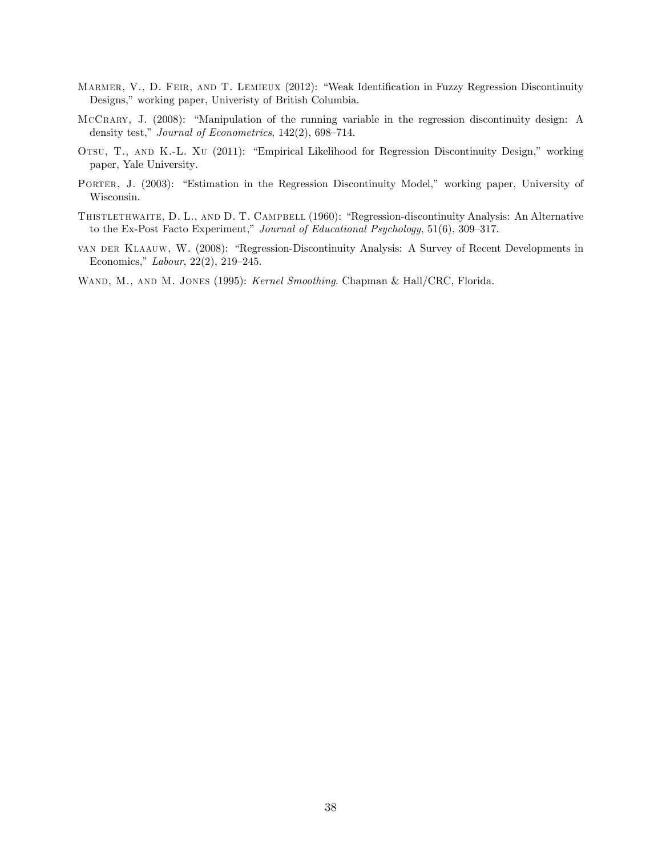- MARMER, V., D. FEIR, AND T. LEMIEUX (2012): "Weak Identification in Fuzzy Regression Discontinuity Designs," working paper, Univeristy of British Columbia.
- MCCRARY, J. (2008): "Manipulation of the running variable in the regression discontinuity design: A density test," Journal of Econometrics,  $142(2)$ , 698–714.
- OTSU, T., AND K.-L. XU (2011): "Empirical Likelihood for Regression Discontinuity Design," working paper, Yale University.
- PORTER, J. (2003): "Estimation in the Regression Discontinuity Model," working paper, University of Wisconsin.
- THISTLETHWAITE, D. L., AND D. T. CAMPBELL (1960): "Regression-discontinuity Analysis: An Alternative to the Ex-Post Facto Experiment," Journal of Educational Psychology,  $51(6)$ ,  $309-317$ .
- VAN DER KLAAUW, W. (2008): "Regression-Discontinuity Analysis: A Survey of Recent Developments in Economics,"  $Labour$ , 22(2), 219-245.

WAND, M., AND M. JONES (1995): Kernel Smoothing. Chapman & Hall/CRC, Florida.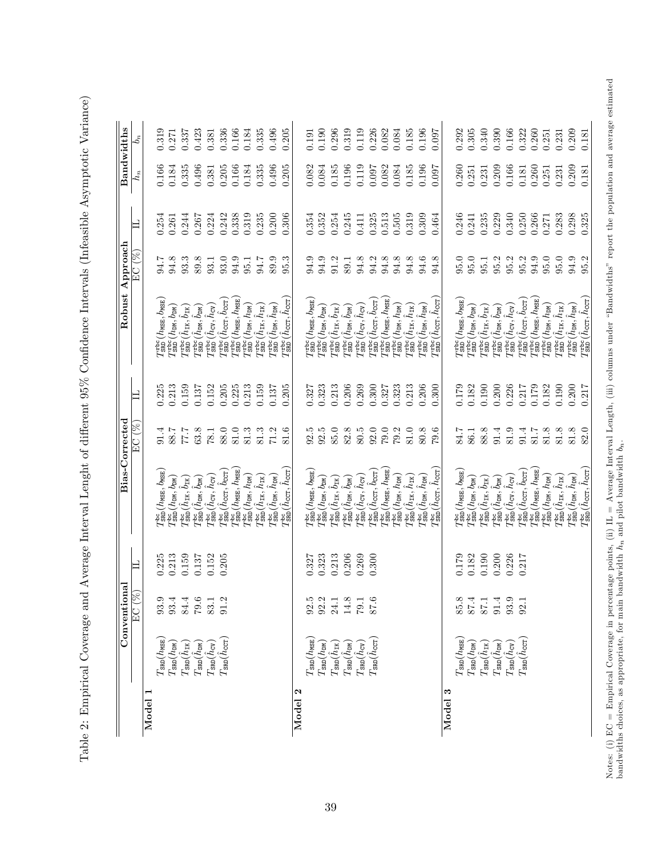Table 2: Empirical Coverage and Average Interval Lenght of different 95% Confidence Intervals (Infeasible Asymptotic Variance) Table 2: Empirical Coverage and Average Interval Lenght of different 95% Confidence Intervals (Infeasible Asymptotic Variance)

|         |                                                                                                                                                                                                                                        | Conventional                                |                | Bias-Corrected                                                                                                                                  |                                                     |                | Robust                                                                                                                | ${\bf Approchal}$                              |                    | Bandwidths     |                |
|---------|----------------------------------------------------------------------------------------------------------------------------------------------------------------------------------------------------------------------------------------|---------------------------------------------|----------------|-------------------------------------------------------------------------------------------------------------------------------------------------|-----------------------------------------------------|----------------|-----------------------------------------------------------------------------------------------------------------------|------------------------------------------------|--------------------|----------------|----------------|
|         |                                                                                                                                                                                                                                        | EC (%                                       | 口              |                                                                                                                                                 | EC (%)                                              | $\Box$         |                                                                                                                       | $EC($ $\%$                                     | 凵                  | $h_n$          | $b_n$          |
| Model   | $T_{\rm SRD}(h_{\rm MSE})$                                                                                                                                                                                                             |                                             | 0.225          | $T_{\rm SRD}^{\rm bc}$ ( $h_{\rm MSE}$ , $b_{\rm MSE}$ )                                                                                        | 91.4                                                | 0.225          | $I_{\tt SRD}^{\tt rbc} (h_{\tt MSE}, b_{\tt MSE})$                                                                    | 94.7                                           |                    | 0.166          | 0.319          |
|         |                                                                                                                                                                                                                                        | 93.4                                        | 0.213          | $T_{\tt SRD}^{\rm bc} (h_{\tt DM}, b_{\tt DM})$                                                                                                 |                                                     | 0.213          | $T_{SRD}^{rbc}(h_{\text{DM}}, b_{\text{DM}})$                                                                         | $94.8\,$                                       | $0.254$<br>$0.261$ | 0.184          | 0.271          |
|         | $\begin{array}{l} T_{\rm SRD}(h_{\rm DM}) \\ T_{\rm SRD}(\hat{h}_{\rm IR}) \\ T_{\rm SRD}(\hat{h}_{\rm DM}) \end{array}$                                                                                                               | $84.4$<br>$79.5$<br>$83.1$<br>$91.2$        | 0.159          | $T_\text{SRD}^\text{bc}(\hat{h}_\text{IK},\check{b}_\text{IK})$                                                                                 | $\begin{array}{c} 8.7 \\ 7.7 \\ 7.8 \\ \end{array}$ | 0.159          | $T_{\tt SRD}^{\tt rbc}(\hat{h}_{\tt IK}, \hat{b}_{\tt IK})$                                                           | $\begin{array}{c} 33.3 \\ 89.3 \\ \end{array}$ | 0.244              | 0.335          | 0.337          |
|         |                                                                                                                                                                                                                                        |                                             | 0.137          | $T^{\text{bc}}_{\text{SRD}}(\hat{h}_{\text{DM}},\hat{b}_{\text{DM}})$                                                                           |                                                     | 0.137          | $T^{\text{rbc}}_{\text{SRD}}(\hat{h}_{\text{DM}},\hat{b}_{\text{DM}})$                                                |                                                | 0.267              | 0.496          | 0.423          |
|         | $T_{\rm SRD}(\hat{h}_{\rm CV})$                                                                                                                                                                                                        |                                             | 0.152          | $T_{\tt SRD}^{\tt bc}(\hat{h}_{\tt CV},\hat{h}_{\tt CV})$                                                                                       | 78.1                                                | 0.152          | $T_{\tt SRD}^{\tt rbc}(\hat{h}_{\tt CV}, \hat{h}_{\tt CV})$                                                           |                                                | 0.224              | 0.381          | 0.381          |
|         | $T_{\rm SRD}(\hat{h}_{\rm corr})$                                                                                                                                                                                                      |                                             | 0.205          | $T_{\rm SBD}^{\rm bc}(\hat{h}_{\rm CCT},\hat{b}_{\rm CCT})$                                                                                     | 88.0                                                | 0.205          | $T^{\tt rbc}_{\tt SRD}(\hat{h}_{\tt CCT},\hat{b}_{\tt CCT}$                                                           | 93.0                                           | 0.242              | 0.205          | 0.336          |
|         |                                                                                                                                                                                                                                        |                                             |                | $T_{\tt SRD}^{\rm bc}(\mathit{h}_{\tt MSE},\mathit{h}_{\tt MSE})$                                                                               | 81.0                                                | 0.225          | $T_{\tt SRD}^{\tt rbc} (h_{\tt MSE}, h_{\tt MSE})$                                                                    | $94.9\,$                                       | 0.338              | 0.166          | 0.166          |
|         |                                                                                                                                                                                                                                        |                                             |                | $T^{\text{bc}}_{\text{SRD}}(h_{\text{DM}}, h_{\text{DM}})$                                                                                      | 81.3                                                | 0.213          | $T^{rbc}_{SR}(h_{\text{DM}}, h_{\text{DM}})$                                                                          | $95.1\,$                                       | 0.319              | 0.184          | 0.184          |
|         |                                                                                                                                                                                                                                        |                                             |                | $I^{\texttt{bc}}_{\texttt{SRD}}(\hat{h}_{\texttt{IK}}, \hat{h}_{\texttt{IK}})$                                                                  | 81.3                                                | 0.159          | $T^{\text{rbc}}_{\text{SRD}}(\hat{h}_{\text{IK}}, \hat{h}_{\text{IK}})$                                               | $94.7\,$                                       | 0.235              | 0.335          | 0.335          |
|         |                                                                                                                                                                                                                                        |                                             |                | $I^{\text{bc}}_{\text{SRD}}(\hat{h}_{\text{DM}}, \hat{h}_{\text{DM}})$                                                                          | $71.2\,$                                            | 0.137          | $T^{rbc}_{SR}(\hat{h}_{\text{DM}}, \hat{h}_{\text{DM}})$                                                              | $89.9$<br>$95.3$                               | 0.200              | 0.496          | 0.496          |
|         |                                                                                                                                                                                                                                        |                                             |                | $T^{\text{bc}}_{\text{SRD}}(\hat{h}_{\text{CCT}}, \hat{h}_{\text{CCT}})$                                                                        | 81.6                                                | 0.205          | $T^{\tt rbc}_{\tt SRD}(\hat{h}_{\tt CCT}, \hat{h}_{\tt CCT})$                                                         |                                                | 0.306              | 0.205          | 0.205          |
| Model 2 | $T_{\tt SRD}(h_{\tt MSE})$                                                                                                                                                                                                             |                                             | 0.327          | $T_{\tt SRD}^{\tt bc}$ ( $h_{\tt MSE}$ , $b_{\tt MSE}$                                                                                          | 92.5                                                | 0.327          | $T_{\tt SRD}^{\tt rbc} (h_{\tt MSE}, b_{\tt MSE})$                                                                    | 94.9                                           |                    | 0.082          | 0.191          |
|         | $T_{\tt SRD}(h_{\tt DN})$                                                                                                                                                                                                              | $92.5$<br>$92.2$                            | 0.323          | $I_{SRD}^{bc}(h_{DM}, b_{DM})$                                                                                                                  | $92.5\,$                                            | 0.323          | $T_{\tt SRD}^{\tt rbc}(h_{\tt DM},b_{\tt DM})$                                                                        | $94.9\,$                                       | 0.354<br>0.352     | 0.084          | 0.190          |
|         |                                                                                                                                                                                                                                        |                                             | 0.213          | $T_\text{SRD}^\text{bc}(\hat{h}_\text{IK},\hat{b}_\text{IK})$                                                                                   | $85.0\,$                                            | 0.213          | $T_{\tt SRD}^{\tt rbc}(\hat{h}_{\tt IK}, \hat{b}_{\tt IK})$                                                           | $91.2\,$                                       | 0.254              | 0.185          | 0.296          |
|         | $\frac{T_{\rm SRD}(\hat{h}_{\rm IK})}{T_{\rm SRD}(\hat{h}_{\rm DM})}$                                                                                                                                                                  | $\begin{array}{c} 24.1 \\ 14.8 \end{array}$ | 0.206          | $T^{\text{bc}}_{\text{SRD}}(\hat{h}_{\text{DM}},\hat{b}_{\text{DM}})$                                                                           | 82.8                                                | 0.206          | $T^{rbc}_{SR}(\hat{h}_{\text{DM}}, \hat{b}_{\text{DM}})$                                                              | 89.1                                           | 0.245              | 0.196          | 0.319          |
|         | $T_{\text{SRD}}(\hat{h}_{\text{CV}})$                                                                                                                                                                                                  | 79.1                                        | 0.269          | $T^{\text{bc}}_{\text{SRD}}(\hat{h}_{\text{CV}}, \hat{h}_{\text{CV}})$                                                                          | 80.5                                                | 0.269          | $T_{\tt SRD}^{\tt rbc}(\hat{h}_{\tt CV}, \hat{h}_{\tt CV})$                                                           | 34.3<br>34.3<br>34.3                           | 0.411              | 0.119          | 0.119          |
|         | $T_{\rm SRD}(\hat{h}_{\rm CCT})$                                                                                                                                                                                                       | 87.6                                        | 0.300          | $T^{\text{bc}}_{\text{SRD}}(\hat{h}_{\text{CCT}}, \hat{b}_{\text{CCT}})$                                                                        | 92.0                                                | 0.300          | $T^{\tt rbc}_{\tt SRD}(\hat{h}_{\tt CCT},\hat{b}_{\tt CCT}$                                                           |                                                | 0.325              | 0.097          | 0.226          |
|         |                                                                                                                                                                                                                                        |                                             |                | $T_{\tt SRD}^{\tt bc}$ ( $h_{\tt MSE}, h_{\tt MSE}$                                                                                             | $79.0\,$                                            | 0.327          | $T_{\tt SRD}^{\tt rbc} (h_{\tt MSE}, h_{\tt MSE})$                                                                    |                                                | 0.513              | 0.082          | 0.082          |
|         |                                                                                                                                                                                                                                        |                                             |                | $T^{\text{bc}}_{\text{SRD}}(h_{\text{DM}}, h_{\text{DM}})$                                                                                      | 79.2                                                | 0.323          | $T_{\tt SRD}^{\tt rbc}(h_{\tt DM}, h_{\tt DM})$                                                                       | $94.8\,$                                       | $\!0.505$          | 0.084          | 0.084          |
|         |                                                                                                                                                                                                                                        |                                             |                | $I^{\texttt{bc}}_{\texttt{SRD}}(\hat{h}_{\texttt{IK}}, \hat{h}_{\texttt{IK}})$                                                                  | 81.0                                                | 0.213          | $T^{\text{rbc}}_{\text{SRD}}(\hat{h}_{\text{IK}}, \hat{h}_{\text{IK}})$                                               | 94.8                                           | 0.319              | 0.185          | 0.185          |
|         |                                                                                                                                                                                                                                        |                                             |                | $I^{\texttt{bc}}_{\texttt{SRD}}(\hat{h}_{\texttt{DM}}, \hat{h}_{\texttt{DM}})$                                                                  | 80.8                                                | 0.206          | $T^{rbc}_{SR}(\hat{h}_{\text{DM}}, \hat{h}_{\text{DM}})$                                                              | 94.6                                           | 0.309              | 0.196          | 0.196          |
|         |                                                                                                                                                                                                                                        |                                             |                | $T_{\rm SBD}^{\rm bc}(\hat{h}_{\rm CCT},\hat{h}_{\rm CCT})$                                                                                     | 79.6                                                | 0.300          | $T^{\tt rbc}_{\tt SRD}(\hat{h}_{\tt CCT},\hat{h}_{\tt CCT})$                                                          | 94.8                                           | 0.464              | 0.097          | 0.097          |
| Model 3 |                                                                                                                                                                                                                                        |                                             |                |                                                                                                                                                 |                                                     |                |                                                                                                                       |                                                |                    |                |                |
|         | $T_{\tt SRD}(h_{\tt MSE})$                                                                                                                                                                                                             |                                             | 0.179          | $T_{\rm SRD}^{\rm bc}$ ( $h_{\rm MSE}$ , $b_{\rm MSE}$ )                                                                                        | 84.7                                                | 0.179          | $T^{rbc}_{\tt SRD} (h_{\tt MSE}, b_{\tt MSE})$                                                                        |                                                | 0.246              | 0.260          | 0.292          |
|         |                                                                                                                                                                                                                                        | $85.4$<br>$87.1$<br>$87.1$                  | 0.182          | $I_{SRD}^{bc}(h_{DM}, b_{DM})$                                                                                                                  | 86.1                                                | 0.182<br>0.190 | $T_{\tt SRD}^{\tt rbc}(h_{\tt DM},b_{\tt DM})$                                                                        | 95.1                                           | 0.235<br>0.241     | 0.251          | 0.305          |
|         |                                                                                                                                                                                                                                        | 91.4                                        | 0.190<br>0.200 | $T_\mathrm{SRD}^\mathrm{bc}(\hat{h}_\mathrm{IK},\check{b}_\mathrm{IK})$                                                                         | 88.8<br>91.4                                        | 0.200          | $T_{\tt SRD}^{\tt rbc}(\hat{h}_{\tt IK}, \hat{b}_{\tt IK})$<br>$T^{rbc}_{\tt SRD}(\hat{h}_{\tt DM},\hat{b}_{\tt DM})$ |                                                | 0.229              | 0.209<br>0.231 | 0.340<br>0.390 |
|         | $\begin{array}{l} T_{\textrm{SRD}}(h_{\textrm{DM}}) \nonumber \ T_{\textrm{SRD}}(\hat{h}_{\textrm{IK}}) \nonumber \ T_{\textrm{SRD}}(\hat{h}_{\textrm{DM}}) \nonumber \ T_{\textrm{SRD}}(\hat{h}_{\textrm{CV}}) \nonumber \end{array}$ | 93.9                                        | 0.226          | $T^{\text{bc}}_{\text{SRD}}(\hat{h}_{\text{CV}}, \hat{h}_{\text{CV}})$<br>$T^{\text{bc}}_{\text{SRD}}(\hat{h}_{\text{DM}},\hat{b}_{\text{DM}})$ | 81.9                                                | 0.226          | $T_{\tt SRD}^{\tt rbc}(\hat{h}_{\tt CV}, \hat{h}_{\tt CV})$                                                           |                                                | 0.340              | 0.166          | 0.166          |
|         | $T_{\rm SRD}(\tilde{h}_{\rm CCT}$                                                                                                                                                                                                      | 92.1                                        | 0.217          | $T^{\text{bc}}_{\text{SRD}}(\hat{h}_{\text{CCT}}, \hat{b}_{\text{CCT}})$                                                                        | 91.4                                                | 0.217          | $T^{\tt rbc}_{\tt SRD}(\hat{h}_{\tt CCT},\hat{b}_{\tt CCT}$                                                           |                                                | 0.250              | 0.181          | 0.322          |
|         |                                                                                                                                                                                                                                        |                                             |                | $T_{\tt SRD}^{\tt bc}$ ( $h_{\tt MSE}, h_{\tt MSE}$                                                                                             | 81.7                                                | 0.179          | $T_{\tt SRD}^{\tt rbc} (h_{\tt MSE}, h_{\tt MSE})$                                                                    |                                                | 0.266              | 0.260          | 0.260          |
|         |                                                                                                                                                                                                                                        |                                             |                | $T^{\text{bc}}_{\text{SRD}}(h_{\text{DM}}, h_{\text{DM}})$                                                                                      | 81.8                                                | 0.182          | $T_{\tt SRD}^{\tt rbc}(h_{\tt DM}, h_{\tt DM})$                                                                       | 95.0                                           | 0.271              | 0.251          | 0.251          |
|         |                                                                                                                                                                                                                                        |                                             |                | $I^{\texttt{bc}}_{\texttt{SRD}}(\hat{h}_{\texttt{IK}}, \hat{h}_{\texttt{IK}})$                                                                  | 81.8                                                | 0.190          | $T^{\text{rbc}}_{\text{SRD}}(\hat{h}_{\text{IK}}, \hat{h}_{\text{IK}})$                                               | 95.0                                           | 0.283              | 0.231          | 0.231          |
|         |                                                                                                                                                                                                                                        |                                             |                | $I^{\texttt{bc}}_{\texttt{SRD}}(\hat{h}_{\texttt{DM}}, \hat{h}_{\texttt{DM}})$                                                                  | 81.8                                                | 0.200          | $T^{rbc}_{SR}(\hat{h}_{\text{DM}}, \hat{h}_{\text{DM}})$                                                              | 94.9<br>95.2                                   | 0.298              | 0.209          | 0.209          |
|         |                                                                                                                                                                                                                                        |                                             |                | $T_{\tt SRD}^{\tt bc}(\hat{h}_{\tt CCT},\hat{h}_{\tt CCT})$                                                                                     |                                                     | 0.217          | $T^{\tt rbc}_{\tt SRD}(\hat{h}_{\tt CCT},\hat{h}_{\tt CCT})$                                                          |                                                |                    |                |                |

Notes: (i)  $EC =$  Empirical Coverage in percentage points, (ii)  $IL =$  Average Interval Length, (iii) columns under "Bandwidths" report the population and average estimated bandwidths choices, as appropriate, for main bandwid Notes: (i) EC = Empirical Coverage in percentage points, (ii) IL = Average Interval Length, (iii) columns under "Bandwidths" report the population and average estimated bandwidths choices, as appropriate, for main bandwidth  $h_n$  and pilot bandwidth  $b_n$ .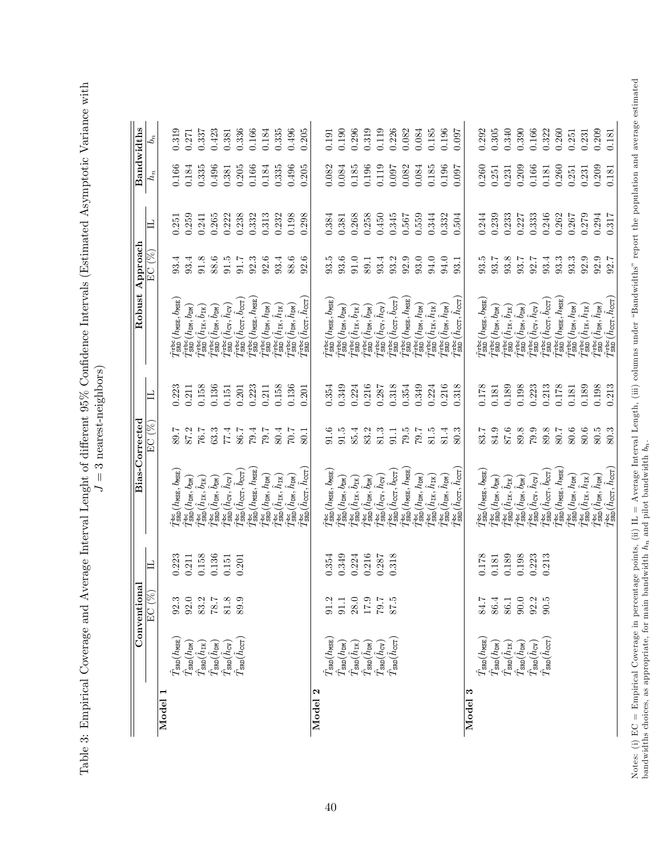Table 3: Empirical Coverage and Average Interval Lenght of different 95% Confidence Intervals (Estimated Asymptotic Variance with Table 3: Empirical Coverage and Average Interval Lenght of di§erent 95% ConÖdence Intervals (Estimated Asymptotic Variance with  $J=3$  nearest-neighbors)

 $J = 3$  nearest-neighbors)

|                                |                                                                                                                                                                 | Conventional                                                  |       | Bias-Corrected                                                                          |          |       | Robust Approach                                                                   |                   |       | Bandwidths |       |
|--------------------------------|-----------------------------------------------------------------------------------------------------------------------------------------------------------------|---------------------------------------------------------------|-------|-----------------------------------------------------------------------------------------|----------|-------|-----------------------------------------------------------------------------------|-------------------|-------|------------|-------|
|                                |                                                                                                                                                                 | EC (%                                                         | 凵     |                                                                                         | EC (%    | 凵     |                                                                                   | $_{\rm EC}$ (%)   | 凵     | $h_n$      | $b_n$ |
| Model                          | $\hat{T}_{\tt SRD}(h_{\tt MSE}$                                                                                                                                 | 92.3                                                          | 0.223 | $\hat{T}_{\tt SRD}^{\tt bc}(\mathit{h}_{\tt MSE},\mathit{b}_{\tt MSE})$                 | 7.68     | 0.223 | $\hat{T}_{\tt SRD}^{\tt rbc}$ ( $h_{\tt MSE}, b_{\tt MSE}$                        | 93.4              | 0.251 | 0.166      | 0.319 |
|                                |                                                                                                                                                                 |                                                               | 0.211 | $\hat{T}_{\tt SRD}^{\tt loc}({h}_{\tt DN},{b}_{\tt DN})$                                | 87.2     | 0.211 | $\hat{T}_{SRD}^{\rm rbc} (h_{\rm DM}, b_{\rm DM})$                                | 93.4              | 0.259 | 0.184      | 0.271 |
|                                | $\begin{array}{c} \hat{T}_{\tt SRD}(h_{\tt DM}) \\ \hat{T}_{\tt SRD}(\hat{h}_{\tt IK}) \end{array}$                                                             | $\begin{array}{c} 92.0 \\ 83.2 \\ 78.7 \\ \hline \end{array}$ | 0.158 | $\hat{T}_{\tt SRD}^{\tt bc}(\hat{h}_{\tt IK},\hat{b}_{\tt IK})$                         | 7.67     | 0.158 | $\hat{T}^{\rm rbc}_{\rm SRD}(\hat{h}_{\rm IR},\hat{b}_{\rm IR})$                  | 91.8              | 0.241 | 0.335      | 0.337 |
|                                | $\hat{T}_{\tt SRD}(\hat{h}_{\tt DM})$                                                                                                                           |                                                               | 0.136 | $\hat{T}_{\tt SRD}^{\tt bc}(\hat{h}_{\tt DN},\hat{b}_{\tt DN})$                         | 63.3     | 0.136 | $\hat{T}_{\tt SRD}^{\tt rbc}(\hat{h}_{\tt DM},\hat{b}_{\tt DM})$                  | 88.6              | 0.265 | 0.496      | 0.423 |
|                                | $\hat{T}_\textrm{SRD}(\hat{h}_\textrm{CV})$                                                                                                                     |                                                               | 0.151 | $\hat{T}_{\tt SRD}^{\tt be}(\hat{h}_{\tt CV},\hat{h}_{\tt CV})$                         | 77.4     | 0.151 | $\hat{T}^{\text{trbc}}_{\text{SRD}}(\hat{h}_{\text{CV}}, \hat{h}_{\text{CV}})$    | 91.5              | 0.222 | 0.381      | 0.381 |
|                                | $\hat{T}_\text{SRD}(\hat{h}_\text{CCT})$                                                                                                                        | 89.9                                                          | 0.201 | $\hat{T}_{\tt SRD}^{\tt bc}(\hat{h}_{\tt CCT},\hat{b}_{\tt CCT})$                       | 86.7     | 0.201 | $\hat{T}_{\tt SRD}^{\tt rbc}(\hat{h}_{\tt CCT},\hat{b}_{\tt CCT})$                | 91.7              | 0.238 | 0.205      | 0.336 |
|                                |                                                                                                                                                                 |                                                               |       | $\hat{T}_{\tt SRD}^{\tt bc}({h}_{\tt MSE}, {h}_{\tt MSE})$                              | 79.4     | 0.223 | $\hat{T}_{\tt SRD}^{\tt rbc}(h_{\tt MSE},h_{\tt MSE})$                            | 92.3              | 0.332 | 0.166      | 0.166 |
|                                |                                                                                                                                                                 |                                                               |       | $\hat{T}_{\tt SRD}^{\tt loc}({h}_{\tt DM}, {h}_{\tt DM})$                               | 7.67     | 0.211 | $\hat{T}_{\tt SRD}^{\tt rbc}(h_{\tt DM}, h_{\tt DM})$                             | 92.6              | 0.313 | 0.184      | 0.184 |
|                                |                                                                                                                                                                 |                                                               |       | $\hat{T}_{\tt SRD}^{\tt bc}(\hat{h}_{\tt IK},\hat{h}_{\tt IK})$                         | 80.4     | 0.158 | $\hat{T}^{\text{rebc}}_{\text{SRD}}(\hat{h}_{\text{IK}}, \hat{h}_{\text{IK}})$    | 93.4              | 0.232 | 0.335      | 0.335 |
|                                |                                                                                                                                                                 |                                                               |       | $\hat{T}_{\tt SRD}^{\tt loc}(\hat{h}_{\tt DN},\hat{h}_{\tt DM})$                        | 7.07     | 0.136 | $\hat{T}^{\text{trbc}}_{\text{SRD}}(\hat{h}_{\text{DM}}, \hat{h}_{\text{DM}})$    | 88.6              | 0.198 | 0.496      | 0.496 |
|                                |                                                                                                                                                                 |                                                               |       | $\hat{T}_{\tt SRD}^{\tt bc}(\hat{h}_{\tt CCT},\hat{h}_{\tt CCT})$                       | 50.1     | 0.201 | $\hat{T}^{\rm rbc}_{\rm SBD}(\hat{h}_{\rm CCT},\hat{h}_{\rm CCT})$                | 92.6              | 0.298 | 0.205      | 0.205 |
| $\mathbf{\mathbb{R}}$<br>Model |                                                                                                                                                                 |                                                               |       |                                                                                         |          |       |                                                                                   |                   |       |            |       |
|                                |                                                                                                                                                                 | 91.2                                                          | 0.354 | $\hat{T}_{\tt SRD}^{\tt loc}({\color{black} h_{\tt MSE}}, {\color{black} b_{\tt MSE}})$ | 91.6     | 0.354 | $\hat{T}_{\tt SRD}^{\tt rbc} (h_{\tt MSE}, b_{\tt MSE})$                          | 93.5              | 0.384 | 0.82       | 0.191 |
|                                | $\hat{T}_{\rm SRD}(h_{\rm MSE}) \ \hat{T}_{\rm SRD}(h_{\rm DM})$                                                                                                | 91.1                                                          | 0.349 | $\hat{T}_{\tt SRD}^{\tt loc}({h}_{\tt DN},{b}_{\tt DN})$                                | $91.5$   | 0.349 | $\hat{T}_{SRD}^{\rm rbc} (h_{\rm DM}, b_{\rm DM})$                                | 93.6              | 0.381 | 0.084      | 0.190 |
|                                | $\hat{T}_{\tt SRD}(\hat{h}_{\tt IK})$                                                                                                                           |                                                               | 0.224 | $\hat{T}_{\tt SRD}^{\tt bc}(\hat{h}_{\tt IK},\hat{b}_{\tt IK})$                         | 85.4     | 0.224 | $\hat{T}^{\text{rebc}}_{\text{SR}}(\hat{h}_{\text{IK}},\hat{b}_{\text{IK}})$      | 0.10              | 0.268 | 0.185      | 0.296 |
|                                | $\hat{T}_{\tt SRD}(\hat{h}_{\tt DM})$                                                                                                                           |                                                               | 0.216 | $\hat{T}_{\tt SRD}^{\tt bc}(\hat{h}_{\tt DN},\hat{b}_{\tt DN})$                         | 83.2     | 0.216 | $\hat{T}_{\tt SRD}^{\tt rbc}(\hat{h}_{\tt DM},\hat{b}_{\tt DM})$                  | 89.1              | 0.258 | 0.196      | 0.319 |
|                                | $\hat{T}_{\tt SRD}(\hat{h}_{\tt CV})$                                                                                                                           | $28.0$<br>17.9<br>17.9<br>87.5                                | 0.287 | $\hat{T}_{\tt SRD}^{\tt be}(\hat{h}_{\tt CV},\hat{h}_{\tt CV})$                         | $81.3\,$ | 0.287 | $\hat{I}_{\tt SRD}^{\tt rbc}(\hat{h}_{\tt CV},\hat{h}_{\tt CV})$                  | 93.4              | 0.450 | 0.119      | 0.119 |
|                                | $\hat{T}_\textrm{SRD}(\hat{h}_\textrm{CCT})$                                                                                                                    |                                                               | 0.318 | $\hat{T}_{\tt SRD}^{\tt loc}(\hat{h}_{\tt CCT},\hat{b}_{\tt CCT})$                      | $91.1\,$ | 0.318 | $\hat{T}_{\tt SRD}^{\tt rbc}(\hat{h}_{\tt CCT},\hat{b}_{\tt CCT})$                | 93.2              | 0.345 | 160.0      | 0.226 |
|                                |                                                                                                                                                                 |                                                               |       | $\hat{T}_{\tt SRD}^{\tt bc}(\mathit{h}_{\tt MSE},\mathit{h}_{\tt MSE})$                 | 79.5     | 0.354 | $\hat{T}_{\tt SRD}^{\tt rbc}$ ( $h_{\tt MSE}, h_{\tt MSE}$                        | $\phantom{-}92.9$ | 0.567 | 0.082      | 0.082 |
|                                |                                                                                                                                                                 |                                                               |       | $\hat{I}^{\text{bc}}_{\text{SRD}}(\textit{h}_{\text{DM}},\textit{h}_{\text{DM}})$       | 7.07     | 0.349 | $\hat{T}_{\tt SRD}^{\tt rbc}(h_{\tt DM}, h_{\tt DM})$                             | 93.0              | 0.559 | 0.084      | 0.084 |
|                                |                                                                                                                                                                 |                                                               |       | $\hat{T}_{\tt SRD}^{\tt bc}(\hat{h}_{\tt IK},\hat{h}_{\tt IK})$                         | 81.5     | 0.224 | $\hat{T}^{\text{rebc}}_{\text{SRD}}(\hat{h}_{\text{IK}}, \hat{h}_{\text{IK}})$    | 94.0              | 0.344 | 0.185      | 0.185 |
|                                |                                                                                                                                                                 |                                                               |       | $\hat{T}_{\tt SRD}^{\tt loc}(\hat{h}_{\tt DN},\hat{h}_{\tt DM})$                        | $81.4\,$ | 0.216 | $\hat{T}^{\text{rebc}}_{\text{SRD}}(\hat{h}_{\text{DM}}, \hat{h}_{\text{DM}})$    | 94.0              | 0.332 | 0.196      | 0.196 |
|                                |                                                                                                                                                                 |                                                               |       | $\hat{T}_{\tt SRD}^{\tt bc}(\hat{h}_{\tt CCT},\hat{h}_{\tt CCT})$                       | 80.3     | 0.318 | $\hat{T}_{\tt SRD}^{\tt rbc}(\hat{h}_{\tt CCT}, \hat{h}_{\tt CCT})$               | 93.1              | 0.504 | 0.097      | 0.097 |
| Model 3                        |                                                                                                                                                                 |                                                               |       |                                                                                         |          |       |                                                                                   |                   |       |            |       |
|                                | $\hat{T}_{\tt SRD}(h_{\tt MSE})$                                                                                                                                | 84.7                                                          | 0.178 | $\hat{T}_{\tt SRD}^{\tt loc}({\it h}_{\tt MSE}, {\it b}_{\tt MSE})$                     | 83.7     | 0.178 | $\hat{T}_{\tt SRD}^{\tt rbc}(\textit{h}_{\tt MSE},\textit{b}_{\tt MSE})$          | 93.5              | 0.244 | 0.260      | 0.292 |
|                                | $\hat{T}_{\rm SRD}^{\phantom{\dagger}}(h_{\rm DM}^{\phantom{\dagger}}) \nonumber\\ \hat{T}_{\rm SRD}^{\phantom{\dagger}}(\hat{h}_{\rm IR}^{\phantom{\dagger}})$ |                                                               | 0.181 | $\hat{T}_{\tt SRD}^{\tt loc}({h}_{\tt DN},{b}_{\tt DN})$                                | 84.9     | 0.181 | $\hat{T}_{SRD}^{\rm rbc} (h_{\rm DM}, b_{\rm DM})$                                | 93.7              | 0.239 | 0.251      | 0.305 |
|                                |                                                                                                                                                                 |                                                               | 0.189 | $\hat{T}_{\tt SRD}^{\tt bc}(\hat{h}_{\tt IK},\hat{b}_{\tt IK})$                         | 87.6     | 0.189 | $\hat{T}_{\tt SRD}^{\tt rbc}(\hat{h}_{\tt IK},\hat{b}_{\tt IK})$                  | 93.8              | 0.233 | 0.231      | 0.340 |
|                                |                                                                                                                                                                 |                                                               | 0.198 | $\hat{T}_{\tt SRD}^{\tt loc}(\hat{h}_{\tt DM},\hat{b}_{\tt DM})$                        | 89.8     | 0.198 | $\hat{T}_{\tt SRD}^{\tt rbc}(\hat{h}_{\tt DM},\hat{b}_{\tt DM})$                  | $93.7\,$          | 0.227 | 0.209      | 0.390 |
|                                | $\hat{T}_{\rm SRD}(\hat{h}_{\rm ON}) \ \hat{T}_{\rm SRD}(\hat{h}_{\rm CV})$                                                                                     | $86.1$<br>$86.1$ 0.0 2.9<br>$89.5$ 0.9                        | 0.223 | $\hat{T}_{\tt SRD}^{\tt bc}(\hat{h}_{\tt CV},\hat{h}_{\tt CV})$                         | 79.9     | 0.223 | $\hat{T}_{\tt SRD}^{\tt rbc}(\hat{h}_{\tt CV}, \hat{h}_{\tt CV})$                 | 92.7              | 0.333 | 0.166      | 0.166 |
|                                | $\hat{T}_{\tt SRD}(\hat{h}_{\tt CCT})$                                                                                                                          |                                                               | 0.213 | $\hat{T}_{\tt SRD}^{\tt loc}(\hat{h}_{\tt CCT},\hat{b}_{\tt CCT})$                      | 89.8     | 0.213 | $\hat{I}_{\tt SBD}^{\tt rbc}(\hat{h}_{\tt CCT},\hat{b}_{\tt CCT})$                | $93.4\,$          | 0.246 | 0.181      | 0.322 |
|                                |                                                                                                                                                                 |                                                               |       | $\hat{T}_{\tt SRD}^{\tt bc}(\mathit{h}_{\tt MSE},\mathit{h}_{\tt MSE})$                 | 7.08     | 0.178 | $\frac{\partial \text{tric}}{\partial \text{SR}}(h_{\text{MSE}}, h_{\text{MSE}})$ | 93.3              | 0.262 | 0.260      | 0.260 |
|                                |                                                                                                                                                                 |                                                               |       | $\hat{T}_{\tt SRD}^{\tt loc}({h}_{\tt DM}, {h}_{\tt DM})$                               | 80.6     | 0.181 | $\hat{T}_{\tt SRD}^{\tt rbc}(h_{\tt DM}, h_{\tt DM})$                             | 93.3              | 0.267 | 0.251      | 0.251 |
|                                |                                                                                                                                                                 |                                                               |       | $\hat{T}_{\tt SRD}^{\tt bc}(\hat{h}_{\tt IK},\hat{h}_{\tt IK})$                         | $80.6\,$ | 0.189 | $\hat{T}^{\text{rebc}}_{\text{SRD}}(\hat{h}_{\text{IK}}, \hat{h}_{\text{IK}})$    | 92.9              | 0.279 | 0.231      | 0.231 |
|                                |                                                                                                                                                                 |                                                               |       | $\hat{T}_{\tt SRD}^{\tt loc}(\hat{h}_{\tt DN}, \hat{h}_{\tt DM})$                       | 80.5     | 0.198 | $\hat{T}^{\text{rebc}}_{\text{SRD}}(\hat{h}_{\text{DM}}, \hat{h}_{\text{DM}})$    | $92.7$<br>$92.7$  | 0.294 | 0.209      | 0.209 |
|                                |                                                                                                                                                                 |                                                               |       | $\hat{T}_{\tt SRD}^{\tt bc}(\hat{h}_{\tt CCT},\hat{h}_{\tt CCT})$                       | 80.3     | 0.213 | $\hat{T}^{\text{rebc}}_{\text{SRD}}(\hat{h}_{\text{cCT}},\hat{h}_{\text{cCT}})$   |                   | 0.317 | 0.181      | 0.181 |

Notes: (i) EC = Empirical Coverage in percentage points, (ii) IL = Average Interval Length, (iii) columns under "Bandwidths" report the population and average estimated<br>bandwidths choices, as appropriate, for main bandwid Notes: (i) EC = Empirical Coverage in percentage points, (ii) IL = Average Interval Length, (iii) columns under ìBandwidthsî report the population and average estimated bandwidths choices, as appropriate, for main bandwidth  $h_n$  and pilot bandwidth  $b_n$ .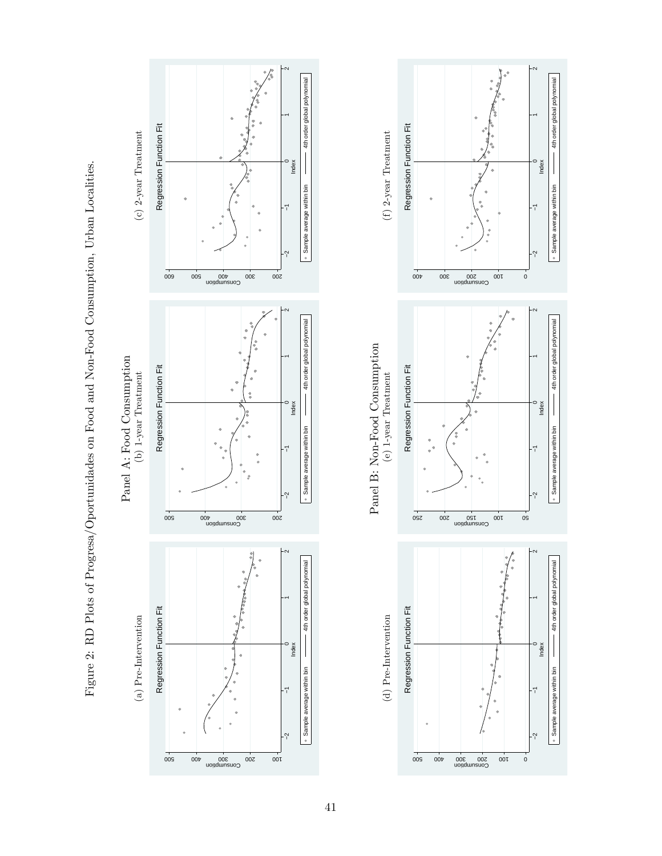



 $\dot{o}$ 

−2 −1 0 1 2 Index Sample average within bin 4th order global polynomial

−2 −1 0 1 2 Index Sample average within bin 4th order global polynomial

 $\overline{0}$ 

−2 −1 0 1 2 Index Sample average within bin  $\hphantom{a|a|a} \qquad \qquad \text{4th order global polynomial}$ 

4th order global polynomial

· Sample average within bin

4th order global polynomial

· Sample average within bin

4th order global polynomial

· Sample average within bin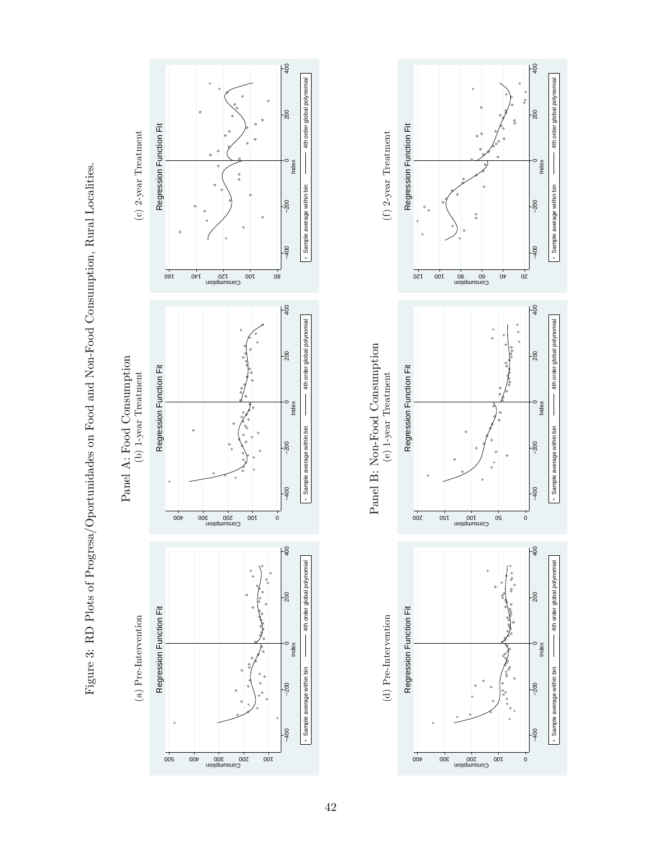



Figure 3: RD Plots of Progresa/Oportunidades on Food and Non-Food Consumption, Rural Localities. Figure 3: RD Plots of Progresa/Oportunidades on Food and Non-Food Consumption, Rural Localities.